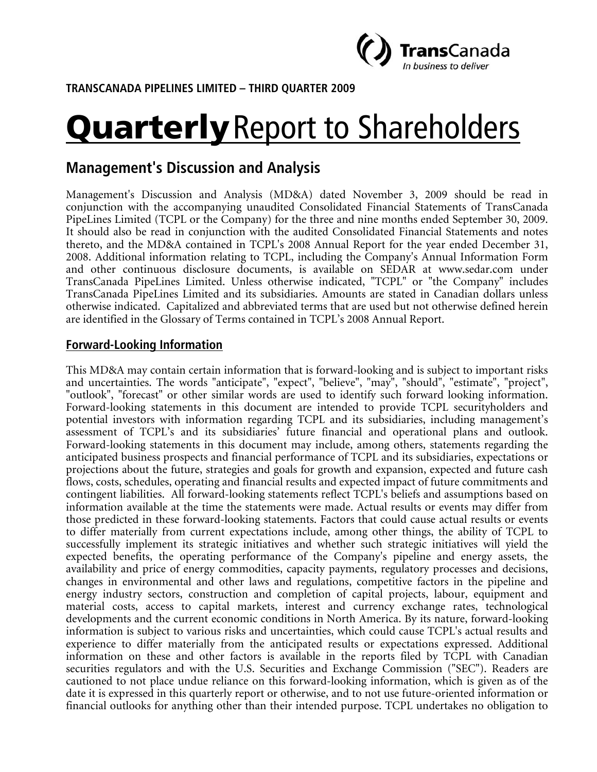

**TRANSCANADA PIPELINES LIMITED – THIRD QUARTER 2009** 

# **Quarterly** Report to Shareholders

# **Management's Discussion and Analysis**

Management's Discussion and Analysis (MD&A) dated November 3, 2009 should be read in conjunction with the accompanying unaudited Consolidated Financial Statements of TransCanada PipeLines Limited (TCPL or the Company) for the three and nine months ended September 30, 2009. It should also be read in conjunction with the audited Consolidated Financial Statements and notes thereto, and the MD&A contained in TCPL's 2008 Annual Report for the year ended December 31, 2008. Additional information relating to TCPL, including the Company's Annual Information Form and other continuous disclosure documents, is available on SEDAR at www.sedar.com under TransCanada PipeLines Limited. Unless otherwise indicated, "TCPL" or "the Company" includes TransCanada PipeLines Limited and its subsidiaries. Amounts are stated in Canadian dollars unless otherwise indicated. Capitalized and abbreviated terms that are used but not otherwise defined herein are identified in the Glossary of Terms contained in TCPL's 2008 Annual Report.

# **Forward-Looking Information**

This MD&A may contain certain information that is forward-looking and is subject to important risks and uncertainties. The words "anticipate", "expect", "believe", "may", "should", "estimate", "project", "outlook", "forecast" or other similar words are used to identify such forward looking information. Forward-looking statements in this document are intended to provide TCPL securityholders and potential investors with information regarding TCPL and its subsidiaries, including management's assessment of TCPL's and its subsidiaries' future financial and operational plans and outlook. Forward-looking statements in this document may include, among others, statements regarding the anticipated business prospects and financial performance of TCPL and its subsidiaries, expectations or projections about the future, strategies and goals for growth and expansion, expected and future cash flows, costs, schedules, operating and financial results and expected impact of future commitments and contingent liabilities. All forward-looking statements reflect TCPL's beliefs and assumptions based on information available at the time the statements were made. Actual results or events may differ from those predicted in these forward-looking statements. Factors that could cause actual results or events to differ materially from current expectations include, among other things, the ability of TCPL to successfully implement its strategic initiatives and whether such strategic initiatives will yield the expected benefits, the operating performance of the Company's pipeline and energy assets, the availability and price of energy commodities, capacity payments, regulatory processes and decisions, changes in environmental and other laws and regulations, competitive factors in the pipeline and energy industry sectors, construction and completion of capital projects, labour, equipment and material costs, access to capital markets, interest and currency exchange rates, technological developments and the current economic conditions in North America. By its nature, forward-looking information is subject to various risks and uncertainties, which could cause TCPL's actual results and experience to differ materially from the anticipated results or expectations expressed. Additional information on these and other factors is available in the reports filed by TCPL with Canadian securities regulators and with the U.S. Securities and Exchange Commission ("SEC"). Readers are cautioned to not place undue reliance on this forward-looking information, which is given as of the date it is expressed in this quarterly report or otherwise, and to not use future-oriented information or financial outlooks for anything other than their intended purpose. TCPL undertakes no obligation to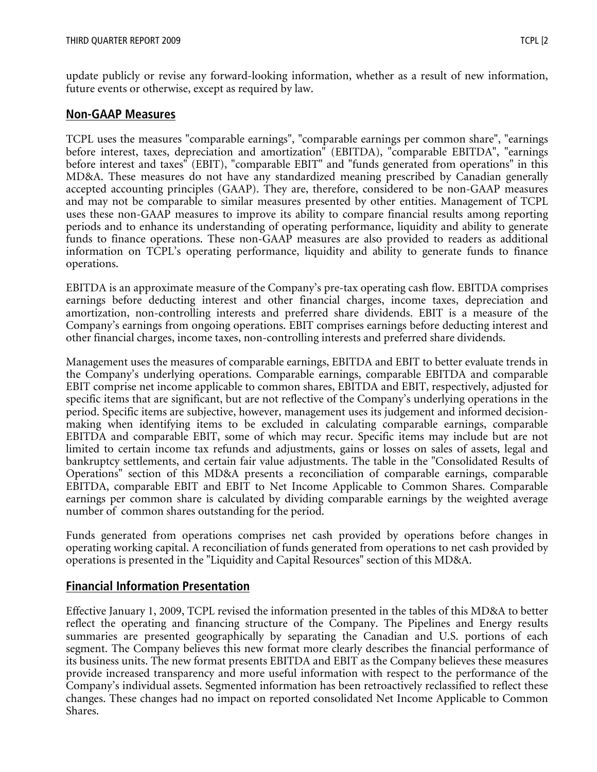update publicly or revise any forward-looking information, whether as a result of new information, future events or otherwise, except as required by law.

#### **Non-GAAP Measures**

TCPL uses the measures "comparable earnings", "comparable earnings per common share", "earnings before interest, taxes, depreciation and amortization" (EBITDA), "comparable EBITDA", "earnings before interest and taxes" (EBIT), "comparable EBIT" and "funds generated from operations" in this MD&A. These measures do not have any standardized meaning prescribed by Canadian generally accepted accounting principles (GAAP). They are, therefore, considered to be non-GAAP measures and may not be comparable to similar measures presented by other entities. Management of TCPL uses these non-GAAP measures to improve its ability to compare financial results among reporting periods and to enhance its understanding of operating performance, liquidity and ability to generate funds to finance operations. These non-GAAP measures are also provided to readers as additional information on TCPL's operating performance, liquidity and ability to generate funds to finance operations.

EBITDA is an approximate measure of the Company's pre-tax operating cash flow. EBITDA comprises earnings before deducting interest and other financial charges, income taxes, depreciation and amortization, non-controlling interests and preferred share dividends. EBIT is a measure of the Company's earnings from ongoing operations. EBIT comprises earnings before deducting interest and other financial charges, income taxes, non-controlling interests and preferred share dividends.

Management uses the measures of comparable earnings, EBITDA and EBIT to better evaluate trends in the Company's underlying operations. Comparable earnings, comparable EBITDA and comparable EBIT comprise net income applicable to common shares, EBITDA and EBIT, respectively, adjusted for specific items that are significant, but are not reflective of the Company's underlying operations in the period. Specific items are subjective, however, management uses its judgement and informed decisionmaking when identifying items to be excluded in calculating comparable earnings, comparable EBITDA and comparable EBIT, some of which may recur. Specific items may include but are not limited to certain income tax refunds and adjustments, gains or losses on sales of assets, legal and bankruptcy settlements, and certain fair value adjustments. The table in the "Consolidated Results of Operations" section of this MD&A presents a reconciliation of comparable earnings, comparable EBITDA, comparable EBIT and EBIT to Net Income Applicable to Common Shares. Comparable earnings per common share is calculated by dividing comparable earnings by the weighted average number of common shares outstanding for the period.

Funds generated from operations comprises net cash provided by operations before changes in operating working capital. A reconciliation of funds generated from operations to net cash provided by operations is presented in the "Liquidity and Capital Resources" section of this MD&A.

# **Financial Information Presentation**

Effective January 1, 2009, TCPL revised the information presented in the tables of this MD&A to better reflect the operating and financing structure of the Company. The Pipelines and Energy results summaries are presented geographically by separating the Canadian and U.S. portions of each segment. The Company believes this new format more clearly describes the financial performance of its business units. The new format presents EBITDA and EBIT as the Company believes these measures provide increased transparency and more useful information with respect to the performance of the Company's individual assets. Segmented information has been retroactively reclassified to reflect these changes. These changes had no impact on reported consolidated Net Income Applicable to Common Shares.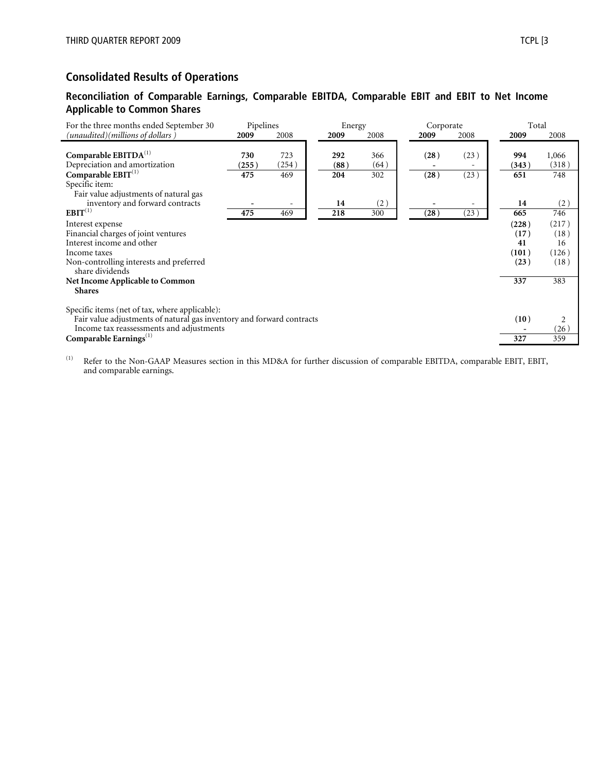# **Consolidated Results of Operations**

#### **Reconciliation of Comparable Earnings, Comparable EBITDA, Comparable EBIT and EBIT to Net Income Applicable to Common Shares**

| For the three months ended September 30                                                                                                                             | Pipelines |       | Energy |      | Corporate |      | Total |       |
|---------------------------------------------------------------------------------------------------------------------------------------------------------------------|-----------|-------|--------|------|-----------|------|-------|-------|
| (unaudited)(millions of dollars )                                                                                                                                   | 2009      | 2008  | 2009   | 2008 | 2009      | 2008 | 2009  | 2008  |
| Comparable $EBITDA(1)$                                                                                                                                              | 730       | 723   | 292    | 366  | (28)      | (23) | 994   | 1,066 |
| Depreciation and amortization                                                                                                                                       | (255)     | (254) | (88)   | (64) |           |      | (343) | (318) |
| Comparable $EBIT^{(1)}$<br>Specific item:<br>Fair value adjustments of natural gas                                                                                  | 475       | 469   | 204    | 302  | (28)      | (23) | 651   | 748   |
| inventory and forward contracts                                                                                                                                     |           |       | 14     | (2)  |           |      | 14    | (2)   |
| $EBIT^{(1)}$                                                                                                                                                        | 475       | 469   | 218    | 300  | (28)      | (23) | 665   | 746   |
| Interest expense                                                                                                                                                    |           |       |        |      |           |      | (228) | (217) |
| Financial charges of joint ventures                                                                                                                                 |           |       |        |      |           |      | (17)  | (18)  |
| Interest income and other                                                                                                                                           |           |       |        |      |           |      | 41    | 16    |
| Income taxes                                                                                                                                                        |           |       |        |      |           |      | (101) | (126) |
| Non-controlling interests and preferred<br>share dividends                                                                                                          |           |       |        |      |           |      | (23)  | (18)  |
| Net Income Applicable to Common<br><b>Shares</b>                                                                                                                    |           |       |        |      |           |      | 337   | 383   |
| Specific items (net of tax, where applicable):<br>Fair value adjustments of natural gas inventory and forward contracts<br>Income tax reassessments and adjustments |           |       |        |      |           |      | (10)  | (26)  |
| Comparable Earnings $(1)$                                                                                                                                           |           |       |        |      |           |      | 327   | 359   |

(1) Refer to the Non-GAAP Measures section in this MD&A for further discussion of comparable EBITDA, comparable EBIT, EBIT, and comparable earnings.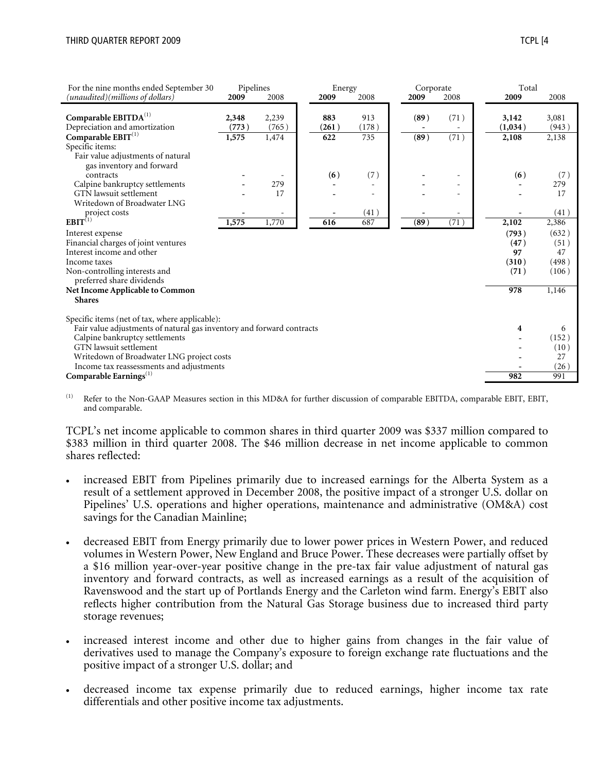*(unaudited)(millions of dollars)* **2009** 2008 **2009** 2008 **2009** 2008 **2009** 2008

Depreciation and amortization **(773 )** (765 ) **(261 )** (178 ) **-** - **(1,034 )** (943 )

Fair value adjustments of natural

 $$ Specific items:

For the nine months ended September 30

**Comparable EBITDA**<sup>(1)</sup> **2**,

| Pipelines |       | Energy |       | Corporate |      | Total   |       |
|-----------|-------|--------|-------|-----------|------|---------|-------|
| 009       | 2008  | 2009   | 2008  | 2009      | 2008 | 2009    | 2008  |
| 348       | 2,239 | 883    | 913   | (89)      | (71) | 3,142   | 3,081 |
| 773)      | (765) | (261)  | (178) |           |      | (1,034) | (943) |
| 575       | 1,474 | 622    | 735   | (89)      | (71) | 2,108   | 2,138 |
|           |       |        |       |           |      |         |       |
|           |       |        |       |           |      |         |       |
|           |       | (6)    | (7)   |           |      | (6)     | (7)   |
|           | 279   |        | -     |           |      |         | 279   |

| gas inventory and forward                                             |       |                          |     |      |      |                          |       |       |
|-----------------------------------------------------------------------|-------|--------------------------|-----|------|------|--------------------------|-------|-------|
| contracts                                                             |       |                          | (6) | (7)  |      | -                        | (6)   | (7)   |
| Calpine bankruptcy settlements                                        |       | 279                      |     |      |      | -                        |       | 279   |
| GTN lawsuit settlement                                                |       | 17                       |     |      |      |                          |       | 17    |
| Writedown of Broadwater LNG                                           |       |                          |     |      |      |                          |       |       |
| project costs                                                         |       | $\overline{\phantom{m}}$ |     | (41) |      | $\overline{\phantom{0}}$ |       | (41)  |
| $EBIT^{(1)}$                                                          | 1,575 | 1,770                    | 616 | 687  | (89) | (71)                     | 2,102 | 2,386 |
| Interest expense                                                      |       |                          |     |      |      |                          | (793) | (632) |
| Financial charges of joint ventures                                   |       |                          |     |      |      |                          | (47)  | (51)  |
| Interest income and other                                             |       |                          |     |      |      |                          | 97    | 47    |
| Income taxes                                                          |       |                          |     |      |      |                          | (310) | (498) |
| Non-controlling interests and<br>preferred share dividends            |       |                          |     |      |      |                          | (71)  | (106) |
| Net Income Applicable to Common                                       |       |                          |     |      |      |                          | 978   | 1,146 |
| <b>Shares</b>                                                         |       |                          |     |      |      |                          |       |       |
|                                                                       |       |                          |     |      |      |                          |       |       |
| Specific items (net of tax, where applicable):                        |       |                          |     |      |      |                          |       |       |
| Fair value adjustments of natural gas inventory and forward contracts |       |                          |     |      |      |                          | 4     | 6     |
| Calpine bankruptcy settlements                                        |       |                          |     |      |      |                          |       | (152) |
| GTN lawsuit settlement                                                |       |                          |     |      |      |                          |       | (10)  |
| Writedown of Broadwater LNG project costs                             |       |                          |     |      |      |                          |       | 27    |
| Income tax reassessments and adjustments                              |       |                          |     |      |      |                          |       | (26)  |
| Comparable Earnings $(1)$                                             |       |                          |     |      |      |                          | 982   | 991   |

(1) Refer to the Non-GAAP Measures section in this MD&A for further discussion of comparable EBITDA, comparable EBIT, EBIT, and comparable.

TCPL's net income applicable to common shares in third quarter 2009 was \$337 million compared to \$383 million in third quarter 2008. The \$46 million decrease in net income applicable to common shares reflected:

- increased EBIT from Pipelines primarily due to increased earnings for the Alberta System as a result of a settlement approved in December 2008, the positive impact of a stronger U.S. dollar on Pipelines' U.S. operations and higher operations, maintenance and administrative (OM&A) cost savings for the Canadian Mainline;
- decreased EBIT from Energy primarily due to lower power prices in Western Power, and reduced volumes in Western Power, New England and Bruce Power. These decreases were partially offset by a \$16 million year-over-year positive change in the pre-tax fair value adjustment of natural gas inventory and forward contracts, as well as increased earnings as a result of the acquisition of Ravenswood and the start up of Portlands Energy and the Carleton wind farm. Energy's EBIT also reflects higher contribution from the Natural Gas Storage business due to increased third party storage revenues;
- increased interest income and other due to higher gains from changes in the fair value of derivatives used to manage the Company's exposure to foreign exchange rate fluctuations and the positive impact of a stronger U.S. dollar; and
- decreased income tax expense primarily due to reduced earnings, higher income tax rate differentials and other positive income tax adjustments.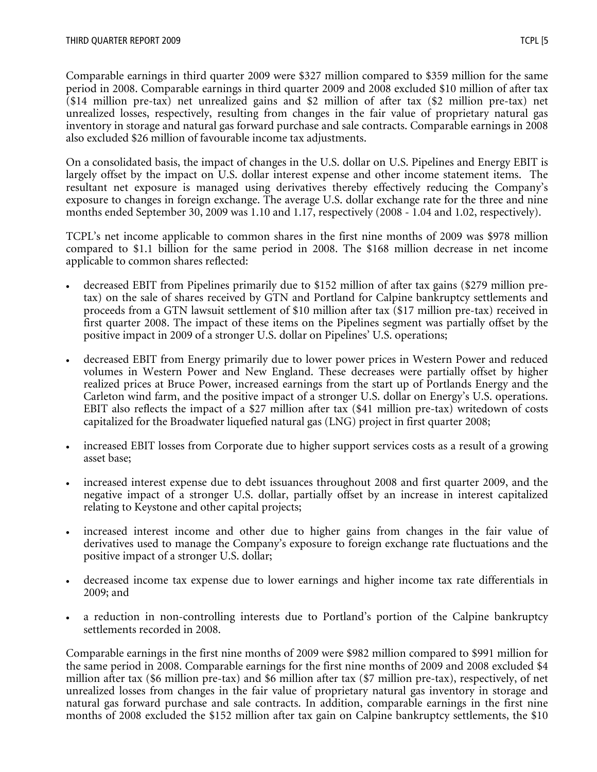Comparable earnings in third quarter 2009 were \$327 million compared to \$359 million for the same period in 2008. Comparable earnings in third quarter 2009 and 2008 excluded \$10 million of after tax (\$14 million pre-tax) net unrealized gains and \$2 million of after tax (\$2 million pre-tax) net unrealized losses, respectively, resulting from changes in the fair value of proprietary natural gas inventory in storage and natural gas forward purchase and sale contracts. Comparable earnings in 2008 also excluded \$26 million of favourable income tax adjustments.

On a consolidated basis, the impact of changes in the U.S. dollar on U.S. Pipelines and Energy EBIT is largely offset by the impact on U.S. dollar interest expense and other income statement items. The resultant net exposure is managed using derivatives thereby effectively reducing the Company's exposure to changes in foreign exchange. The average U.S. dollar exchange rate for the three and nine months ended September 30, 2009 was 1.10 and 1.17, respectively (2008 - 1.04 and 1.02, respectively).

TCPL's net income applicable to common shares in the first nine months of 2009 was \$978 million compared to \$1.1 billion for the same period in 2008. The \$168 million decrease in net income applicable to common shares reflected:

- decreased EBIT from Pipelines primarily due to \$152 million of after tax gains (\$279 million pretax) on the sale of shares received by GTN and Portland for Calpine bankruptcy settlements and proceeds from a GTN lawsuit settlement of \$10 million after tax (\$17 million pre-tax) received in first quarter 2008. The impact of these items on the Pipelines segment was partially offset by the positive impact in 2009 of a stronger U.S. dollar on Pipelines' U.S. operations;
- decreased EBIT from Energy primarily due to lower power prices in Western Power and reduced volumes in Western Power and New England. These decreases were partially offset by higher realized prices at Bruce Power, increased earnings from the start up of Portlands Energy and the Carleton wind farm, and the positive impact of a stronger U.S. dollar on Energy's U.S. operations. EBIT also reflects the impact of a \$27 million after tax (\$41 million pre-tax) writedown of costs capitalized for the Broadwater liquefied natural gas (LNG) project in first quarter 2008;
- increased EBIT losses from Corporate due to higher support services costs as a result of a growing asset base;
- increased interest expense due to debt issuances throughout 2008 and first quarter 2009, and the negative impact of a stronger U.S. dollar, partially offset by an increase in interest capitalized relating to Keystone and other capital projects;
- increased interest income and other due to higher gains from changes in the fair value of derivatives used to manage the Company's exposure to foreign exchange rate fluctuations and the positive impact of a stronger U.S. dollar;
- decreased income tax expense due to lower earnings and higher income tax rate differentials in 2009; and
- a reduction in non-controlling interests due to Portland's portion of the Calpine bankruptcy settlements recorded in 2008.

Comparable earnings in the first nine months of 2009 were \$982 million compared to \$991 million for the same period in 2008. Comparable earnings for the first nine months of 2009 and 2008 excluded \$4 million after tax (\$6 million pre-tax) and \$6 million after tax (\$7 million pre-tax), respectively, of net unrealized losses from changes in the fair value of proprietary natural gas inventory in storage and natural gas forward purchase and sale contracts. In addition, comparable earnings in the first nine months of 2008 excluded the \$152 million after tax gain on Calpine bankruptcy settlements, the \$10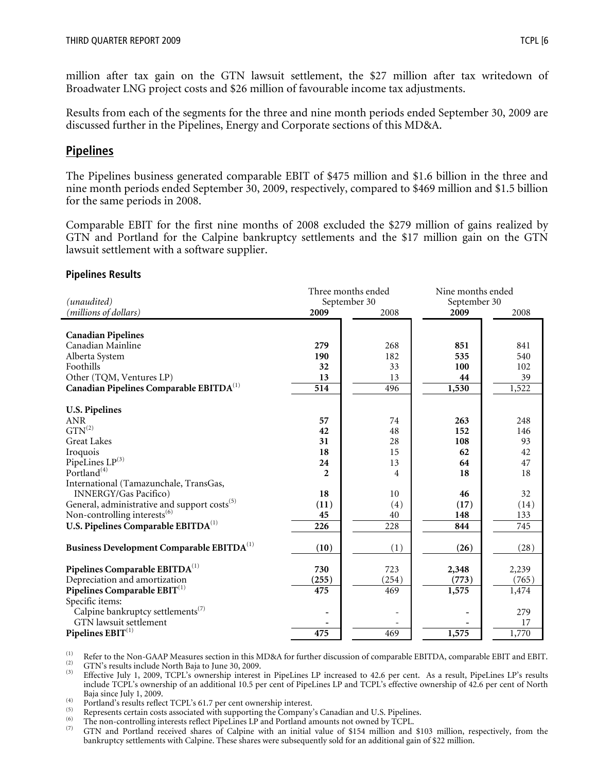million after tax gain on the GTN lawsuit settlement, the \$27 million after tax writedown of Broadwater LNG project costs and \$26 million of favourable income tax adjustments.

Results from each of the segments for the three and nine month periods ended September 30, 2009 are discussed further in the Pipelines, Energy and Corporate sections of this MD&A.

# **Pipelines**

The Pipelines business generated comparable EBIT of \$475 million and \$1.6 billion in the three and nine month periods ended September 30, 2009, respectively, compared to \$469 million and \$1.5 billion for the same periods in 2008.

Comparable EBIT for the first nine months of 2008 excluded the \$279 million of gains realized by GTN and Portland for the Calpine bankruptcy settlements and the \$17 million gain on the GTN lawsuit settlement with a software supplier.

#### **Pipelines Results**

|                                                          |                  | Three months ended | Nine months ended |       |  |
|----------------------------------------------------------|------------------|--------------------|-------------------|-------|--|
| (unaudited)                                              |                  | September 30       | September 30      |       |  |
| (millions of dollars)                                    | 2009             | 2008               | 2009              | 2008  |  |
|                                                          |                  |                    |                   |       |  |
| <b>Canadian Pipelines</b>                                |                  |                    |                   |       |  |
| Canadian Mainline                                        | 279              | 268                | 851               | 841   |  |
| Alberta System                                           | 190              | 182                | 535               | 540   |  |
| Foothills                                                | 32               | 33                 | 100               | 102   |  |
| Other (TQM, Ventures LP)                                 | 13               | 13                 | 44                | 39    |  |
| Canadian Pipelines Comparable EBITDA <sup>(1)</sup>      | $\overline{514}$ | 496                | 1,530             | 1,522 |  |
|                                                          |                  |                    |                   |       |  |
| <b>U.S. Pipelines</b>                                    |                  |                    |                   |       |  |
| <b>ANR</b>                                               | 57               | 74                 | 263               | 248   |  |
| $GTN^{(2)}$                                              | 42               | 48                 | 152               | 146   |  |
| <b>Great Lakes</b>                                       | 31               | 28                 | 108               | 93    |  |
| Iroquois                                                 | 18               | 15                 | 62                | 42    |  |
| PipeLines LP(3)                                          | 24               | 13                 | 64                | 47    |  |
| Portland <sup>(4)</sup>                                  | $\mathfrak{p}$   | 4                  | 18                | 18    |  |
| International (Tamazunchale, TransGas,                   |                  |                    |                   |       |  |
| <b>INNERGY/Gas Pacifico)</b>                             | 18               | 10                 | 46                | 32    |  |
| General, administrative and support costs <sup>(5)</sup> | (11)             | (4)                | (17)              | (14)  |  |
| Non-controlling interests <sup>(6)</sup>                 | 45               | 40                 | 148               | 133   |  |
| U.S. Pipelines Comparable EBITDA <sup>(1)</sup>          | 226              | 228                | 844               | 745   |  |
|                                                          |                  |                    |                   |       |  |
| Business Development Comparable EBITDA <sup>(1)</sup>    | (10)             | (1)                | (26)              | (28)  |  |
|                                                          |                  |                    |                   |       |  |
| Pipelines Comparable EBITDA <sup>(1)</sup>               | 730              | 723                | 2,348             | 2,239 |  |
| Depreciation and amortization                            | (255)            | (254)              | (773)             | (765) |  |
| Pipelines Comparable $EBIT^{(1)}$                        | 475              | 469                | 1,575             | 1,474 |  |
| Specific items:                                          |                  |                    |                   |       |  |
| Calpine bankruptcy settlements <sup>(7)</sup>            |                  |                    |                   | 279   |  |
| <b>GTN</b> lawsuit settlement                            |                  |                    |                   | 17    |  |
| Pipelines $\mathrm{EBIT}^{(1)}$                          | 475              | 469                | 1,575             | 1,770 |  |

The US of the Non-GAAP Measures section in this MD&A for further discussion of comparable EBITDA, comparable EBIT and EBIT.<br>
(2) GTN's results include North Baja to June 30, 2009.<br>
(3) Effective July 1, 2009, TCPL's owner include TCPL's ownership of an additional 10.5 per cent of PipeLines LP and TCPL's effective ownership of 42.6 per cent of North

Baja since July 1, 2009.<br>
(a) Portland's results reflect TCPL's 61.7 per cent ownership interest.<br>
(5) Portland's results reflect TCPL's 61.7 per cent ownership interest.<br>
(5) The non-controlling interests reflect PipeLin bankruptcy settlements with Calpine. These shares were subsequently sold for an additional gain of \$22 million.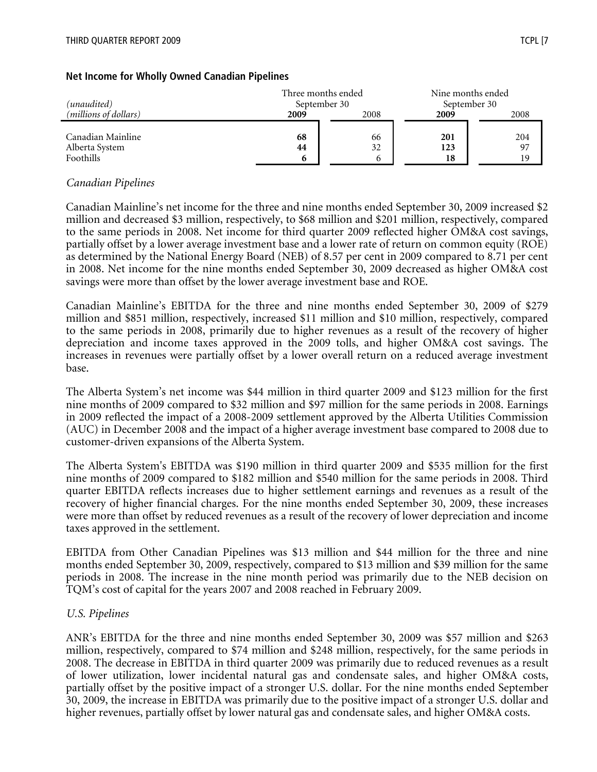| (unaudited)                                      |               | Three months ended<br>September 30 |                  | Nine months ended<br>September 30 |
|--------------------------------------------------|---------------|------------------------------------|------------------|-----------------------------------|
| (millions of dollars)                            | 2009          | 2008                               | 2009             | 2008                              |
| Canadian Mainline<br>Alberta System<br>Foothills | 68<br>44<br>6 | 66<br>32                           | 201<br>123<br>18 | 204<br>97<br>19                   |

#### **Net Income for Wholly Owned Canadian Pipelines**

#### *Canadian Pipelines*

Canadian Mainline's net income for the three and nine months ended September 30, 2009 increased \$2 million and decreased \$3 million, respectively, to \$68 million and \$201 million, respectively, compared to the same periods in 2008. Net income for third quarter 2009 reflected higher OM&A cost savings, partially offset by a lower average investment base and a lower rate of return on common equity (ROE) as determined by the National Energy Board (NEB) of 8.57 per cent in 2009 compared to 8.71 per cent in 2008. Net income for the nine months ended September 30, 2009 decreased as higher OM&A cost savings were more than offset by the lower average investment base and ROE.

Canadian Mainline's EBITDA for the three and nine months ended September 30, 2009 of \$279 million and \$851 million, respectively, increased \$11 million and \$10 million, respectively, compared to the same periods in 2008, primarily due to higher revenues as a result of the recovery of higher depreciation and income taxes approved in the 2009 tolls, and higher OM&A cost savings. The increases in revenues were partially offset by a lower overall return on a reduced average investment base.

The Alberta System's net income was \$44 million in third quarter 2009 and \$123 million for the first nine months of 2009 compared to \$32 million and \$97 million for the same periods in 2008. Earnings in 2009 reflected the impact of a 2008-2009 settlement approved by the Alberta Utilities Commission (AUC) in December 2008 and the impact of a higher average investment base compared to 2008 due to customer-driven expansions of the Alberta System.

The Alberta System's EBITDA was \$190 million in third quarter 2009 and \$535 million for the first nine months of 2009 compared to \$182 million and \$540 million for the same periods in 2008. Third quarter EBITDA reflects increases due to higher settlement earnings and revenues as a result of the recovery of higher financial charges. For the nine months ended September 30, 2009, these increases were more than offset by reduced revenues as a result of the recovery of lower depreciation and income taxes approved in the settlement.

EBITDA from Other Canadian Pipelines was \$13 million and \$44 million for the three and nine months ended September 30, 2009, respectively, compared to \$13 million and \$39 million for the same periods in 2008. The increase in the nine month period was primarily due to the NEB decision on TQM's cost of capital for the years 2007 and 2008 reached in February 2009.

#### *U.S. Pipelines*

ANR's EBITDA for the three and nine months ended September 30, 2009 was \$57 million and \$263 million, respectively, compared to \$74 million and \$248 million, respectively, for the same periods in 2008. The decrease in EBITDA in third quarter 2009 was primarily due to reduced revenues as a result of lower utilization, lower incidental natural gas and condensate sales, and higher OM&A costs, partially offset by the positive impact of a stronger U.S. dollar. For the nine months ended September 30, 2009, the increase in EBITDA was primarily due to the positive impact of a stronger U.S. dollar and higher revenues, partially offset by lower natural gas and condensate sales, and higher OM&A costs.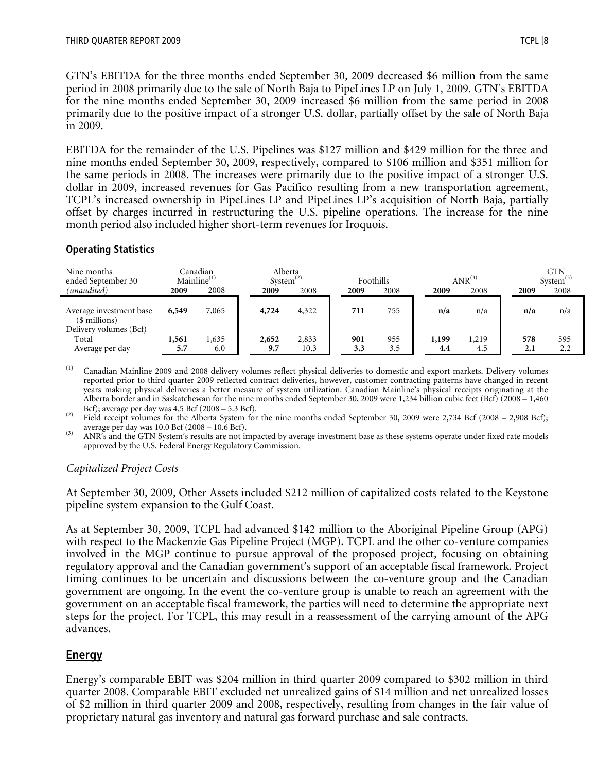GTN's EBITDA for the three months ended September 30, 2009 decreased \$6 million from the same period in 2008 primarily due to the sale of North Baja to PipeLines LP on July 1, 2009. GTN's EBITDA for the nine months ended September 30, 2009 increased \$6 million from the same period in 2008 primarily due to the positive impact of a stronger U.S. dollar, partially offset by the sale of North Baja in 2009.

EBITDA for the remainder of the U.S. Pipelines was \$127 million and \$429 million for the three and nine months ended September 30, 2009, respectively, compared to \$106 million and \$351 million for the same periods in 2008. The increases were primarily due to the positive impact of a stronger U.S. dollar in 2009, increased revenues for Gas Pacifico resulting from a new transportation agreement, TCPL's increased ownership in PipeLines LP and PipeLines LP's acquisition of North Baja, partially offset by charges incurred in restructuring the U.S. pipeline operations. The increase for the nine month period also included higher short-term revenues for Iroquois.

#### **Operating Statistics**

| Nine months<br>ended September 30                                  | Mainline <sup>(1)</sup> | Canadian     |              | Alberta<br>System <sup>(2)</sup> | Foothills  |            |              | $ANR^{(3)}$  |            | <b>GTN</b><br>$System^{(3)}$ |
|--------------------------------------------------------------------|-------------------------|--------------|--------------|----------------------------------|------------|------------|--------------|--------------|------------|------------------------------|
| (unaudited)                                                        | 2009                    | 2008         | 2009         | 2008                             | 2009       | 2008       | 2009         | 2008         | 2009       | 2008                         |
| Average investment base<br>$$$ millions)<br>Delivery volumes (Bcf) | 6,549                   | 7,065        | 4,724        | 4,322                            | 711        | 755        | n/a          | n/a          | n/a        | n/a                          |
| Total<br>Average per day                                           | 1,561<br>5.7            | 1,635<br>6.0 | 2,652<br>9.7 | 2,833<br>10.3                    | 901<br>3.3 | 955<br>3.5 | 1,199<br>4.4 | 1,219<br>4.5 | 578<br>2.1 | 595<br>2.2                   |

(1) Canadian Mainline 2009 and 2008 delivery volumes reflect physical deliveries to domestic and export markets. Delivery volumes reported prior to third quarter 2009 reflected contract deliveries, however, customer contracting patterns have changed in recent years making physical deliveries a better measure of system utilization. Canadian Mainline's physical receipts originating at the Alberta border and in Saskatchewan for the nine months ended September 30, 2009 were 1,234 billion cubic feet (Bcf) (2008 – 1,460

Bcf); average per day was 4.5 Bcf (2008 – 5.3 Bcf).<br>
<sup>(2)</sup> Field receipt volumes for the Alberta System for the nine months ended September 30, 2009 were 2,734 Bcf (2008 – 2,908 Bcf);<br>
average per day was 10.0 Bcf (2008 –

<sup>(3)</sup> ANR's and the GTN System's results are not impacted by average investment base as these systems operate under fixed rate models approved by the U.S. Federal Energy Regulatory Commission.

# *Capitalized Project Costs*

At September 30, 2009, Other Assets included \$212 million of capitalized costs related to the Keystone pipeline system expansion to the Gulf Coast.

As at September 30, 2009, TCPL had advanced \$142 million to the Aboriginal Pipeline Group (APG) with respect to the Mackenzie Gas Pipeline Project (MGP). TCPL and the other co-venture companies involved in the MGP continue to pursue approval of the proposed project, focusing on obtaining regulatory approval and the Canadian government's support of an acceptable fiscal framework. Project timing continues to be uncertain and discussions between the co-venture group and the Canadian government are ongoing. In the event the co-venture group is unable to reach an agreement with the government on an acceptable fiscal framework, the parties will need to determine the appropriate next steps for the project. For TCPL, this may result in a reassessment of the carrying amount of the APG advances.

# **Energy**

Energy's comparable EBIT was \$204 million in third quarter 2009 compared to \$302 million in third quarter 2008. Comparable EBIT excluded net unrealized gains of \$14 million and net unrealized losses of \$2 million in third quarter 2009 and 2008, respectively, resulting from changes in the fair value of proprietary natural gas inventory and natural gas forward purchase and sale contracts.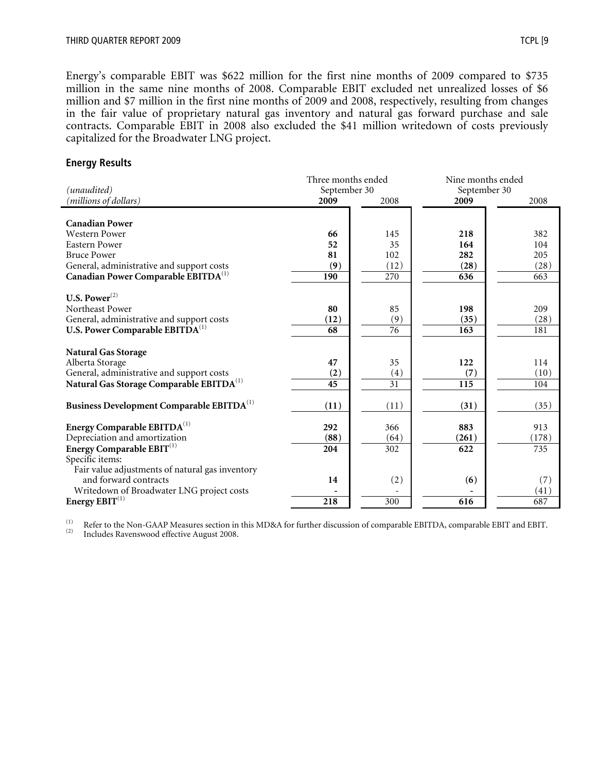Energy's comparable EBIT was \$622 million for the first nine months of 2009 compared to \$735 million in the same nine months of 2008. Comparable EBIT excluded net unrealized losses of \$6 million and \$7 million in the first nine months of 2009 and 2008, respectively, resulting from changes in the fair value of proprietary natural gas inventory and natural gas forward purchase and sale contracts. Comparable EBIT in 2008 also excluded the \$41 million writedown of costs previously capitalized for the Broadwater LNG project.

#### **Energy Results**

| (unaudited)                                                        | Three months ended<br>September 30 |      |                  | Nine months ended<br>September 30 |  |  |
|--------------------------------------------------------------------|------------------------------------|------|------------------|-----------------------------------|--|--|
| (millions of dollars)                                              | 2009                               | 2008 | 2009             | 2008                              |  |  |
| <b>Canadian Power</b>                                              |                                    |      |                  |                                   |  |  |
| <b>Western Power</b>                                               | 66                                 | 145  | 218              | 382                               |  |  |
| <b>Eastern Power</b>                                               | 52                                 | 35   | 164              | 104                               |  |  |
| <b>Bruce Power</b>                                                 | 81                                 | 102  | 282              | 205                               |  |  |
| General, administrative and support costs                          | (9)                                | (12) | (28)             | (28)                              |  |  |
| Canadian Power Comparable EBITDA <sup>(1)</sup>                    | 190                                | 270  | 636              | 663                               |  |  |
| U.S. Power $^{(2)}$                                                |                                    |      |                  |                                   |  |  |
| Northeast Power                                                    | 80                                 | 85   | 198              | 209                               |  |  |
| General, administrative and support costs                          | (12)                               | (9)  | (35)             | (28)                              |  |  |
| U.S. Power Comparable EBITDA <sup>(1)</sup>                        | 68                                 | 76   | 163              | 181                               |  |  |
| <b>Natural Gas Storage</b><br>Alberta Storage                      | 47                                 | 35   | 122              | 114                               |  |  |
| General, administrative and support costs                          | (2)                                | (4)  | (7)              | (10)                              |  |  |
| Natural Gas Storage Comparable EBITDA <sup>(1)</sup>               | $\overline{45}$                    | 31   | $\overline{115}$ | 104                               |  |  |
| Business Development Comparable EBITDA <sup>(1)</sup>              | (11)                               | (11) | (31)             | (35)                              |  |  |
| Energy Comparable $EBITDA(1)$                                      | 292                                | 366  | 883              | 913                               |  |  |
| Depreciation and amortization                                      | (88)                               | (64) | (261)            | (178)                             |  |  |
| Energy Comparable $EBIT^{(1)}$                                     | 204                                | 302  | 622              | 735                               |  |  |
| Specific items:<br>Fair value adjustments of natural gas inventory |                                    |      |                  |                                   |  |  |
| and forward contracts                                              | 14                                 | (2)  | (6)              | (7)                               |  |  |
| Writedown of Broadwater LNG project costs                          |                                    |      |                  | (41)                              |  |  |
| Energy $EBIT^{(1)}$                                                | 218                                | 300  | 616              | 687                               |  |  |

(1) Refer to the Non-GAAP Measures section in this MD&A for further discussion of comparable EBITDA, comparable EBIT and EBIT.<br>
Includes Ravenswood effective August 2008.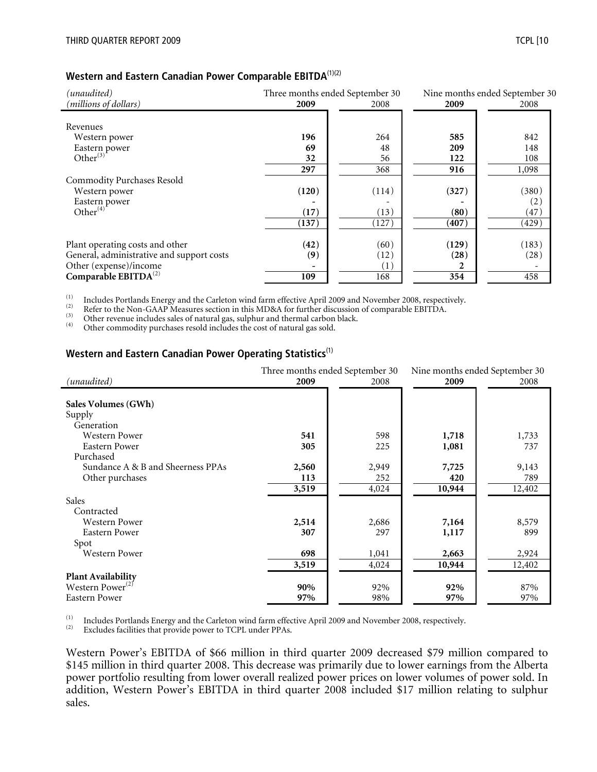#### **Western and Eastern Canadian Power Comparable EBITDA**(1)(2)

| (unaudited)                               | Three months ended September 30 |       |       | Nine months ended September 30 |  |
|-------------------------------------------|---------------------------------|-------|-------|--------------------------------|--|
| (millions of dollars)                     | 2009                            | 2008  | 2009  | 2008                           |  |
|                                           |                                 |       |       |                                |  |
| Revenues                                  |                                 |       |       |                                |  |
| Western power                             | 196                             | 264   | 585   | 842                            |  |
| Eastern power                             | 69                              | 48    | 209   | 148                            |  |
| Other $^{(3)}$                            | 32                              | 56    | 122   | 108                            |  |
|                                           | 297                             | 368   | 916   | 1,098                          |  |
| <b>Commodity Purchases Resold</b>         |                                 |       |       |                                |  |
| Western power                             | (120)                           | (114) | (327) | (380)                          |  |
| Eastern power                             |                                 |       |       | (2)                            |  |
| Other $(\vec{4})$                         | (17)                            | (13)  | (80)  | (47)                           |  |
|                                           | (137)                           | (127) | (407) | (429)                          |  |
|                                           |                                 |       |       |                                |  |
| Plant operating costs and other           | (42)                            | (60)  | (129) | (183)                          |  |
| General, administrative and support costs | (9)                             | (12)  | (28)  | (28)                           |  |
| Other (expense)/income                    |                                 | (1)   | 2     |                                |  |
| Comparable $EBITDA^{(2)}$                 | 109                             | 168   | 354   | 458                            |  |

The Unider Section of the Carleton wind farm effective April 2009 and November 2008, respectively.<br>
The Refer to the Non-GAAP Measures section in this MD&A for further discussion of comparable EBITDA.<br>
(3) Other revenue i

#### **Western and Eastern Canadian Power Operating Statistics**(1)

|                                   |       | Three months ended September 30 | Nine months ended September 30 |        |  |
|-----------------------------------|-------|---------------------------------|--------------------------------|--------|--|
| (unaudited)                       | 2009  | 2008                            | 2009                           | 2008   |  |
|                                   |       |                                 |                                |        |  |
| Sales Volumes (GWh)               |       |                                 |                                |        |  |
| Supply                            |       |                                 |                                |        |  |
| Generation                        |       |                                 |                                |        |  |
| <b>Western Power</b>              | 541   | 598                             | 1,718                          | 1,733  |  |
| Eastern Power                     | 305   | 225                             | 1,081                          | 737    |  |
| Purchased                         |       |                                 |                                |        |  |
| Sundance A & B and Sheerness PPAs | 2,560 | 2,949                           | 7,725                          | 9,143  |  |
| Other purchases                   | 113   | 252                             | 420                            | 789    |  |
|                                   | 3,519 | 4,024                           | 10,944                         | 12,402 |  |
| Sales                             |       |                                 |                                |        |  |
| Contracted                        |       |                                 |                                |        |  |
| Western Power                     | 2,514 | 2,686                           | 7,164                          | 8,579  |  |
| Eastern Power                     | 307   | 297                             | 1,117                          | 899    |  |
| Spot                              |       |                                 |                                |        |  |
| <b>Western Power</b>              | 698   | 1,041                           | 2,663                          | 2,924  |  |
|                                   | 3,519 | 4,024                           | 10,944                         | 12,402 |  |
| <b>Plant Availability</b>         |       |                                 |                                |        |  |
| Western Power <sup>(2)</sup>      | 90%   | 92%                             | 92%                            | 87%    |  |
| <b>Eastern Power</b>              | 97%   | 98%                             | 97%                            | 97%    |  |

The Includes Portlands Energy and the Carleton wind farm effective April 2009 and November 2008, respectively.<br>  $\frac{1}{2}$  Excludes facilities that provide power to TCPL under PPAs.

Western Power's EBITDA of \$66 million in third quarter 2009 decreased \$79 million compared to \$145 million in third quarter 2008. This decrease was primarily due to lower earnings from the Alberta power portfolio resulting from lower overall realized power prices on lower volumes of power sold. In addition, Western Power's EBITDA in third quarter 2008 included \$17 million relating to sulphur sales.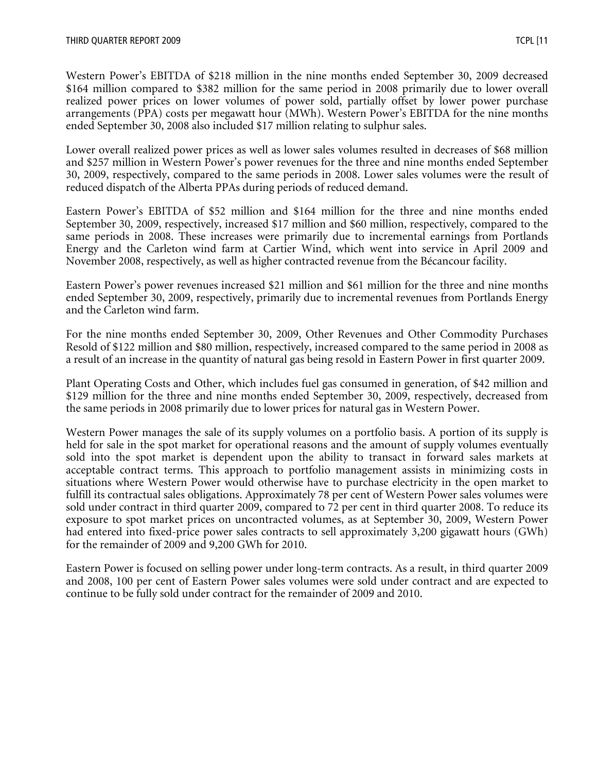Western Power's EBITDA of \$218 million in the nine months ended September 30, 2009 decreased \$164 million compared to \$382 million for the same period in 2008 primarily due to lower overall realized power prices on lower volumes of power sold, partially offset by lower power purchase arrangements (PPA) costs per megawatt hour (MWh). Western Power's EBITDA for the nine months ended September 30, 2008 also included \$17 million relating to sulphur sales.

Lower overall realized power prices as well as lower sales volumes resulted in decreases of \$68 million and \$257 million in Western Power's power revenues for the three and nine months ended September 30, 2009, respectively, compared to the same periods in 2008. Lower sales volumes were the result of reduced dispatch of the Alberta PPAs during periods of reduced demand.

Eastern Power's EBITDA of \$52 million and \$164 million for the three and nine months ended September 30, 2009, respectively, increased \$17 million and \$60 million, respectively, compared to the same periods in 2008. These increases were primarily due to incremental earnings from Portlands Energy and the Carleton wind farm at Cartier Wind, which went into service in April 2009 and November 2008, respectively, as well as higher contracted revenue from the Bécancour facility.

Eastern Power's power revenues increased \$21 million and \$61 million for the three and nine months ended September 30, 2009, respectively, primarily due to incremental revenues from Portlands Energy and the Carleton wind farm.

For the nine months ended September 30, 2009, Other Revenues and Other Commodity Purchases Resold of \$122 million and \$80 million, respectively, increased compared to the same period in 2008 as a result of an increase in the quantity of natural gas being resold in Eastern Power in first quarter 2009.

Plant Operating Costs and Other, which includes fuel gas consumed in generation, of \$42 million and \$129 million for the three and nine months ended September 30, 2009, respectively, decreased from the same periods in 2008 primarily due to lower prices for natural gas in Western Power.

Western Power manages the sale of its supply volumes on a portfolio basis. A portion of its supply is held for sale in the spot market for operational reasons and the amount of supply volumes eventually sold into the spot market is dependent upon the ability to transact in forward sales markets at acceptable contract terms. This approach to portfolio management assists in minimizing costs in situations where Western Power would otherwise have to purchase electricity in the open market to fulfill its contractual sales obligations. Approximately 78 per cent of Western Power sales volumes were sold under contract in third quarter 2009, compared to 72 per cent in third quarter 2008. To reduce its exposure to spot market prices on uncontracted volumes, as at September 30, 2009, Western Power had entered into fixed-price power sales contracts to sell approximately 3,200 gigawatt hours (GWh) for the remainder of 2009 and 9,200 GWh for 2010.

Eastern Power is focused on selling power under long-term contracts. As a result, in third quarter 2009 and 2008, 100 per cent of Eastern Power sales volumes were sold under contract and are expected to continue to be fully sold under contract for the remainder of 2009 and 2010.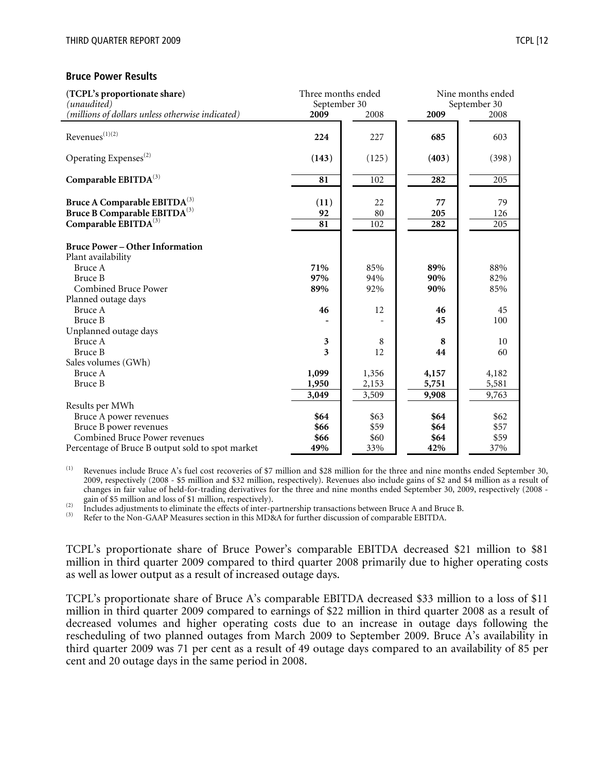#### **Bruce Power Results**

| (TCPL's proportionate share)<br>(unaudited)                  | Three months ended<br>September 30 |       |       | Nine months ended<br>September 30 |
|--------------------------------------------------------------|------------------------------------|-------|-------|-----------------------------------|
| (millions of dollars unless otherwise indicated)             | 2009                               | 2008  | 2009  | 2008                              |
| $Revenues^{(1)(2)}$                                          | 224                                | 227   | 685   | 603                               |
|                                                              |                                    |       |       |                                   |
| Operating Expenses <sup>(2)</sup>                            | (143)                              | (125) | (403) | (398)                             |
| Comparable EBITDA <sup>(3)</sup>                             | 81                                 | 102   | 282   | 205                               |
| Bruce A Comparable EBITDA <sup>(3)</sup>                     | (11)                               | 22    | 77    | 79                                |
| Bruce B Comparable EBITDA <sup>(3)</sup>                     | 92                                 | 80    | 205   | 126                               |
| Comparable EBITDA <sup>(3)</sup>                             | 81                                 | 102   | 282   | 205                               |
| <b>Bruce Power - Other Information</b><br>Plant availability |                                    |       |       |                                   |
| Bruce A                                                      | 71%                                | 85%   | 89%   | 88%                               |
| <b>Bruce B</b>                                               | 97%                                | 94%   | 90%   | 82%                               |
| <b>Combined Bruce Power</b>                                  | 89%                                | 92%   | 90%   | 85%                               |
| Planned outage days                                          |                                    |       |       |                                   |
| Bruce A                                                      | 46                                 | 12    | 46    | 45                                |
| <b>Bruce B</b>                                               |                                    |       | 45    | 100                               |
| Unplanned outage days                                        |                                    |       |       |                                   |
| Bruce A                                                      | 3                                  | 8     | 8     | 10                                |
| Bruce B                                                      | 3                                  | 12    | 44    | 60                                |
| Sales volumes (GWh)                                          |                                    |       |       |                                   |
| Bruce A                                                      | 1,099                              | 1,356 | 4,157 | 4,182                             |
| <b>Bruce B</b>                                               | 1,950                              | 2,153 | 5,751 | 5,581                             |
|                                                              | 3,049                              | 3,509 | 9,908 | 9,763                             |
| Results per MWh                                              |                                    |       |       |                                   |
| Bruce A power revenues                                       | \$64                               | \$63  | \$64  | \$62                              |
| Bruce B power revenues                                       | \$66                               | \$59  | \$64  | \$57                              |
| <b>Combined Bruce Power revenues</b>                         | \$66                               | \$60  | \$64  | \$59                              |
| Percentage of Bruce B output sold to spot market             | 49%                                | 33%   | 42%   | 37%                               |

 $(1)$  Revenues include Bruce A's fuel cost recoveries of \$7 million and \$28 million for the three and nine months ended September 30, 2009, respectively (2008 - \$5 million and \$32 million, respectively). Revenues also include gains of \$2 and \$4 million as a result of changes in fair value of held-for-trading derivatives for the three and nine months ended September 30, 2009, respectively (2008 -

(2) Includes adjustments to eliminate the effects of inter-partnership transactions between Bruce A and Bruce B.<br>(3) Refer to the Non-GAAP Measures section in this MD&A for further discussion of comparable EBITDA.

TCPL's proportionate share of Bruce Power's comparable EBITDA decreased \$21 million to \$81 million in third quarter 2009 compared to third quarter 2008 primarily due to higher operating costs as well as lower output as a result of increased outage days.

TCPL's proportionate share of Bruce A's comparable EBITDA decreased \$33 million to a loss of \$11 million in third quarter 2009 compared to earnings of \$22 million in third quarter 2008 as a result of decreased volumes and higher operating costs due to an increase in outage days following the rescheduling of two planned outages from March 2009 to September 2009. Bruce A's availability in third quarter 2009 was 71 per cent as a result of 49 outage days compared to an availability of 85 per cent and 20 outage days in the same period in 2008.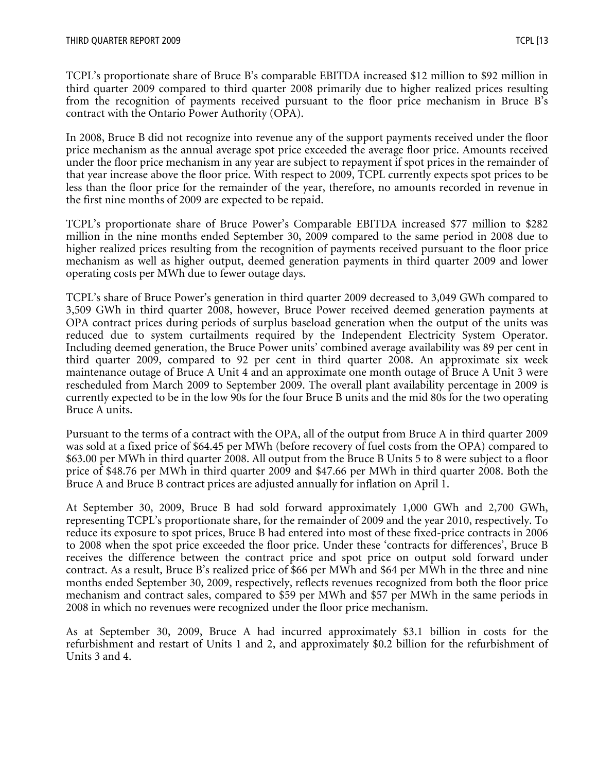TCPL's proportionate share of Bruce B's comparable EBITDA increased \$12 million to \$92 million in third quarter 2009 compared to third quarter 2008 primarily due to higher realized prices resulting from the recognition of payments received pursuant to the floor price mechanism in Bruce B's contract with the Ontario Power Authority (OPA).

In 2008, Bruce B did not recognize into revenue any of the support payments received under the floor price mechanism as the annual average spot price exceeded the average floor price. Amounts received under the floor price mechanism in any year are subject to repayment if spot prices in the remainder of that year increase above the floor price. With respect to 2009, TCPL currently expects spot prices to be less than the floor price for the remainder of the year, therefore, no amounts recorded in revenue in the first nine months of 2009 are expected to be repaid.

TCPL's proportionate share of Bruce Power's Comparable EBITDA increased \$77 million to \$282 million in the nine months ended September 30, 2009 compared to the same period in 2008 due to higher realized prices resulting from the recognition of payments received pursuant to the floor price mechanism as well as higher output, deemed generation payments in third quarter 2009 and lower operating costs per MWh due to fewer outage days.

TCPL's share of Bruce Power's generation in third quarter 2009 decreased to 3,049 GWh compared to 3,509 GWh in third quarter 2008, however, Bruce Power received deemed generation payments at OPA contract prices during periods of surplus baseload generation when the output of the units was reduced due to system curtailments required by the Independent Electricity System Operator. Including deemed generation, the Bruce Power units' combined average availability was 89 per cent in third quarter 2009, compared to 92 per cent in third quarter 2008. An approximate six week maintenance outage of Bruce A Unit 4 and an approximate one month outage of Bruce A Unit 3 were rescheduled from March 2009 to September 2009. The overall plant availability percentage in 2009 is currently expected to be in the low 90s for the four Bruce B units and the mid 80s for the two operating Bruce A units.

Pursuant to the terms of a contract with the OPA, all of the output from Bruce A in third quarter 2009 was sold at a fixed price of \$64.45 per MWh (before recovery of fuel costs from the OPA) compared to \$63.00 per MWh in third quarter 2008. All output from the Bruce B Units 5 to 8 were subject to a floor price of \$48.76 per MWh in third quarter 2009 and \$47.66 per MWh in third quarter 2008. Both the Bruce A and Bruce B contract prices are adjusted annually for inflation on April 1.

At September 30, 2009, Bruce B had sold forward approximately 1,000 GWh and 2,700 GWh, representing TCPL's proportionate share, for the remainder of 2009 and the year 2010, respectively. To reduce its exposure to spot prices, Bruce B had entered into most of these fixed-price contracts in 2006 to 2008 when the spot price exceeded the floor price. Under these 'contracts for differences', Bruce B receives the difference between the contract price and spot price on output sold forward under contract. As a result, Bruce B's realized price of \$66 per MWh and \$64 per MWh in the three and nine months ended September 30, 2009, respectively, reflects revenues recognized from both the floor price mechanism and contract sales, compared to \$59 per MWh and \$57 per MWh in the same periods in 2008 in which no revenues were recognized under the floor price mechanism.

As at September 30, 2009, Bruce A had incurred approximately \$3.1 billion in costs for the refurbishment and restart of Units 1 and 2, and approximately \$0.2 billion for the refurbishment of Units 3 and 4.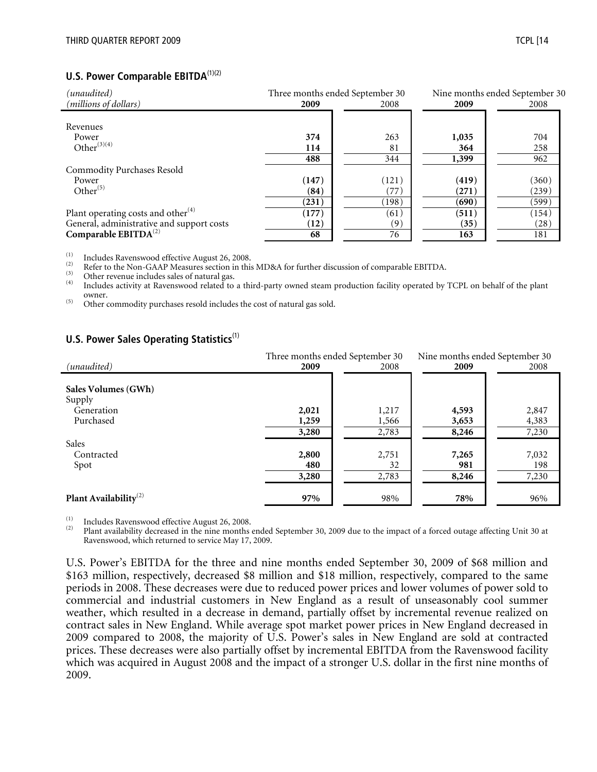#### **U.S. Power Comparable EBITDA**<sup>(1)(2)</sup>

| (unaudited)                               | Three months ended September 30 |       | Nine months ended September 30 |       |  |
|-------------------------------------------|---------------------------------|-------|--------------------------------|-------|--|
| (millions of dollars)                     | 2009                            | 2008  | 2009                           | 2008  |  |
|                                           |                                 |       |                                |       |  |
| Revenues                                  |                                 |       |                                |       |  |
| Power                                     | 374                             | 263   | 1,035                          | 704   |  |
| Other $^{(3)(4)}$                         | 114                             | 81    | 364                            | 258   |  |
|                                           | 488                             | 344   | 1,399                          | 962   |  |
| <b>Commodity Purchases Resold</b>         |                                 |       |                                |       |  |
| Power                                     | (147)                           | (121) | (419)                          | (360) |  |
| Other $^{(5)}$                            | (84)                            | 77`   | (271)                          | (239) |  |
|                                           | (231)                           | (198) | (690)                          | (599) |  |
| Plant operating costs and other $(4)$     | (177)                           | (61)  | (511)                          | (154) |  |
| General, administrative and support costs | (12)                            | (9)   | (35)                           | (28)  |  |
| Comparable EBITDA <sup>(2)</sup>          | 68                              | 76    | 163                            | 181   |  |

The Summon in this MD&A for further discussion of comparable EBITDA.<br>
The Summon GAAP Measures section in this MD&A for further discussion of comparable EBITDA.<br>
(3) Other revenue includes sales of natural gas.<br>
(4) Inclu owner. (5) Other commodity purchases resold includes the cost of natural gas sold.

#### **U.S. Power Sales Operating Statistics**<sup>(1)</sup>

|                                   | Three months ended September 30 | Nine months ended September 30 |       |       |
|-----------------------------------|---------------------------------|--------------------------------|-------|-------|
| (unaudited)                       | 2009                            | 2008                           | 2009  | 2008  |
|                                   |                                 |                                |       |       |
| Sales Volumes (GWh)               |                                 |                                |       |       |
| Supply                            |                                 |                                |       |       |
| Generation                        | 2,021                           | 1,217                          | 4,593 | 2,847 |
| Purchased                         | 1,259                           | 1,566                          | 3,653 | 4,383 |
|                                   | 3,280                           | 2,783                          | 8,246 | 7,230 |
| Sales                             |                                 |                                |       |       |
| Contracted                        | 2,800                           | 2,751                          | 7,265 | 7,032 |
| Spot                              | 480                             | 32                             | 981   | 198   |
|                                   | 3,280                           | 2,783                          | 8,246 | 7,230 |
|                                   |                                 |                                |       |       |
| Plant Availability <sup>(2)</sup> | 97%                             | 98%                            | 78%   | 96%   |

(1) Includes Ravenswood effective August 26, 2008.<br>(2) Plant availability decreased in the nine months ended September 30, 2009 due to the impact of a forced outage affecting Unit 30 at Ravenswood, which returned to service May 17, 2009.

U.S. Power's EBITDA for the three and nine months ended September 30, 2009 of \$68 million and \$163 million, respectively, decreased \$8 million and \$18 million, respectively, compared to the same periods in 2008. These decreases were due to reduced power prices and lower volumes of power sold to commercial and industrial customers in New England as a result of unseasonably cool summer weather, which resulted in a decrease in demand, partially offset by incremental revenue realized on contract sales in New England. While average spot market power prices in New England decreased in 2009 compared to 2008, the majority of U.S. Power's sales in New England are sold at contracted prices. These decreases were also partially offset by incremental EBITDA from the Ravenswood facility which was acquired in August 2008 and the impact of a stronger U.S. dollar in the first nine months of 2009.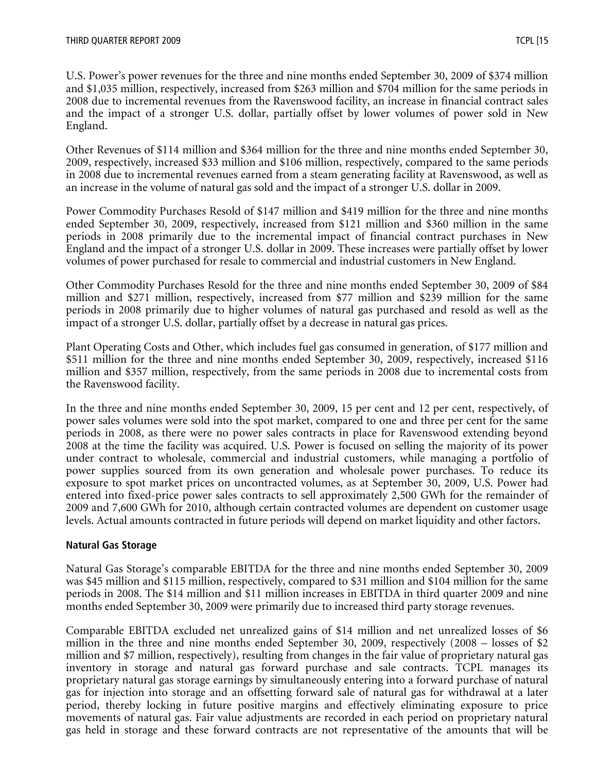U.S. Power's power revenues for the three and nine months ended September 30, 2009 of \$374 million and \$1,035 million, respectively, increased from \$263 million and \$704 million for the same periods in 2008 due to incremental revenues from the Ravenswood facility, an increase in financial contract sales and the impact of a stronger U.S. dollar, partially offset by lower volumes of power sold in New England.

Other Revenues of \$114 million and \$364 million for the three and nine months ended September 30, 2009, respectively, increased \$33 million and \$106 million, respectively, compared to the same periods in 2008 due to incremental revenues earned from a steam generating facility at Ravenswood, as well as an increase in the volume of natural gas sold and the impact of a stronger U.S. dollar in 2009.

Power Commodity Purchases Resold of \$147 million and \$419 million for the three and nine months ended September 30, 2009, respectively, increased from \$121 million and \$360 million in the same periods in 2008 primarily due to the incremental impact of financial contract purchases in New England and the impact of a stronger U.S. dollar in 2009. These increases were partially offset by lower volumes of power purchased for resale to commercial and industrial customers in New England.

Other Commodity Purchases Resold for the three and nine months ended September 30, 2009 of \$84 million and \$271 million, respectively, increased from \$77 million and \$239 million for the same periods in 2008 primarily due to higher volumes of natural gas purchased and resold as well as the impact of a stronger U.S. dollar, partially offset by a decrease in natural gas prices.

Plant Operating Costs and Other, which includes fuel gas consumed in generation, of \$177 million and \$511 million for the three and nine months ended September 30, 2009, respectively, increased \$116 million and \$357 million, respectively, from the same periods in 2008 due to incremental costs from the Ravenswood facility.

In the three and nine months ended September 30, 2009, 15 per cent and 12 per cent, respectively, of power sales volumes were sold into the spot market, compared to one and three per cent for the same periods in 2008, as there were no power sales contracts in place for Ravenswood extending beyond 2008 at the time the facility was acquired. U.S. Power is focused on selling the majority of its power under contract to wholesale, commercial and industrial customers, while managing a portfolio of power supplies sourced from its own generation and wholesale power purchases. To reduce its exposure to spot market prices on uncontracted volumes, as at September 30, 2009, U.S. Power had entered into fixed-price power sales contracts to sell approximately 2,500 GWh for the remainder of 2009 and 7,600 GWh for 2010, although certain contracted volumes are dependent on customer usage levels. Actual amounts contracted in future periods will depend on market liquidity and other factors.

#### **Natural Gas Storage**

Natural Gas Storage's comparable EBITDA for the three and nine months ended September 30, 2009 was \$45 million and \$115 million, respectively, compared to \$31 million and \$104 million for the same periods in 2008. The \$14 million and \$11 million increases in EBITDA in third quarter 2009 and nine months ended September 30, 2009 were primarily due to increased third party storage revenues.

Comparable EBITDA excluded net unrealized gains of \$14 million and net unrealized losses of \$6 million in the three and nine months ended September 30, 2009, respectively (2008 – losses of \$2 million and \$7 million, respectively), resulting from changes in the fair value of proprietary natural gas inventory in storage and natural gas forward purchase and sale contracts. TCPL manages its proprietary natural gas storage earnings by simultaneously entering into a forward purchase of natural gas for injection into storage and an offsetting forward sale of natural gas for withdrawal at a later period, thereby locking in future positive margins and effectively eliminating exposure to price movements of natural gas. Fair value adjustments are recorded in each period on proprietary natural gas held in storage and these forward contracts are not representative of the amounts that will be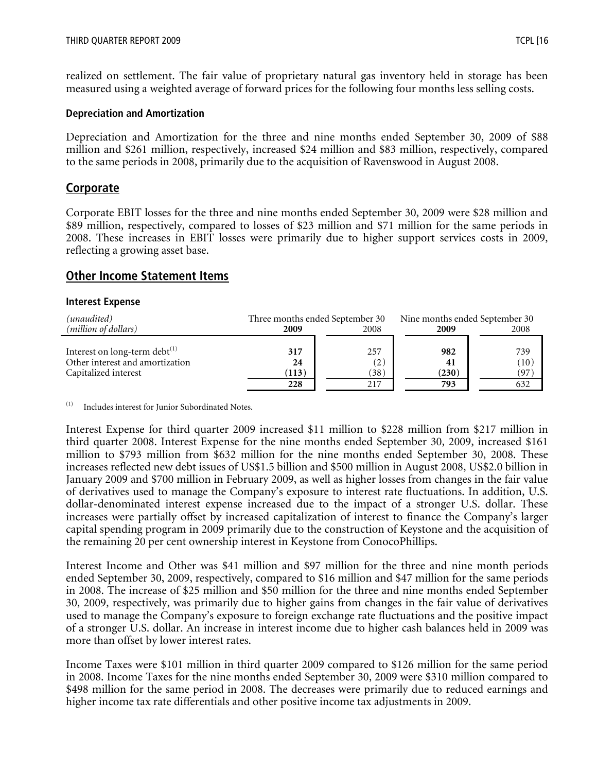realized on settlement. The fair value of proprietary natural gas inventory held in storage has been measured using a weighted average of forward prices for the following four months less selling costs.

#### **Depreciation and Amortization**

Depreciation and Amortization for the three and nine months ended September 30, 2009 of \$88 million and \$261 million, respectively, increased \$24 million and \$83 million, respectively, compared to the same periods in 2008, primarily due to the acquisition of Ravenswood in August 2008.

#### **Corporate**

Corporate EBIT losses for the three and nine months ended September 30, 2009 were \$28 million and \$89 million, respectively, compared to losses of \$23 million and \$71 million for the same periods in 2008. These increases in EBIT losses were primarily due to higher support services costs in 2009, reflecting a growing asset base.

#### **Other Income Statement Items**

#### **Interest Expense**

| (unaudited)                         | Three months ended September 30 |                   | Nine months ended September 30 |      |  |      |
|-------------------------------------|---------------------------------|-------------------|--------------------------------|------|--|------|
| ( <i>million of dollars</i> )       | 2009                            | 2008              |                                |      |  | 2008 |
| Interest on long-term debt $^{(1)}$ | 317                             | 257               | 982                            | 739  |  |      |
| Other interest and amortization     | 24                              | $\left( 2\right)$ | 41                             | (10) |  |      |
| Capitalized interest                | (113)                           | (38)              | (230)                          | (97) |  |      |
|                                     | 228                             | 217               | 793                            | 632  |  |      |

(1) Includes interest for Junior Subordinated Notes.

Interest Expense for third quarter 2009 increased \$11 million to \$228 million from \$217 million in third quarter 2008. Interest Expense for the nine months ended September 30, 2009, increased \$161 million to \$793 million from \$632 million for the nine months ended September 30, 2008. These increases reflected new debt issues of US\$1.5 billion and \$500 million in August 2008, US\$2.0 billion in January 2009 and \$700 million in February 2009, as well as higher losses from changes in the fair value of derivatives used to manage the Company's exposure to interest rate fluctuations. In addition, U.S. dollar-denominated interest expense increased due to the impact of a stronger U.S. dollar. These increases were partially offset by increased capitalization of interest to finance the Company's larger capital spending program in 2009 primarily due to the construction of Keystone and the acquisition of the remaining 20 per cent ownership interest in Keystone from ConocoPhillips.

Interest Income and Other was \$41 million and \$97 million for the three and nine month periods ended September 30, 2009, respectively, compared to \$16 million and \$47 million for the same periods in 2008. The increase of \$25 million and \$50 million for the three and nine months ended September 30, 2009, respectively, was primarily due to higher gains from changes in the fair value of derivatives used to manage the Company's exposure to foreign exchange rate fluctuations and the positive impact of a stronger U.S. dollar. An increase in interest income due to higher cash balances held in 2009 was more than offset by lower interest rates.

Income Taxes were \$101 million in third quarter 2009 compared to \$126 million for the same period in 2008. Income Taxes for the nine months ended September 30, 2009 were \$310 million compared to \$498 million for the same period in 2008. The decreases were primarily due to reduced earnings and higher income tax rate differentials and other positive income tax adjustments in 2009.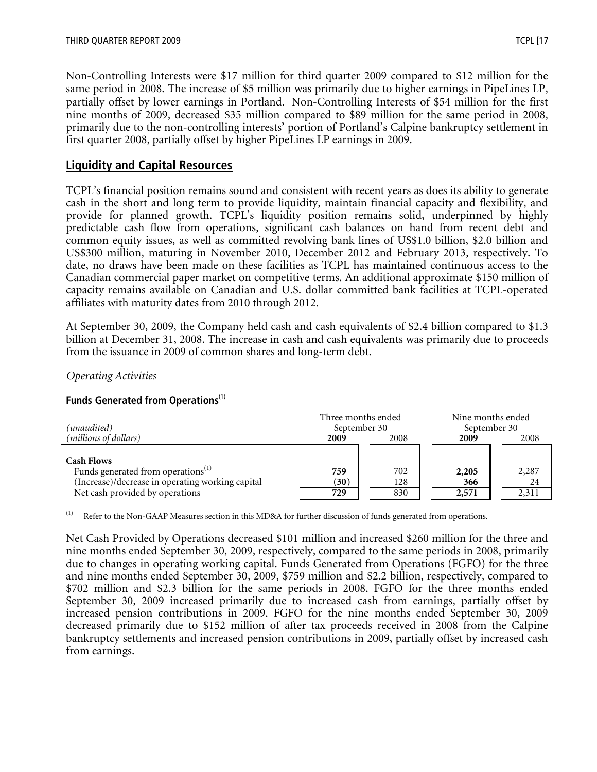Non-Controlling Interests were \$17 million for third quarter 2009 compared to \$12 million for the same period in 2008. The increase of \$5 million was primarily due to higher earnings in PipeLines LP, partially offset by lower earnings in Portland. Non-Controlling Interests of \$54 million for the first nine months of 2009, decreased \$35 million compared to \$89 million for the same period in 2008, primarily due to the non-controlling interests' portion of Portland's Calpine bankruptcy settlement in first quarter 2008, partially offset by higher PipeLines LP earnings in 2009.

# **Liquidity and Capital Resources**

TCPL's financial position remains sound and consistent with recent years as does its ability to generate cash in the short and long term to provide liquidity, maintain financial capacity and flexibility, and provide for planned growth. TCPL's liquidity position remains solid, underpinned by highly predictable cash flow from operations, significant cash balances on hand from recent debt and common equity issues, as well as committed revolving bank lines of US\$1.0 billion, \$2.0 billion and US\$300 million, maturing in November 2010, December 2012 and February 2013, respectively. To date, no draws have been made on these facilities as TCPL has maintained continuous access to the Canadian commercial paper market on competitive terms. An additional approximate \$150 million of capacity remains available on Canadian and U.S. dollar committed bank facilities at TCPL-operated affiliates with maturity dates from 2010 through 2012.

At September 30, 2009, the Company held cash and cash equivalents of \$2.4 billion compared to \$1.3 billion at December 31, 2008. The increase in cash and cash equivalents was primarily due to proceeds from the issuance in 2009 of common shares and long-term debt.

#### *Operating Activities*

#### **Funds Generated from Operations**(1)

| (unaudited)                                                                                                                                                | Three months ended<br>September 30 |                   | Nine months ended<br>September 30 |                      |
|------------------------------------------------------------------------------------------------------------------------------------------------------------|------------------------------------|-------------------|-----------------------------------|----------------------|
| (millions of dollars)                                                                                                                                      | 2009                               | 2008              | 2009                              | 2008                 |
| <b>Cash Flows</b><br>Funds generated from operations <sup>(1)</sup><br>(Increase)/decrease in operating working capital<br>Net cash provided by operations | 759<br>(30)<br>729                 | 702<br>128<br>830 | 2,205<br>366<br>2,571             | 2,287<br>24<br>2,311 |

(1) Refer to the Non-GAAP Measures section in this MD&A for further discussion of funds generated from operations.

Net Cash Provided by Operations decreased \$101 million and increased \$260 million for the three and nine months ended September 30, 2009, respectively, compared to the same periods in 2008, primarily due to changes in operating working capital. Funds Generated from Operations (FGFO) for the three and nine months ended September 30, 2009, \$759 million and \$2.2 billion, respectively, compared to \$702 million and \$2.3 billion for the same periods in 2008. FGFO for the three months ended September 30, 2009 increased primarily due to increased cash from earnings, partially offset by increased pension contributions in 2009. FGFO for the nine months ended September 30, 2009 decreased primarily due to \$152 million of after tax proceeds received in 2008 from the Calpine bankruptcy settlements and increased pension contributions in 2009, partially offset by increased cash from earnings.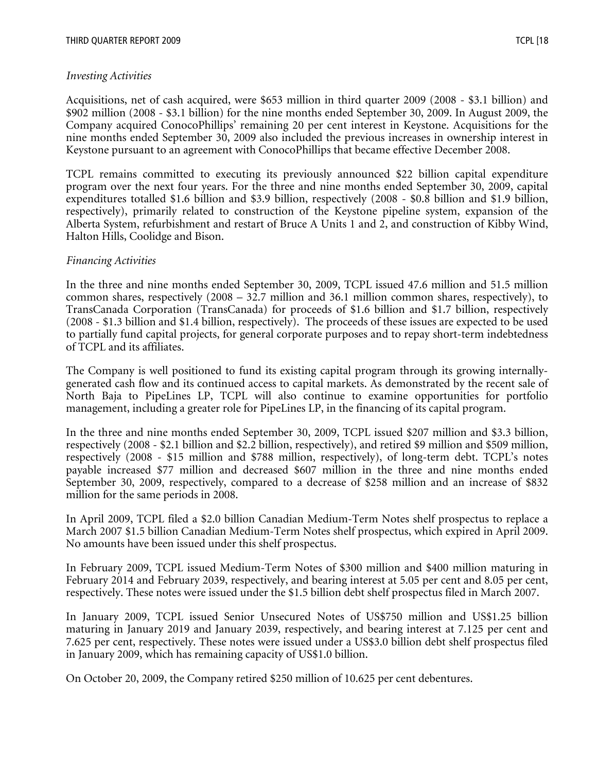#### *Investing Activities*

Acquisitions, net of cash acquired, were \$653 million in third quarter 2009 (2008 - \$3.1 billion) and \$902 million (2008 - \$3.1 billion) for the nine months ended September 30, 2009. In August 2009, the Company acquired ConocoPhillips' remaining 20 per cent interest in Keystone. Acquisitions for the nine months ended September 30, 2009 also included the previous increases in ownership interest in Keystone pursuant to an agreement with ConocoPhillips that became effective December 2008.

TCPL remains committed to executing its previously announced \$22 billion capital expenditure program over the next four years. For the three and nine months ended September 30, 2009, capital expenditures totalled \$1.6 billion and \$3.9 billion, respectively (2008 - \$0.8 billion and \$1.9 billion, respectively), primarily related to construction of the Keystone pipeline system, expansion of the Alberta System, refurbishment and restart of Bruce A Units 1 and 2, and construction of Kibby Wind, Halton Hills, Coolidge and Bison.

#### *Financing Activities*

In the three and nine months ended September 30, 2009, TCPL issued 47.6 million and 51.5 million common shares, respectively (2008 – 32.7 million and 36.1 million common shares, respectively), to TransCanada Corporation (TransCanada) for proceeds of \$1.6 billion and \$1.7 billion, respectively (2008 - \$1.3 billion and \$1.4 billion, respectively). The proceeds of these issues are expected to be used to partially fund capital projects, for general corporate purposes and to repay short-term indebtedness of TCPL and its affiliates.

The Company is well positioned to fund its existing capital program through its growing internallygenerated cash flow and its continued access to capital markets. As demonstrated by the recent sale of North Baja to PipeLines LP, TCPL will also continue to examine opportunities for portfolio management, including a greater role for PipeLines LP, in the financing of its capital program.

In the three and nine months ended September 30, 2009, TCPL issued \$207 million and \$3.3 billion, respectively (2008 - \$2.1 billion and \$2.2 billion, respectively), and retired \$9 million and \$509 million, respectively (2008 - \$15 million and \$788 million, respectively), of long-term debt. TCPL's notes payable increased \$77 million and decreased \$607 million in the three and nine months ended September 30, 2009, respectively, compared to a decrease of \$258 million and an increase of \$832 million for the same periods in 2008.

In April 2009, TCPL filed a \$2.0 billion Canadian Medium-Term Notes shelf prospectus to replace a March 2007 \$1.5 billion Canadian Medium-Term Notes shelf prospectus, which expired in April 2009. No amounts have been issued under this shelf prospectus.

In February 2009, TCPL issued Medium-Term Notes of \$300 million and \$400 million maturing in February 2014 and February 2039, respectively, and bearing interest at 5.05 per cent and 8.05 per cent, respectively. These notes were issued under the \$1.5 billion debt shelf prospectus filed in March 2007.

In January 2009, TCPL issued Senior Unsecured Notes of US\$750 million and US\$1.25 billion maturing in January 2019 and January 2039, respectively, and bearing interest at 7.125 per cent and 7.625 per cent, respectively. These notes were issued under a US\$3.0 billion debt shelf prospectus filed in January 2009, which has remaining capacity of US\$1.0 billion.

On October 20, 2009, the Company retired \$250 million of 10.625 per cent debentures.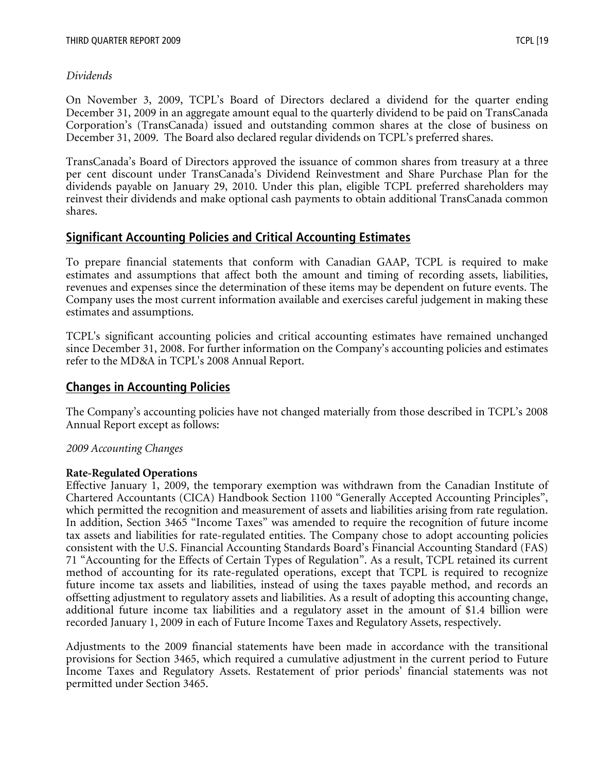# *Dividends*

On November 3, 2009, TCPL's Board of Directors declared a dividend for the quarter ending December 31, 2009 in an aggregate amount equal to the quarterly dividend to be paid on TransCanada Corporation's (TransCanada) issued and outstanding common shares at the close of business on December 31, 2009. The Board also declared regular dividends on TCPL's preferred shares.

TransCanada's Board of Directors approved the issuance of common shares from treasury at a three per cent discount under TransCanada's Dividend Reinvestment and Share Purchase Plan for the dividends payable on January 29, 2010. Under this plan, eligible TCPL preferred shareholders may reinvest their dividends and make optional cash payments to obtain additional TransCanada common shares.

# **Significant Accounting Policies and Critical Accounting Estimates**

To prepare financial statements that conform with Canadian GAAP, TCPL is required to make estimates and assumptions that affect both the amount and timing of recording assets, liabilities, revenues and expenses since the determination of these items may be dependent on future events. The Company uses the most current information available and exercises careful judgement in making these estimates and assumptions.

TCPL's significant accounting policies and critical accounting estimates have remained unchanged since December 31, 2008. For further information on the Company's accounting policies and estimates refer to the MD&A in TCPL's 2008 Annual Report.

# **Changes in Accounting Policies**

The Company's accounting policies have not changed materially from those described in TCPL's 2008 Annual Report except as follows:

# *2009 Accounting Changes*

# **Rate-Regulated Operations**

Effective January 1, 2009, the temporary exemption was withdrawn from the Canadian Institute of Chartered Accountants (CICA) Handbook Section 1100 "Generally Accepted Accounting Principles", which permitted the recognition and measurement of assets and liabilities arising from rate regulation. In addition, Section 3465 "Income Taxes" was amended to require the recognition of future income tax assets and liabilities for rate-regulated entities. The Company chose to adopt accounting policies consistent with the U.S. Financial Accounting Standards Board's Financial Accounting Standard (FAS) 71 "Accounting for the Effects of Certain Types of Regulation". As a result, TCPL retained its current method of accounting for its rate-regulated operations, except that TCPL is required to recognize future income tax assets and liabilities, instead of using the taxes payable method, and records an offsetting adjustment to regulatory assets and liabilities. As a result of adopting this accounting change, additional future income tax liabilities and a regulatory asset in the amount of \$1.4 billion were recorded January 1, 2009 in each of Future Income Taxes and Regulatory Assets, respectively.

Adjustments to the 2009 financial statements have been made in accordance with the transitional provisions for Section 3465, which required a cumulative adjustment in the current period to Future Income Taxes and Regulatory Assets. Restatement of prior periods' financial statements was not permitted under Section 3465.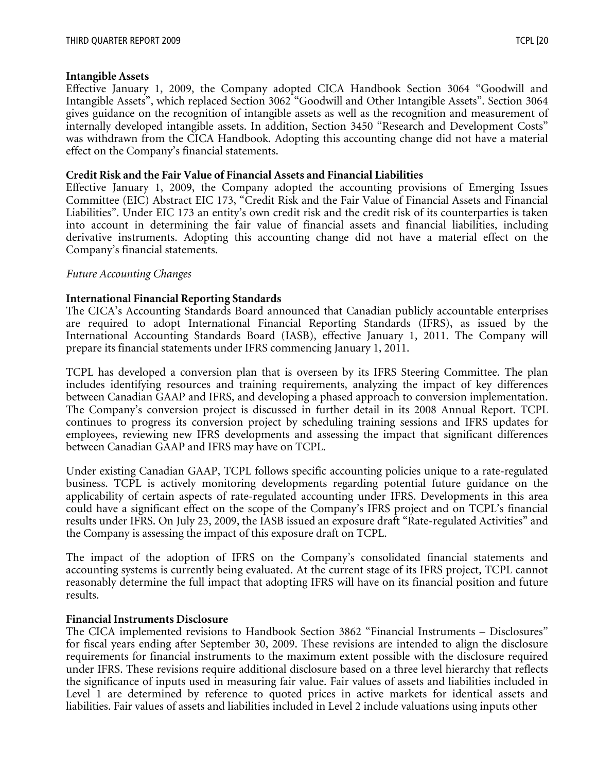#### **Intangible Assets**

Effective January 1, 2009, the Company adopted CICA Handbook Section 3064 "Goodwill and Intangible Assets", which replaced Section 3062 "Goodwill and Other Intangible Assets". Section 3064 gives guidance on the recognition of intangible assets as well as the recognition and measurement of internally developed intangible assets. In addition, Section 3450 "Research and Development Costs" was withdrawn from the CICA Handbook. Adopting this accounting change did not have a material effect on the Company's financial statements.

#### **Credit Risk and the Fair Value of Financial Assets and Financial Liabilities**

Effective January 1, 2009, the Company adopted the accounting provisions of Emerging Issues Committee (EIC) Abstract EIC 173, "Credit Risk and the Fair Value of Financial Assets and Financial Liabilities". Under EIC 173 an entity's own credit risk and the credit risk of its counterparties is taken into account in determining the fair value of financial assets and financial liabilities, including derivative instruments. Adopting this accounting change did not have a material effect on the Company's financial statements.

#### *Future Accounting Changes*

#### **International Financial Reporting Standards**

The CICA's Accounting Standards Board announced that Canadian publicly accountable enterprises are required to adopt International Financial Reporting Standards (IFRS), as issued by the International Accounting Standards Board (IASB), effective January 1, 2011. The Company will prepare its financial statements under IFRS commencing January 1, 2011.

TCPL has developed a conversion plan that is overseen by its IFRS Steering Committee. The plan includes identifying resources and training requirements, analyzing the impact of key differences between Canadian GAAP and IFRS, and developing a phased approach to conversion implementation. The Company's conversion project is discussed in further detail in its 2008 Annual Report. TCPL continues to progress its conversion project by scheduling training sessions and IFRS updates for employees, reviewing new IFRS developments and assessing the impact that significant differences between Canadian GAAP and IFRS may have on TCPL.

Under existing Canadian GAAP, TCPL follows specific accounting policies unique to a rate-regulated business. TCPL is actively monitoring developments regarding potential future guidance on the applicability of certain aspects of rate-regulated accounting under IFRS. Developments in this area could have a significant effect on the scope of the Company's IFRS project and on TCPL's financial results under IFRS. On July 23, 2009, the IASB issued an exposure draft "Rate-regulated Activities" and the Company is assessing the impact of this exposure draft on TCPL.

The impact of the adoption of IFRS on the Company's consolidated financial statements and accounting systems is currently being evaluated. At the current stage of its IFRS project, TCPL cannot reasonably determine the full impact that adopting IFRS will have on its financial position and future results.

#### **Financial Instruments Disclosure**

The CICA implemented revisions to Handbook Section 3862 "Financial Instruments – Disclosures" for fiscal years ending after September 30, 2009. These revisions are intended to align the disclosure requirements for financial instruments to the maximum extent possible with the disclosure required under IFRS. These revisions require additional disclosure based on a three level hierarchy that reflects the significance of inputs used in measuring fair value. Fair values of assets and liabilities included in Level 1 are determined by reference to quoted prices in active markets for identical assets and liabilities. Fair values of assets and liabilities included in Level 2 include valuations using inputs other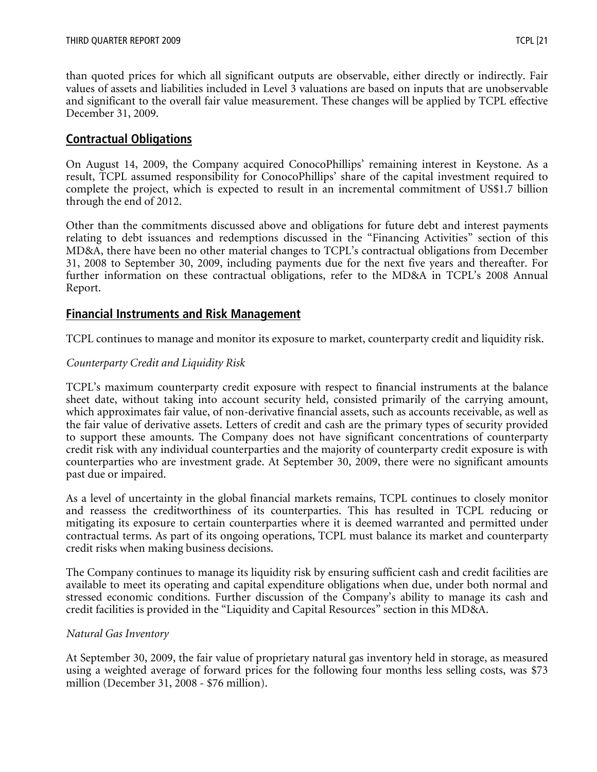than quoted prices for which all significant outputs are observable, either directly or indirectly. Fair values of assets and liabilities included in Level 3 valuations are based on inputs that are unobservable and significant to the overall fair value measurement. These changes will be applied by TCPL effective December 31, 2009.

# **Contractual Obligations**

On August 14, 2009, the Company acquired ConocoPhillips' remaining interest in Keystone. As a result, TCPL assumed responsibility for ConocoPhillips' share of the capital investment required to complete the project, which is expected to result in an incremental commitment of US\$1.7 billion through the end of 2012.

Other than the commitments discussed above and obligations for future debt and interest payments relating to debt issuances and redemptions discussed in the "Financing Activities" section of this MD&A, there have been no other material changes to TCPL's contractual obligations from December 31, 2008 to September 30, 2009, including payments due for the next five years and thereafter. For further information on these contractual obligations, refer to the MD&A in TCPL's 2008 Annual Report.

# **Financial Instruments and Risk Management**

TCPL continues to manage and monitor its exposure to market, counterparty credit and liquidity risk.

#### *Counterparty Credit and Liquidity Risk*

TCPL's maximum counterparty credit exposure with respect to financial instruments at the balance sheet date, without taking into account security held, consisted primarily of the carrying amount, which approximates fair value, of non-derivative financial assets, such as accounts receivable, as well as the fair value of derivative assets. Letters of credit and cash are the primary types of security provided to support these amounts. The Company does not have significant concentrations of counterparty credit risk with any individual counterparties and the majority of counterparty credit exposure is with counterparties who are investment grade. At September 30, 2009, there were no significant amounts past due or impaired.

As a level of uncertainty in the global financial markets remains, TCPL continues to closely monitor and reassess the creditworthiness of its counterparties. This has resulted in TCPL reducing or mitigating its exposure to certain counterparties where it is deemed warranted and permitted under contractual terms. As part of its ongoing operations, TCPL must balance its market and counterparty credit risks when making business decisions.

The Company continues to manage its liquidity risk by ensuring sufficient cash and credit facilities are available to meet its operating and capital expenditure obligations when due, under both normal and stressed economic conditions. Further discussion of the Company's ability to manage its cash and credit facilities is provided in the "Liquidity and Capital Resources" section in this MD&A.

#### *Natural Gas Inventory*

At September 30, 2009, the fair value of proprietary natural gas inventory held in storage, as measured using a weighted average of forward prices for the following four months less selling costs, was \$73 million (December 31, 2008 - \$76 million).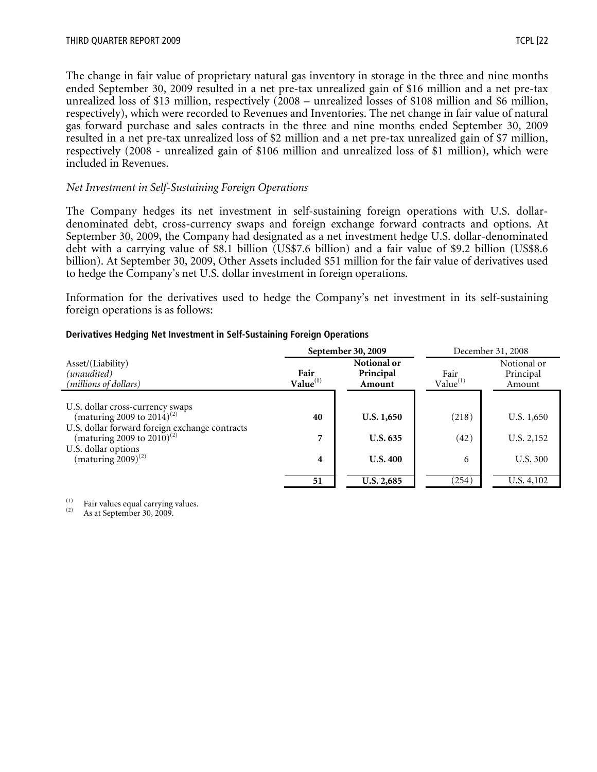The change in fair value of proprietary natural gas inventory in storage in the three and nine months ended September 30, 2009 resulted in a net pre-tax unrealized gain of \$16 million and a net pre-tax unrealized loss of \$13 million, respectively (2008 – unrealized losses of \$108 million and \$6 million, respectively), which were recorded to Revenues and Inventories. The net change in fair value of natural gas forward purchase and sales contracts in the three and nine months ended September 30, 2009 resulted in a net pre-tax unrealized loss of \$2 million and a net pre-tax unrealized gain of \$7 million, respectively (2008 - unrealized gain of \$106 million and unrealized loss of \$1 million), which were included in Revenues.

#### *Net Investment in Self-Sustaining Foreign Operations*

The Company hedges its net investment in self-sustaining foreign operations with U.S. dollardenominated debt, cross-currency swaps and foreign exchange forward contracts and options. At September 30, 2009, the Company had designated as a net investment hedge U.S. dollar-denominated debt with a carrying value of \$8.1 billion (US\$7.6 billion) and a fair value of \$9.2 billion (US\$8.6 billion). At September 30, 2009, Other Assets included \$51 million for the fair value of derivatives used to hedge the Company's net U.S. dollar investment in foreign operations.

Information for the derivatives used to hedge the Company's net investment in its self-sustaining foreign operations is as follows:

|                                                                                   |                              | September 30, 2009                 | December 31, 2008 |                                    |  |
|-----------------------------------------------------------------------------------|------------------------------|------------------------------------|-------------------|------------------------------------|--|
| Asset/(Liability)<br>(unaudited)<br>(millions of dollars)                         | Fair<br>Value <sup>(1)</sup> | Notional or<br>Principal<br>Amount |                   | Notional or<br>Principal<br>Amount |  |
|                                                                                   |                              |                                    |                   |                                    |  |
| U.S. dollar cross-currency swaps<br>(maturing 2009 to 2014) <sup>(2)</sup>        | 40                           | U.S. 1,650                         | (218)             | U.S. 1,650                         |  |
| U.S. dollar forward foreign exchange contracts<br>(maturing 2009 to $2010)^{(2)}$ | 7                            | <b>U.S. 635</b>                    | (42)              | U.S. 2,152                         |  |
| U.S. dollar options                                                               |                              |                                    |                   |                                    |  |
| (maturing $2009$ ) <sup>(2)</sup>                                                 | 4                            | <b>U.S. 400</b>                    | 6                 | U.S. 300                           |  |
|                                                                                   | 51                           | U.S. 2,685                         | (254)             | U.S. 4,102                         |  |

#### **Derivatives Hedging Net Investment in Self-Sustaining Foreign Operations**

(1) Fair values equal carrying values.<br>
As at September 30, 2009.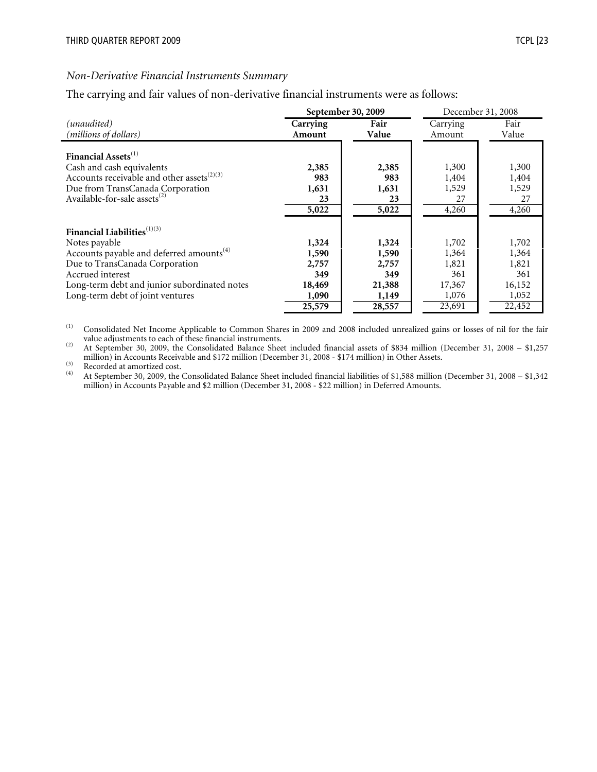#### *Non-Derivative Financial Instruments Summary*

The carrying and fair values of non-derivative financial instruments were as follows:

|                                                        |          | September 30, 2009 | December 31, 2008 |        |  |
|--------------------------------------------------------|----------|--------------------|-------------------|--------|--|
| (unaudited)                                            | Carrying | Fair               | Carrying          | Fair   |  |
| (millions of dollars)                                  | Amount   | Value              | Amount            | Value  |  |
| Financial Assets <sup>(1)</sup>                        | 2,385    | 2,385              | 1,300             | 1,300  |  |
| Cash and cash equivalents                              | 983      | 983                | 1,404             | 1,404  |  |
| Accounts receivable and other assets <sup>(2)(3)</sup> | 1,631    | 1,631              | 1,529             | 1,529  |  |
| Due from TransCanada Corporation                       | 23       | 23                 | 27                | 27     |  |
| Available-for-sale assets <sup>(2)</sup>               | 5,022    | 5,022              | 4,260             | 4,260  |  |
| Financial Liabilities <sup>(1)(3)</sup>                | 1,324    | 1,324              | 1,702             | 1,702  |  |
| Notes payable                                          | 1,590    | 1,590              | 1,364             | 1,364  |  |
| Accounts payable and deferred amounts <sup>(4)</sup>   | 2,757    | 2,757              | 1,821             | 1,821  |  |
| Due to TransCanada Corporation                         | 349      | 349                | 361               | 361    |  |
| Accrued interest                                       | 18,469   | 21,388             | 17,367            | 16,152 |  |
| Long-term debt and junior subordinated notes           | 1,090    | 1,149              | 1,076             | 1,052  |  |
| Long-term debt of joint ventures                       | 25,579   | 28,557             | 23,691            | 22,452 |  |

(1) Consolidated Net Income Applicable to Common Shares in 2009 and 2008 included unrealized gains or losses of nil for the fair

<sup>(2)</sup> At September 30, 2009, the Consolidated Balance Sheet included financial assets of \$834 million (December 31, 2008 – \$1,257 million) in Accounts Receivable and \$172 million (December 31, 2008 - \$174 million) in Other Assets.<br>
(3) Recorded at amortized cost.<br>
(4) At September 30, 2009, the Consolidated Balance Sheet included financial liabilitie

(4) At September 30, 2009, the Consolidated Balance Sheet included financial liabilities of \$1,588 million (December 31, 2008 – \$1,342 million) in Accounts Payable and \$2 million (December 31, 2008 - \$22 million) in Deferred Amounts.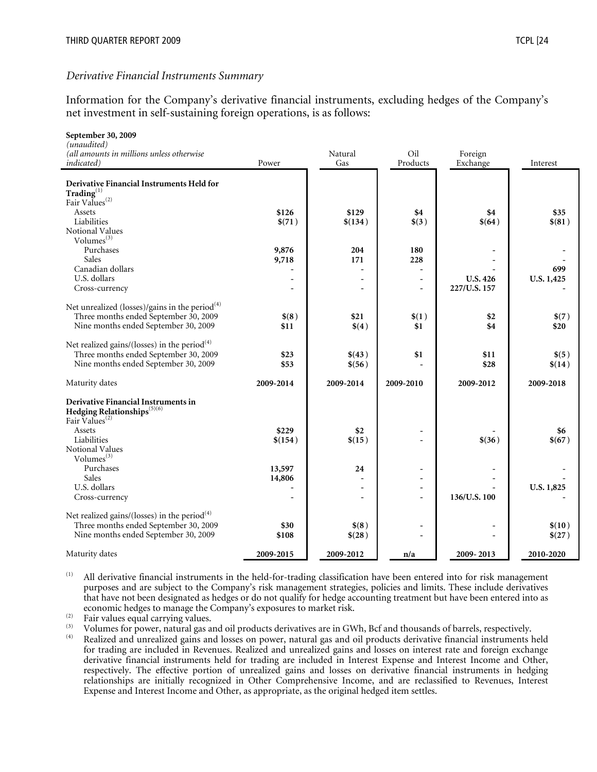#### *Derivative Financial Instruments Summary*

Information for the Company's derivative financial instruments, excluding hedges of the Company's net investment in self-sustaining foreign operations, is as follows:

| September 30, 2009                                                             |           |           |                          |                 |            |
|--------------------------------------------------------------------------------|-----------|-----------|--------------------------|-----------------|------------|
| (unaudited)<br>(all amounts in millions unless otherwise                       |           | Natural   | Oil                      | Foreign         |            |
| <i>indicated</i> )                                                             | Power     | Gas       | Products                 | Exchange        | Interest   |
|                                                                                |           |           |                          |                 |            |
| Derivative Financial Instruments Held for                                      |           |           |                          |                 |            |
| $\mathbf{Trading}^{(1)}$                                                       |           |           |                          |                 |            |
| Fair Values <sup>(2)</sup>                                                     |           |           |                          |                 |            |
| Assets                                                                         | \$126     | \$129     | \$4                      | \$4             | \$35       |
| Liabilities                                                                    | \$(71)    | \$(134)   | \$(3)                    | \$(64)          | \$(81)     |
| Notional Values                                                                |           |           |                          |                 |            |
| Volumes <sup>(3)</sup>                                                         |           |           |                          |                 |            |
| Purchases                                                                      | 9,876     | 204       | 180                      |                 |            |
| Sales<br>Canadian dollars                                                      | 9,718     | 171       | 228                      |                 | 699        |
| U.S. dollars                                                                   |           |           | $\overline{\phantom{a}}$ | <b>U.S. 426</b> | U.S. 1,425 |
| Cross-currency                                                                 |           |           | $\overline{a}$           | 227/U.S. 157    |            |
|                                                                                |           |           |                          |                 |            |
| Net unrealized (losses)/gains in the period <sup>(4)</sup>                     |           |           |                          |                 |            |
| Three months ended September 30, 2009                                          | \$(8)     | \$21      | \$(1)                    | \$2             | \$(7)      |
| Nine months ended September 30, 2009                                           | \$11      | \$(4)     | \$1                      | \$4             | \$20       |
|                                                                                |           |           |                          |                 |            |
| Net realized gains/(losses) in the period $(4)$                                |           |           |                          |                 |            |
| Three months ended September 30, 2009                                          | \$23      | \$(43)    | \$1                      | \$11            | \$(5)      |
| Nine months ended September 30, 2009                                           | \$53      | \$(56)    |                          | \$28            | \$(14)     |
|                                                                                |           |           |                          |                 |            |
| Maturity dates                                                                 | 2009-2014 | 2009-2014 | 2009-2010                | 2009-2012       | 2009-2018  |
|                                                                                |           |           |                          |                 |            |
| Derivative Financial Instruments in<br>Hedging Relationships <sup>(5)(6)</sup> |           |           |                          |                 |            |
| Fair Values <sup>(2)</sup>                                                     |           |           |                          |                 |            |
| Assets                                                                         | \$229     | \$2       |                          |                 | \$6        |
| Liabilities                                                                    | \$(154)   | \$(15)    | $\overline{a}$           | \$(36)          | \$(67)     |
| <b>Notional Values</b>                                                         |           |           |                          |                 |            |
| Volumes $(3)$                                                                  |           |           |                          |                 |            |
| Purchases                                                                      | 13,597    | 24        | $\blacksquare$           |                 |            |
| Sales                                                                          | 14,806    |           | $\overline{a}$           |                 |            |
| U.S. dollars                                                                   |           |           | $\overline{\phantom{a}}$ |                 | U.S. 1,825 |
| Cross-currency                                                                 |           |           | $\overline{\phantom{0}}$ | 136/U.S. 100    |            |
|                                                                                |           |           |                          |                 |            |
| Net realized gains/(losses) in the period $(4)$                                |           |           |                          |                 |            |
| Three months ended September 30, 2009                                          | \$30      | \$(8)     |                          |                 | \$(10)     |
| Nine months ended September 30, 2009                                           | \$108     | \$(28)    |                          |                 | \$(27)     |
| Maturity dates                                                                 | 2009-2015 | 2009-2012 | n/a                      | 2009-2013       | 2010-2020  |
|                                                                                |           |           |                          |                 |            |

(1) All derivative financial instruments in the held-for-trading classification have been entered into for risk management purposes and are subject to the Company's risk management strategies, policies and limits. These include derivatives that have not been designated as hedges or do not qualify for hedge accounting treatment but have been entered into as

Fair values equal carrying values.<br>
Volumes for power, natural gas and oil products derivatives are in GWh, Bcf and thousands of barrels, respectively.<br>
Realized and unrealized gains and losses on power, natural gas and oi for trading are included in Revenues. Realized and unrealized gains and losses on interest rate and foreign exchange derivative financial instruments held for trading are included in Interest Expense and Interest Income and Other, respectively. The effective portion of unrealized gains and losses on derivative financial instruments in hedging relationships are initially recognized in Other Comprehensive Income, and are reclassified to Revenues, Interest Expense and Interest Income and Other, as appropriate, as the original hedged item settles.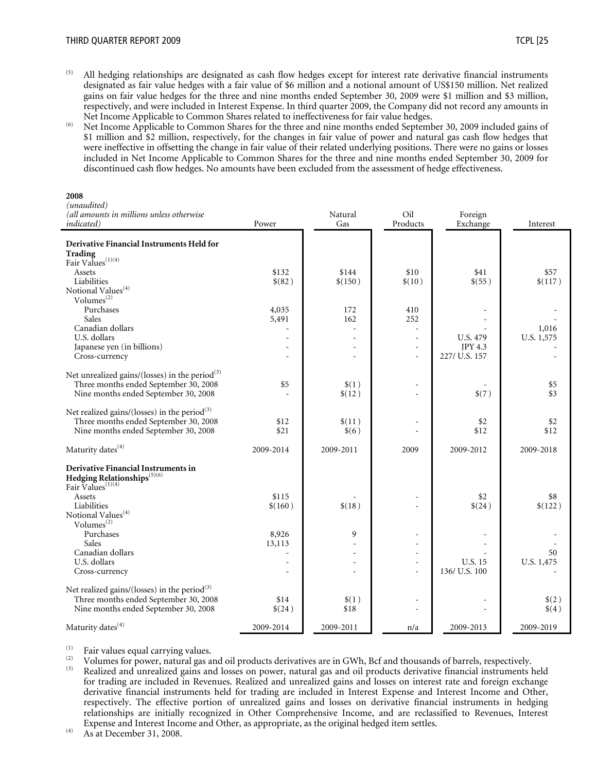- 
- $<sup>(5)</sup>$  All hedging relationships are designated as cash flow hedges except for interest rate derivative financial instruments</sup> designated as fair value hedges with a fair value of \$6 million and a notional amount of US\$150 million. Net realized gains on fair value hedges for the three and nine months ended September 30, 2009 were \$1 million and \$3 million, respectively, and were included in Interest Expense. In third quarter 2009, the Company did not record any amounts in
- Net Income Applicable to Common Shares related to ineffectiveness for fair value hedges.<br>Net Income Applicable to Common Shares for the three and nine months ended September 30, 2009 included gains of \$1 million and \$2 million, respectively, for the changes in fair value of power and natural gas cash flow hedges that were ineffective in offsetting the change in fair value of their related underlying positions. There were no gains or losses included in Net Income Applicable to Common Shares for the three and nine months ended September 30, 2009 for discontinued cash flow hedges. No amounts have been excluded from the assessment of hedge effectiveness.

| (unaudited)<br>(all amounts in millions unless otherwise                                                                                  |                  | Natural          | Oil                                            | Foreign                              |                     |
|-------------------------------------------------------------------------------------------------------------------------------------------|------------------|------------------|------------------------------------------------|--------------------------------------|---------------------|
| <i>indicated</i> )                                                                                                                        | Power            | Gas              | Products                                       | Exchange                             | Interest            |
| Derivative Financial Instruments Held for<br>Trading<br>Fair Values <sup>(1)(4)</sup>                                                     |                  |                  |                                                |                                      |                     |
| Assets<br>Liabilities<br>Notional Values <sup>(4)</sup>                                                                                   | \$132<br>\$(82)  | \$144<br>\$(150) | \$10<br>\$(10)                                 | \$41<br>\$(55)                       | \$57<br>\$(117)     |
| Volumes <sup>(2)</sup><br>Purchases<br>Sales                                                                                              | 4,035<br>5,491   | 172<br>162       | 410<br>252                                     |                                      |                     |
| Canadian dollars<br>U.S. dollars<br>Japanese yen (in billions)<br>Cross-currency                                                          |                  |                  | $\sim$<br>$\sim$<br>$\equiv$<br>$\overline{a}$ | U.S. 479<br>JPY 4.3<br>227/ U.S. 157 | 1,016<br>U.S. 1,575 |
| Net unrealized gains/(losses) in the period $(3)$<br>Three months ended September 30, 2008<br>Nine months ended September 30, 2008        | \$5              | \$(1)<br>\$(12)  | $\equiv$                                       | \$(7)                                | \$5<br>\$3          |
| Net realized gains/(losses) in the period $(3)$<br>Three months ended September 30, 2008<br>Nine months ended September 30, 2008          | \$12<br>\$21     | \$(11)<br>\$(6)  |                                                | \$2<br>\$12                          | \$2<br>\$12         |
| Maturity dates <sup>(4)</sup>                                                                                                             | 2009-2014        | 2009-2011        | 2009                                           | 2009-2012                            | 2009-2018           |
| Derivative Financial Instruments in<br>Hedging Relationships <sup>(5)(6)</sup><br>Fair Values <sup>(1)(4)</sup>                           |                  |                  |                                                |                                      |                     |
| Assets<br>Liabilities<br>Notional Values <sup>(4)</sup>                                                                                   | \$115<br>\$(160) | \$(18)           | $\overline{a}$                                 | \$2<br>\$(24)                        | \$8<br>\$(122)      |
| Volumes $^{(2)}$<br>Purchases<br>Sales                                                                                                    | 8,926<br>13,113  | 9                |                                                |                                      |                     |
| Canadian dollars<br>U.S. dollars<br>Cross-currency                                                                                        |                  |                  | $\equiv$<br>$\overline{a}$<br>$\overline{a}$   | <b>U.S. 15</b><br>136/ U.S. 100      | 50<br>U.S. 1,475    |
| Net realized gains/(losses) in the period <sup>(3)</sup><br>Three months ended September 30, 2008<br>Nine months ended September 30, 2008 | \$14<br>\$(24)   | \$(1)<br>\$18    |                                                |                                      | \$(2)<br>\$(4)      |
| Maturity dates <sup>(4)</sup>                                                                                                             | 2009-2014        | 2009-2011        | n/a                                            | 2009-2013                            | 2009-2019           |

Fair values equal carrying values.<br>
Volumes for power, natural gas and oil products derivatives are in GWh, Bcf and thousands of barrels, respectively.<br>
Realized and unrealized gains and losses on power, natural gas and o for trading are included in Revenues. Realized and unrealized gains and losses on interest rate and foreign exchange derivative financial instruments held for trading are included in Interest Expense and Interest Income and Other, respectively. The effective portion of unrealized gains and losses on derivative financial instruments in hedging relationships are initially recognized in Other Comprehensive Income, and are reclassified to Revenues, Interest Expense and Interest Income and Other, as appropriate, as the original hedged item settles. (4) As at December 31, 2008.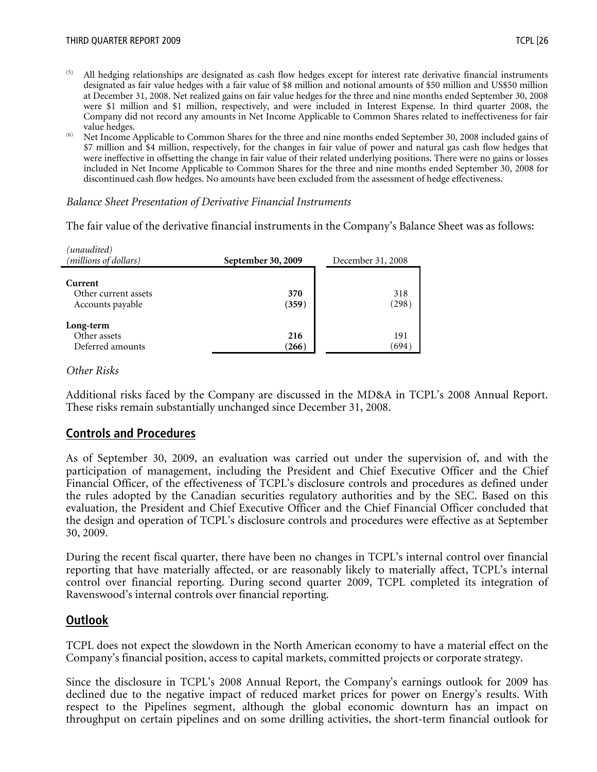- <sup>(5)</sup> All hedging relationships are designated as cash flow hedges except for interest rate derivative financial instruments designated as fair value hedges with a fair value of \$8 million and notional amounts of \$50 million and US\$50 million at December 31, 2008. Net realized gains on fair value hedges for the three and nine months ended September 30, 2008 were \$1 million and \$1 million, respectively, and were included in Interest Expense. In third quarter 2008, the Company did not record any amounts in Net Income Applicable to Common Shares related to ineffectiveness for fair value hedges.<br><sup>(6)</sup> Net Income Applicable to Common Shares for the three and nine months ended September 30, 2008 included gains of
- \$7 million and \$4 million, respectively, for the changes in fair value of power and natural gas cash flow hedges that were ineffective in offsetting the change in fair value of their related underlying positions. There were no gains or losses included in Net Income Applicable to Common Shares for the three and nine months ended September 30, 2008 for discontinued cash flow hedges. No amounts have been excluded from the assessment of hedge effectiveness.

#### *Balance Sheet Presentation of Derivative Financial Instruments*

The fair value of the derivative financial instruments in the Company's Balance Sheet was as follows:

| (unaudited)<br>(millions of dollars)                | September 30, 2009 | December 31, 2008 |  |
|-----------------------------------------------------|--------------------|-------------------|--|
| Current<br>Other current assets<br>Accounts payable | 370<br>(359)       | 318<br>(298)      |  |
| Long-term<br>Other assets<br>Deferred amounts       | 216<br>(266)       | 191<br>(694)      |  |

#### *Other Risks*

Additional risks faced by the Company are discussed in the MD&A in TCPL's 2008 Annual Report. These risks remain substantially unchanged since December 31, 2008.

# **Controls and Procedures**

As of September 30, 2009, an evaluation was carried out under the supervision of, and with the participation of management, including the President and Chief Executive Officer and the Chief Financial Officer, of the effectiveness of TCPL's disclosure controls and procedures as defined under the rules adopted by the Canadian securities regulatory authorities and by the SEC. Based on this evaluation, the President and Chief Executive Officer and the Chief Financial Officer concluded that the design and operation of TCPL's disclosure controls and procedures were effective as at September 30, 2009.

During the recent fiscal quarter, there have been no changes in TCPL's internal control over financial reporting that have materially affected, or are reasonably likely to materially affect, TCPL's internal control over financial reporting. During second quarter 2009, TCPL completed its integration of Ravenswood's internal controls over financial reporting.

# **Outlook**

TCPL does not expect the slowdown in the North American economy to have a material effect on the Company's financial position, access to capital markets, committed projects or corporate strategy.

Since the disclosure in TCPL's 2008 Annual Report, the Company's earnings outlook for 2009 has declined due to the negative impact of reduced market prices for power on Energy's results. With respect to the Pipelines segment, although the global economic downturn has an impact on throughput on certain pipelines and on some drilling activities, the short-term financial outlook for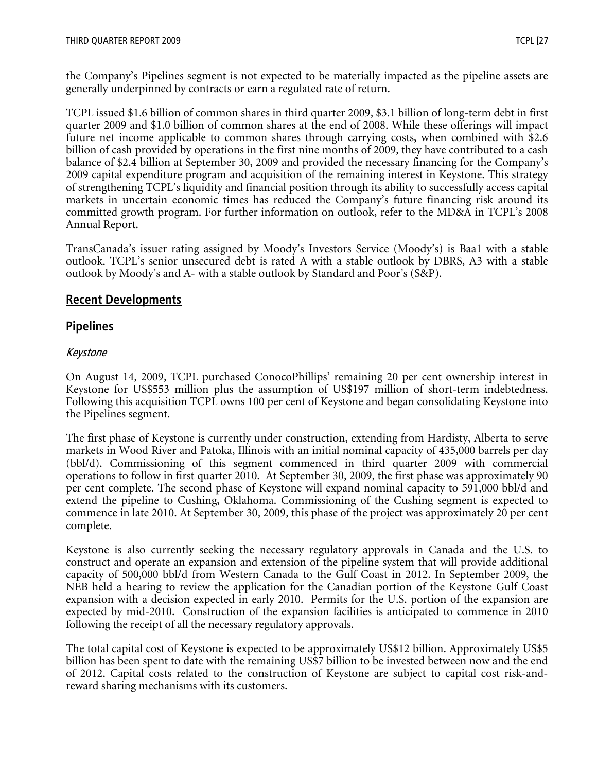the Company's Pipelines segment is not expected to be materially impacted as the pipeline assets are generally underpinned by contracts or earn a regulated rate of return.

TCPL issued \$1.6 billion of common shares in third quarter 2009, \$3.1 billion of long-term debt in first quarter 2009 and \$1.0 billion of common shares at the end of 2008. While these offerings will impact future net income applicable to common shares through carrying costs, when combined with \$2.6 billion of cash provided by operations in the first nine months of 2009, they have contributed to a cash balance of \$2.4 billion at September 30, 2009 and provided the necessary financing for the Company's 2009 capital expenditure program and acquisition of the remaining interest in Keystone. This strategy of strengthening TCPL's liquidity and financial position through its ability to successfully access capital markets in uncertain economic times has reduced the Company's future financing risk around its committed growth program. For further information on outlook, refer to the MD&A in TCPL's 2008 Annual Report.

TransCanada's issuer rating assigned by Moody's Investors Service (Moody's) is Baa1 with a stable outlook. TCPL's senior unsecured debt is rated A with a stable outlook by DBRS, A3 with a stable outlook by Moody's and A- with a stable outlook by Standard and Poor's (S&P).

# **Recent Developments**

# **Pipelines**

# Keystone

On August 14, 2009, TCPL purchased ConocoPhillips' remaining 20 per cent ownership interest in Keystone for US\$553 million plus the assumption of US\$197 million of short-term indebtedness. Following this acquisition TCPL owns 100 per cent of Keystone and began consolidating Keystone into the Pipelines segment.

The first phase of Keystone is currently under construction, extending from Hardisty, Alberta to serve markets in Wood River and Patoka, Illinois with an initial nominal capacity of 435,000 barrels per day (bbl/d). Commissioning of this segment commenced in third quarter 2009 with commercial operations to follow in first quarter 2010. At September 30, 2009, the first phase was approximately 90 per cent complete. The second phase of Keystone will expand nominal capacity to 591,000 bbl/d and extend the pipeline to Cushing, Oklahoma. Commissioning of the Cushing segment is expected to commence in late 2010. At September 30, 2009, this phase of the project was approximately 20 per cent complete.

Keystone is also currently seeking the necessary regulatory approvals in Canada and the U.S. to construct and operate an expansion and extension of the pipeline system that will provide additional capacity of 500,000 bbl/d from Western Canada to the Gulf Coast in 2012. In September 2009, the NEB held a hearing to review the application for the Canadian portion of the Keystone Gulf Coast expansion with a decision expected in early 2010. Permits for the U.S. portion of the expansion are expected by mid-2010. Construction of the expansion facilities is anticipated to commence in 2010 following the receipt of all the necessary regulatory approvals.

The total capital cost of Keystone is expected to be approximately US\$12 billion. Approximately US\$5 billion has been spent to date with the remaining US\$7 billion to be invested between now and the end of 2012. Capital costs related to the construction of Keystone are subject to capital cost risk-andreward sharing mechanisms with its customers.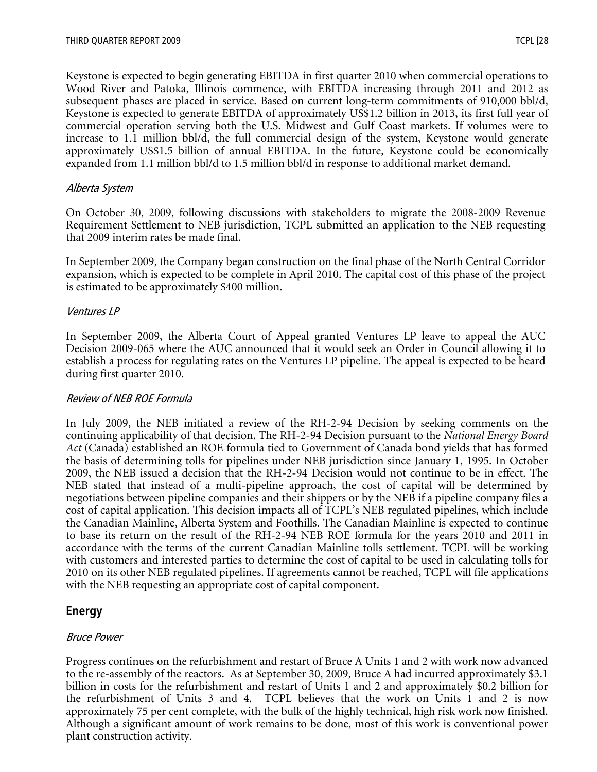Keystone is expected to begin generating EBITDA in first quarter 2010 when commercial operations to Wood River and Patoka, Illinois commence, with EBITDA increasing through 2011 and 2012 as subsequent phases are placed in service. Based on current long-term commitments of 910,000 bbl/d, Keystone is expected to generate EBITDA of approximately US\$1.2 billion in 2013, its first full year of commercial operation serving both the U.S. Midwest and Gulf Coast markets. If volumes were to increase to 1.1 million bbl/d, the full commercial design of the system, Keystone would generate approximately US\$1.5 billion of annual EBITDA. In the future, Keystone could be economically expanded from 1.1 million bbl/d to 1.5 million bbl/d in response to additional market demand.

#### Alberta System

On October 30, 2009, following discussions with stakeholders to migrate the 2008-2009 Revenue Requirement Settlement to NEB jurisdiction, TCPL submitted an application to the NEB requesting that 2009 interim rates be made final.

In September 2009, the Company began construction on the final phase of the North Central Corridor expansion, which is expected to be complete in April 2010. The capital cost of this phase of the project is estimated to be approximately \$400 million.

#### Ventures LP

In September 2009, the Alberta Court of Appeal granted Ventures LP leave to appeal the AUC Decision 2009-065 where the AUC announced that it would seek an Order in Council allowing it to establish a process for regulating rates on the Ventures LP pipeline. The appeal is expected to be heard during first quarter 2010.

#### Review of NEB ROE Formula

In July 2009, the NEB initiated a review of the RH-2-94 Decision by seeking comments on the continuing applicability of that decision. The RH-2-94 Decision pursuant to the *National Energy Board Act* (Canada) established an ROE formula tied to Government of Canada bond yields that has formed the basis of determining tolls for pipelines under NEB jurisdiction since January 1, 1995. In October 2009, the NEB issued a decision that the RH-2-94 Decision would not continue to be in effect. The NEB stated that instead of a multi-pipeline approach, the cost of capital will be determined by negotiations between pipeline companies and their shippers or by the NEB if a pipeline company files a cost of capital application. This decision impacts all of TCPL's NEB regulated pipelines, which include the Canadian Mainline, Alberta System and Foothills. The Canadian Mainline is expected to continue to base its return on the result of the RH-2-94 NEB ROE formula for the years 2010 and 2011 in accordance with the terms of the current Canadian Mainline tolls settlement. TCPL will be working with customers and interested parties to determine the cost of capital to be used in calculating tolls for 2010 on its other NEB regulated pipelines. If agreements cannot be reached, TCPL will file applications with the NEB requesting an appropriate cost of capital component.

# **Energy**

#### Bruce Power

Progress continues on the refurbishment and restart of Bruce A Units 1 and 2 with work now advanced to the re-assembly of the reactors. As at September 30, 2009, Bruce A had incurred approximately \$3.1 billion in costs for the refurbishment and restart of Units 1 and 2 and approximately \$0.2 billion for the refurbishment of Units 3 and 4. TCPL believes that the work on Units 1 and 2 is now approximately 75 per cent complete, with the bulk of the highly technical, high risk work now finished. Although a significant amount of work remains to be done, most of this work is conventional power plant construction activity.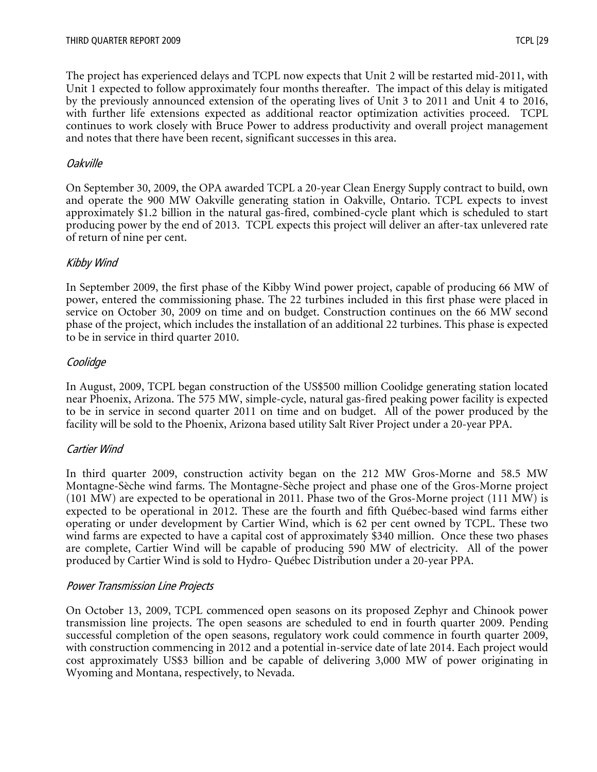The project has experienced delays and TCPL now expects that Unit 2 will be restarted mid-2011, with Unit 1 expected to follow approximately four months thereafter. The impact of this delay is mitigated by the previously announced extension of the operating lives of Unit 3 to 2011 and Unit 4 to 2016, with further life extensions expected as additional reactor optimization activities proceed. TCPL continues to work closely with Bruce Power to address productivity and overall project management and notes that there have been recent, significant successes in this area.

#### Oakville

On September 30, 2009, the OPA awarded TCPL a 20-year Clean Energy Supply contract to build, own and operate the 900 MW Oakville generating station in Oakville, Ontario. TCPL expects to invest approximately \$1.2 billion in the natural gas-fired, combined-cycle plant which is scheduled to start producing power by the end of 2013. TCPL expects this project will deliver an after-tax unlevered rate of return of nine per cent.

# Kibby Wind

In September 2009, the first phase of the Kibby Wind power project, capable of producing 66 MW of power, entered the commissioning phase. The 22 turbines included in this first phase were placed in service on October 30, 2009 on time and on budget. Construction continues on the 66 MW second phase of the project, which includes the installation of an additional 22 turbines. This phase is expected to be in service in third quarter 2010.

# Coolidge

In August, 2009, TCPL began construction of the US\$500 million Coolidge generating station located near Phoenix, Arizona. The 575 MW, simple-cycle, natural gas-fired peaking power facility is expected to be in service in second quarter 2011 on time and on budget. All of the power produced by the facility will be sold to the Phoenix, Arizona based utility Salt River Project under a 20-year PPA.

# Cartier Wind

In third quarter 2009, construction activity began on the 212 MW Gros-Morne and 58.5 MW Montagne-Sèche wind farms. The Montagne-Sèche project and phase one of the Gros-Morne project (101 MW) are expected to be operational in 2011. Phase two of the Gros-Morne project (111 MW) is expected to be operational in 2012. These are the fourth and fifth Québec-based wind farms either operating or under development by Cartier Wind, which is 62 per cent owned by TCPL. These two wind farms are expected to have a capital cost of approximately \$340 million. Once these two phases are complete, Cartier Wind will be capable of producing 590 MW of electricity. All of the power produced by Cartier Wind is sold to Hydro- Québec Distribution under a 20-year PPA.

#### Power Transmission Line Projects

On October 13, 2009, TCPL commenced open seasons on its proposed Zephyr and Chinook power transmission line projects. The open seasons are scheduled to end in fourth quarter 2009. Pending successful completion of the open seasons, regulatory work could commence in fourth quarter 2009, with construction commencing in 2012 and a potential in-service date of late 2014. Each project would cost approximately US\$3 billion and be capable of delivering 3,000 MW of power originating in Wyoming and Montana, respectively, to Nevada.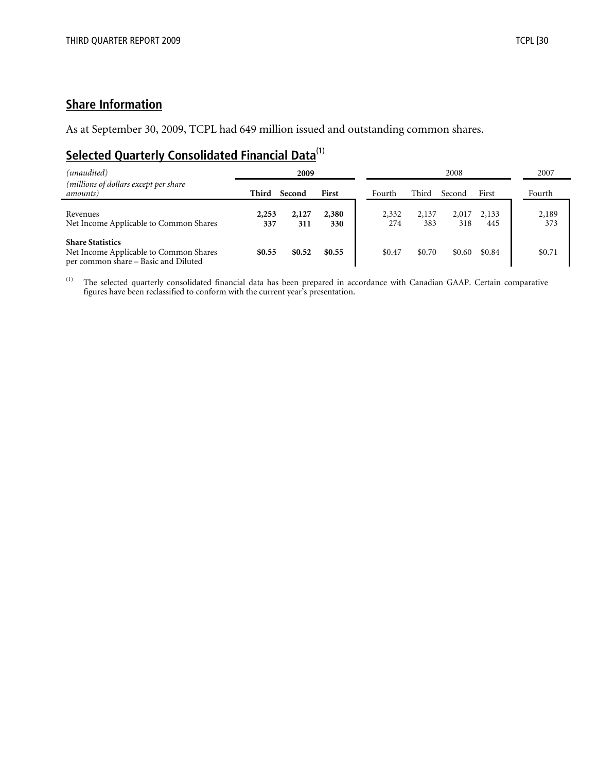# **Share Information**

As at September 30, 2009, TCPL had 649 million issued and outstanding common shares.

# **Selected Quarterly Consolidated Financial Data**<sup>(1)</sup>

| (unaudited)                                                                                               |              | 2009         |              |              |              | 2008         |              | 2007         |
|-----------------------------------------------------------------------------------------------------------|--------------|--------------|--------------|--------------|--------------|--------------|--------------|--------------|
| (millions of dollars except per share<br>amounts)                                                         | Third        | Second       | First        | Fourth       | Third        | Second       | First        | Fourth       |
| Revenues<br>Net Income Applicable to Common Shares                                                        | 2,253<br>337 | 2,127<br>311 | 2,380<br>330 | 2,332<br>274 | 2,137<br>383 | 2,017<br>318 | 2,133<br>445 | 2,189<br>373 |
| <b>Share Statistics</b><br>Net Income Applicable to Common Shares<br>per common share – Basic and Diluted | \$0.55       | \$0.52       | \$0.55       | \$0.47       | \$0.70       | \$0.60       | \$0.84       | \$0.71       |

<sup>(1)</sup> The selected quarterly consolidated financial data has been prepared in accordance with Canadian GAAP. Certain comparative figures have been reclassified to conform with the current year's presentation.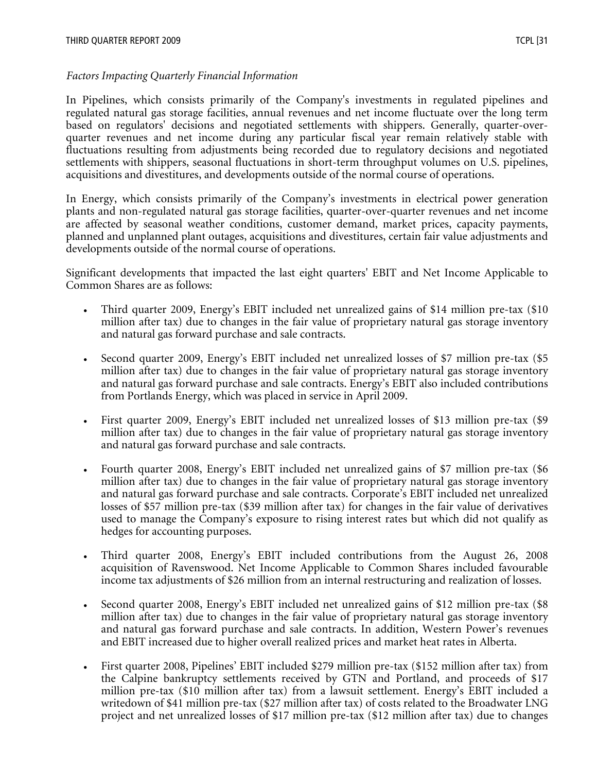#### *Factors Impacting Quarterly Financial Information*

In Pipelines, which consists primarily of the Company's investments in regulated pipelines and regulated natural gas storage facilities, annual revenues and net income fluctuate over the long term based on regulators' decisions and negotiated settlements with shippers. Generally, quarter-overquarter revenues and net income during any particular fiscal year remain relatively stable with fluctuations resulting from adjustments being recorded due to regulatory decisions and negotiated settlements with shippers, seasonal fluctuations in short-term throughput volumes on U.S. pipelines, acquisitions and divestitures, and developments outside of the normal course of operations.

In Energy, which consists primarily of the Company's investments in electrical power generation plants and non-regulated natural gas storage facilities, quarter-over-quarter revenues and net income are affected by seasonal weather conditions, customer demand, market prices, capacity payments, planned and unplanned plant outages, acquisitions and divestitures, certain fair value adjustments and developments outside of the normal course of operations.

Significant developments that impacted the last eight quarters' EBIT and Net Income Applicable to Common Shares are as follows:

- Third quarter 2009, Energy's EBIT included net unrealized gains of \$14 million pre-tax (\$10) million after tax) due to changes in the fair value of proprietary natural gas storage inventory and natural gas forward purchase and sale contracts.
- Second quarter 2009, Energy's EBIT included net unrealized losses of \$7 million pre-tax (\$5 million after tax) due to changes in the fair value of proprietary natural gas storage inventory and natural gas forward purchase and sale contracts. Energy's EBIT also included contributions from Portlands Energy, which was placed in service in April 2009.
- First quarter 2009, Energy's EBIT included net unrealized losses of \$13 million pre-tax (\$9 million after tax) due to changes in the fair value of proprietary natural gas storage inventory and natural gas forward purchase and sale contracts.
- Fourth quarter 2008, Energy's EBIT included net unrealized gains of \$7 million pre-tax (\$6 million after tax) due to changes in the fair value of proprietary natural gas storage inventory and natural gas forward purchase and sale contracts. Corporate's EBIT included net unrealized losses of \$57 million pre-tax (\$39 million after tax) for changes in the fair value of derivatives used to manage the Company's exposure to rising interest rates but which did not qualify as hedges for accounting purposes.
- Third quarter 2008, Energy's EBIT included contributions from the August 26, 2008 acquisition of Ravenswood. Net Income Applicable to Common Shares included favourable income tax adjustments of \$26 million from an internal restructuring and realization of losses.
- Second quarter 2008, Energy's EBIT included net unrealized gains of \$12 million pre-tax (\$8 million after tax) due to changes in the fair value of proprietary natural gas storage inventory and natural gas forward purchase and sale contracts. In addition, Western Power's revenues and EBIT increased due to higher overall realized prices and market heat rates in Alberta.
- First quarter 2008, Pipelines' EBIT included \$279 million pre-tax (\$152 million after tax) from the Calpine bankruptcy settlements received by GTN and Portland, and proceeds of \$17 million pre-tax (\$10 million after tax) from a lawsuit settlement. Energy's EBIT included a writedown of \$41 million pre-tax (\$27 million after tax) of costs related to the Broadwater LNG project and net unrealized losses of \$17 million pre-tax (\$12 million after tax) due to changes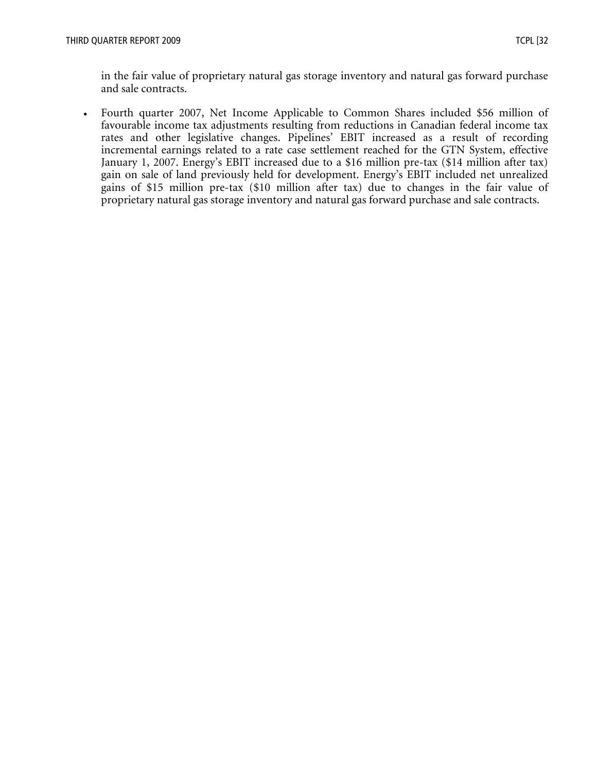in the fair value of proprietary natural gas storage inventory and natural gas forward purchase and sale contracts.

• Fourth quarter 2007, Net Income Applicable to Common Shares included \$56 million of favourable income tax adjustments resulting from reductions in Canadian federal income tax rates and other legislative changes. Pipelines' EBIT increased as a result of recording incremental earnings related to a rate case settlement reached for the GTN System, effective January 1, 2007. Energy's EBIT increased due to a \$16 million pre-tax (\$14 million after tax) gain on sale of land previously held for development. Energy's EBIT included net unrealized gains of \$15 million pre-tax (\$10 million after tax) due to changes in the fair value of proprietary natural gas storage inventory and natural gas forward purchase and sale contracts.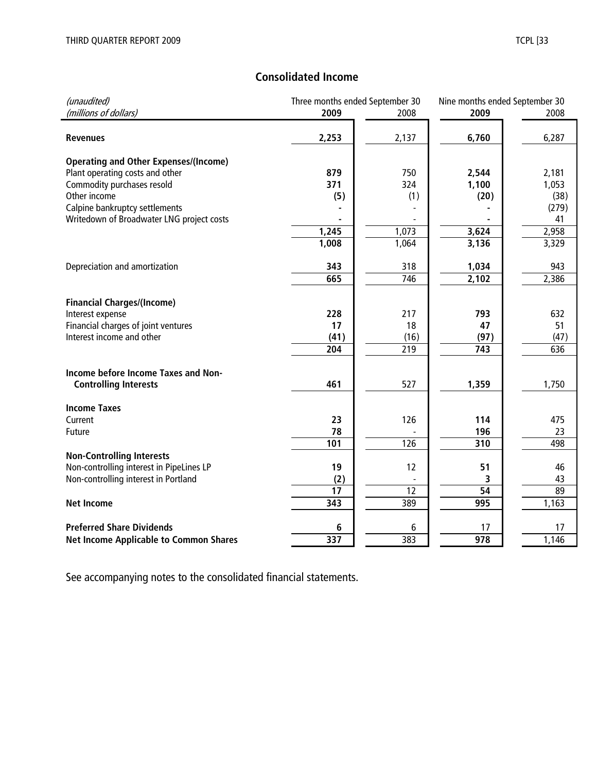# **Consolidated Income**

| (unaudited)                                   | Three months ended September 30 |       | Nine months ended September 30 |       |
|-----------------------------------------------|---------------------------------|-------|--------------------------------|-------|
| (millions of dollars)                         | 2009                            | 2008  | 2009                           | 2008  |
|                                               |                                 |       |                                |       |
| <b>Revenues</b>                               | 2,253                           | 2,137 | 6,760                          | 6,287 |
|                                               |                                 |       |                                |       |
| <b>Operating and Other Expenses/(Income)</b>  |                                 |       |                                |       |
| Plant operating costs and other               | 879                             | 750   | 2,544                          | 2,181 |
| Commodity purchases resold                    | 371                             | 324   | 1,100                          | 1,053 |
| Other income                                  | (5)                             | (1)   | (20)                           | (38)  |
| Calpine bankruptcy settlements                |                                 |       |                                | (279) |
| Writedown of Broadwater LNG project costs     |                                 |       |                                | 41    |
|                                               | 1,245                           | 1,073 | 3,624                          | 2,958 |
|                                               | 1,008                           | 1,064 | 3,136                          | 3,329 |
|                                               |                                 |       |                                |       |
| Depreciation and amortization                 | 343                             | 318   | 1,034                          | 943   |
|                                               | 665                             | 746   | 2,102                          | 2,386 |
|                                               |                                 |       |                                |       |
| <b>Financial Charges/(Income)</b>             |                                 |       |                                |       |
| Interest expense                              | 228                             | 217   | 793                            | 632   |
| Financial charges of joint ventures           | 17                              | 18    | 47                             | 51    |
| Interest income and other                     | (41)                            | (16)  | (97)                           | (47)  |
|                                               | 204                             | 219   | 743                            | 636   |
|                                               |                                 |       |                                |       |
| Income before Income Taxes and Non-           |                                 |       |                                |       |
| <b>Controlling Interests</b>                  | 461                             | 527   | 1,359                          | 1,750 |
|                                               |                                 |       |                                |       |
| <b>Income Taxes</b>                           |                                 |       |                                |       |
| Current                                       | 23                              | 126   | 114                            | 475   |
| Future                                        | 78                              |       | 196                            | 23    |
|                                               | 101                             | 126   | 310                            | 498   |
| <b>Non-Controlling Interests</b>              |                                 |       |                                |       |
| Non-controlling interest in PipeLines LP      | 19                              | 12    | 51                             | 46    |
| Non-controlling interest in Portland          | (2)                             |       | 3                              | 43    |
|                                               | 17                              | 12    | 54                             | 89    |
| <b>Net Income</b>                             | 343                             | 389   | 995                            | 1,163 |
|                                               |                                 |       |                                |       |
| <b>Preferred Share Dividends</b>              | 6                               | 6     | 17                             | 17    |
| <b>Net Income Applicable to Common Shares</b> | 337                             | 383   | 978                            | 1,146 |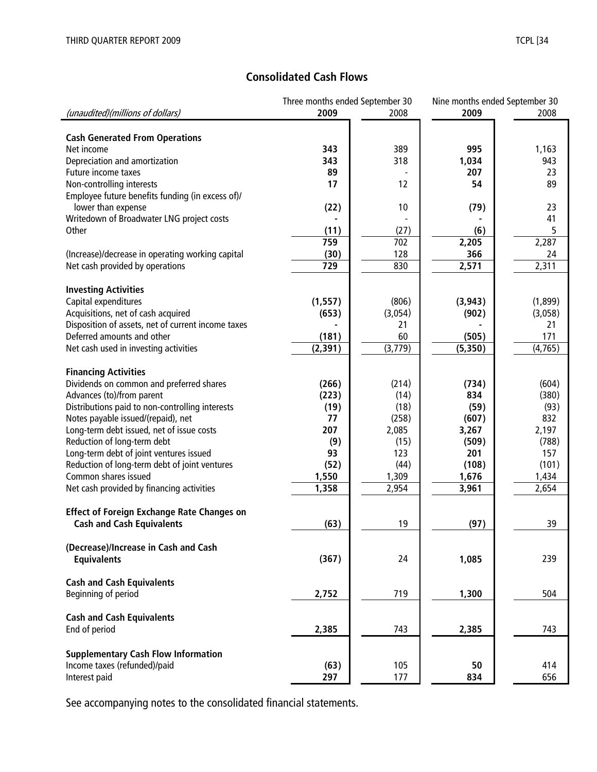# **Consolidated Cash Flows**

|                                                    | Three months ended September 30 |         |          | Nine months ended September 30 |
|----------------------------------------------------|---------------------------------|---------|----------|--------------------------------|
| (unaudited)(millions of dollars)                   | 2009                            | 2008    | 2009     | 2008                           |
|                                                    |                                 |         |          |                                |
| <b>Cash Generated From Operations</b>              |                                 |         |          |                                |
| Net income                                         | 343                             | 389     | 995      | 1,163                          |
| Depreciation and amortization                      | 343                             | 318     | 1,034    | 943                            |
| Future income taxes                                | 89                              |         | 207      | 23                             |
| Non-controlling interests                          | 17                              | 12      | 54       | 89                             |
| Employee future benefits funding (in excess of)/   |                                 |         |          |                                |
| lower than expense                                 | (22)                            | 10      | (79)     | 23                             |
| Writedown of Broadwater LNG project costs          |                                 |         |          | 41                             |
| Other                                              | (11)                            | (27)    | (6)      | 5                              |
|                                                    | 759                             | 702     | 2,205    | 2,287                          |
| (Increase)/decrease in operating working capital   | (30)                            | 128     | 366      | 24                             |
| Net cash provided by operations                    | 729                             | 830     | 2,571    | 2,311                          |
|                                                    |                                 |         |          |                                |
|                                                    |                                 |         |          |                                |
| <b>Investing Activities</b>                        |                                 |         |          |                                |
| Capital expenditures                               | (1, 557)                        | (806)   | (3, 943) | (1,899)                        |
| Acquisitions, net of cash acquired                 | (653)                           | (3,054) | (902)    | (3,058)                        |
| Disposition of assets, net of current income taxes |                                 | 21      |          | 21                             |
| Deferred amounts and other                         | (181)                           | 60      | (505)    | 171                            |
| Net cash used in investing activities              | (2, 391)                        | (3,779) | (5, 350) | (4,765)                        |
|                                                    |                                 |         |          |                                |
| <b>Financing Activities</b>                        |                                 |         |          |                                |
| Dividends on common and preferred shares           | (266)                           | (214)   | (734)    | (604)                          |
| Advances (to)/from parent                          | (223)                           | (14)    | 834      | (380)                          |
| Distributions paid to non-controlling interests    | (19)                            | (18)    | (59)     | (93)                           |
| Notes payable issued/(repaid), net                 | 77                              | (258)   | (607)    | 832                            |
| Long-term debt issued, net of issue costs          | 207                             | 2,085   | 3,267    | 2,197                          |
| Reduction of long-term debt                        | (9)                             | (15)    | (509)    | (788)                          |
| Long-term debt of joint ventures issued            | 93                              | 123     | 201      | 157                            |
| Reduction of long-term debt of joint ventures      | (52)                            | (44)    | (108)    | (101)                          |
| Common shares issued                               | 1,550                           | 1,309   | 1,676    | 1,434                          |
| Net cash provided by financing activities          | 1,358                           | 2,954   | 3,961    | 2,654                          |
|                                                    |                                 |         |          |                                |
| <b>Effect of Foreign Exchange Rate Changes on</b>  |                                 |         |          |                                |
| <b>Cash and Cash Equivalents</b>                   | (63)                            | 19      | (97)     | 39                             |
|                                                    |                                 |         |          |                                |
| (Decrease)/Increase in Cash and Cash               |                                 |         |          |                                |
| <b>Equivalents</b>                                 | (367)                           | 24      | 1,085    | 239                            |
|                                                    |                                 |         |          |                                |
| <b>Cash and Cash Equivalents</b>                   |                                 |         |          |                                |
| Beginning of period                                | 2,752                           | 719     | 1,300    | 504                            |
|                                                    |                                 |         |          |                                |
| <b>Cash and Cash Equivalents</b>                   |                                 |         |          |                                |
|                                                    | 2,385                           |         |          |                                |
| End of period                                      |                                 | 743     | 2,385    | 743                            |
|                                                    |                                 |         |          |                                |
| <b>Supplementary Cash Flow Information</b>         |                                 |         |          |                                |
| Income taxes (refunded)/paid                       | (63)                            | 105     | 50       | 414                            |
| Interest paid                                      | 297                             | 177     | 834      | 656                            |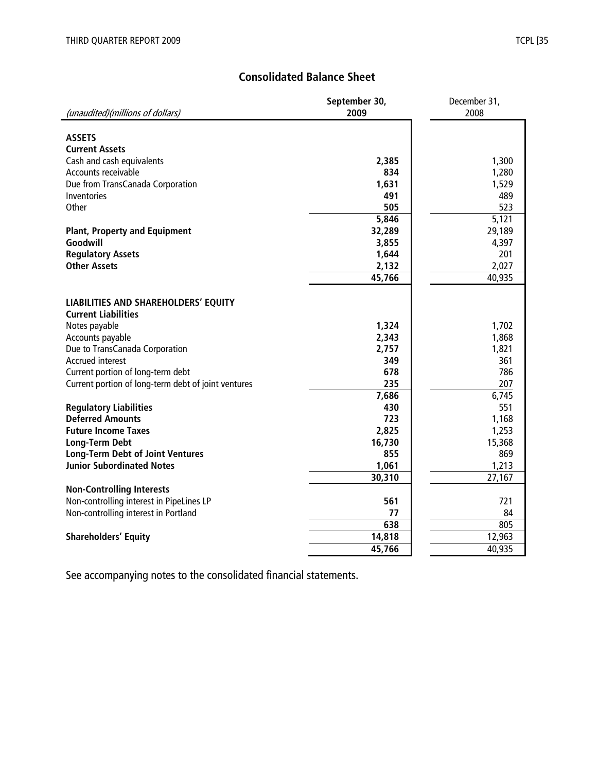# **Consolidated Balance Sheet**

|                                                     | September 30, | December 31, |
|-----------------------------------------------------|---------------|--------------|
| (unaudited)(millions of dollars)                    | 2009          | 2008         |
|                                                     |               |              |
| <b>ASSETS</b>                                       |               |              |
| <b>Current Assets</b>                               |               |              |
| Cash and cash equivalents<br>Accounts receivable    | 2,385<br>834  | 1,300        |
|                                                     | 1,631         | 1,280        |
| Due from TransCanada Corporation<br>Inventories     | 491           | 1,529<br>489 |
| Other                                               | 505           | 523          |
|                                                     | 5,846         | 5,121        |
| <b>Plant, Property and Equipment</b>                | 32,289        | 29,189       |
| Goodwill                                            | 3,855         | 4,397        |
| <b>Regulatory Assets</b>                            | 1,644         | 201          |
| <b>Other Assets</b>                                 | 2,132         | 2,027        |
|                                                     | 45,766        | 40,935       |
|                                                     |               |              |
| <b>LIABILITIES AND SHAREHOLDERS' EQUITY</b>         |               |              |
| <b>Current Liabilities</b>                          |               |              |
| Notes payable                                       | 1,324         | 1,702        |
| Accounts payable                                    | 2,343         | 1,868        |
| Due to TransCanada Corporation                      | 2,757         | 1,821        |
| <b>Accrued interest</b>                             | 349           | 361          |
| Current portion of long-term debt                   | 678           | 786          |
| Current portion of long-term debt of joint ventures | 235           | 207          |
|                                                     | 7,686         | 6,745        |
| <b>Regulatory Liabilities</b>                       | 430           | 551          |
| <b>Deferred Amounts</b>                             | 723           | 1,168        |
| <b>Future Income Taxes</b>                          | 2,825         | 1,253        |
| <b>Long-Term Debt</b>                               | 16,730        | 15,368       |
| <b>Long-Term Debt of Joint Ventures</b>             | 855           | 869          |
| <b>Junior Subordinated Notes</b>                    | 1,061         | 1,213        |
|                                                     | 30,310        | 27,167       |
| <b>Non-Controlling Interests</b>                    |               |              |
| Non-controlling interest in PipeLines LP            | 561           | 721          |
| Non-controlling interest in Portland                | 77            | 84           |
|                                                     | 638           | 805          |
| <b>Shareholders' Equity</b>                         | 14,818        | 12,963       |
|                                                     | 45,766        | 40,935       |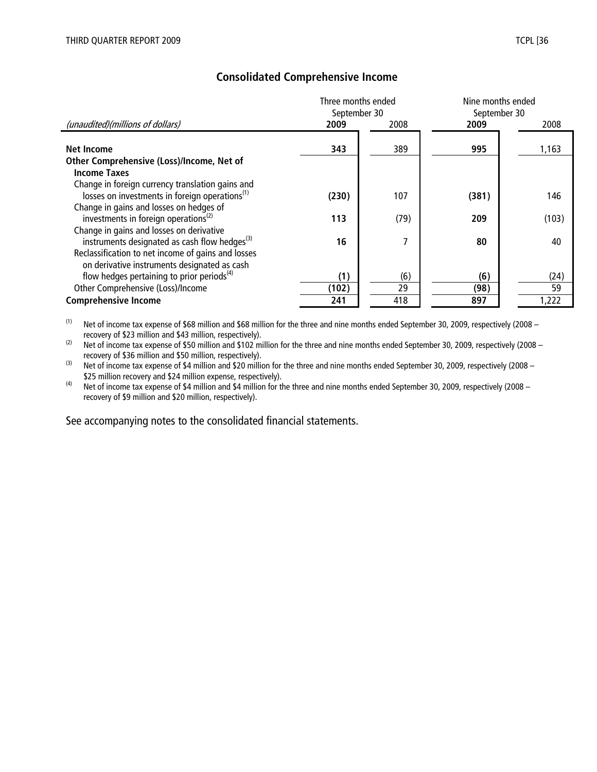|                                                                                                                 | Three months ended<br>September 30 |      | Nine months ended<br>September 30 |       |
|-----------------------------------------------------------------------------------------------------------------|------------------------------------|------|-----------------------------------|-------|
| (unaudited)(millions of dollars)                                                                                | 2009                               | 2008 | 2009                              | 2008  |
| Net Income                                                                                                      | 343                                | 389  | 995                               | 1,163 |
| Other Comprehensive (Loss)/Income, Net of<br><b>Income Taxes</b>                                                |                                    |      |                                   |       |
| Change in foreign currency translation gains and                                                                |                                    |      |                                   |       |
| losses on investments in foreign operations <sup>(1)</sup>                                                      | (230)                              | 107  | (381)                             | 146   |
| Change in gains and losses on hedges of<br>investments in foreign operations <sup>(2)</sup>                     | 113                                | (79) | 209                               | (103) |
| Change in gains and losses on derivative                                                                        |                                    |      |                                   |       |
| instruments designated as cash flow hedges <sup>(3)</sup><br>Reclassification to net income of gains and losses | 16                                 | 7    | 80                                | 40    |
| on derivative instruments designated as cash                                                                    |                                    |      |                                   |       |
| flow hedges pertaining to prior periods <sup>(4)</sup>                                                          | (1)                                | (6)  | (6)                               | (24)  |
| Other Comprehensive (Loss)/Income                                                                               | (102)                              | 29   | (98)                              | 59    |
| <b>Comprehensive Income</b>                                                                                     | 241                                | 418  | 897                               | 1,222 |

# **Consolidated Comprehensive Income**

 $(1)$  Net of income tax expense of \$68 million and \$68 million for the three and nine months ended September 30, 2009, respectively (2008 – recovery of \$23 million and \$43 million, respectively).

(2) Net of income tax expense of \$50 million and \$102 million for the three and nine months ended September 30, 2009, respectively (2008 – recovery of \$36 million and \$50 million, respectively).

(3) Net of income tax expense of \$4 million and \$20 million for the three and nine months ended September 30, 2009, respectively (2008 – \$25 million recovery and \$24 million expense, respectively).

<sup>(4)</sup> Net of income tax expense of \$4 million and \$4 million for the three and nine months ended September 30, 2009, respectively (2008 – recovery of \$9 million and \$20 million, respectively).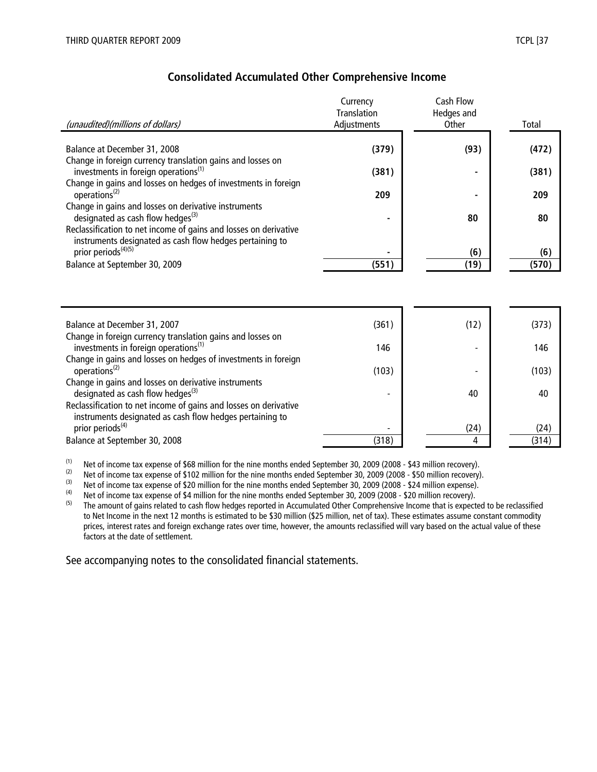instruments designated as cash flow hedges pertaining to

| Consolidated Accumulated Other Comprehensive Income                                                            |                                                      |                                  |       |  |  |  |  |  |
|----------------------------------------------------------------------------------------------------------------|------------------------------------------------------|----------------------------------|-------|--|--|--|--|--|
| (unaudited)(millions of dollars)                                                                               | Currency<br><b>Translation</b><br><b>Adiustments</b> | Cash Flow<br>Hedges and<br>Other | Total |  |  |  |  |  |
| Balance at December 31, 2008                                                                                   | (379)                                                | (93)                             | (472) |  |  |  |  |  |
| Change in foreign currency translation gains and losses on<br>investments in foreign operations <sup>(1)</sup> | (381)                                                |                                  | (381) |  |  |  |  |  |
| Change in gains and losses on hedges of investments in foreign<br>operations <sup>(2)</sup>                    | 209                                                  |                                  | 209   |  |  |  |  |  |
| Change in gains and losses on derivative instruments<br>designated as cash flow hedges $^{(3)}$                | ۰                                                    | 80                               | 80    |  |  |  |  |  |
| Reclassification to net income of gains and losses on derivative                                               |                                                      |                                  |       |  |  |  |  |  |

# **Consolidated Accumulated Other Comprehensive Income**

| Balance at December 31, 2007                                                                                                 | (361) | (12) | (373) |
|------------------------------------------------------------------------------------------------------------------------------|-------|------|-------|
| Change in foreign currency translation gains and losses on<br>investments in foreign operations <sup>(1)</sup>               | 146   |      | 146   |
| Change in gains and losses on hedges of investments in foreign                                                               |       |      |       |
| operations <sup>(2)</sup>                                                                                                    | (103) |      | (103) |
| Change in gains and losses on derivative instruments<br>designated as cash flow hedges <sup>(3)</sup>                        |       | 40   | 40    |
| Reclassification to net income of gains and losses on derivative<br>instruments designated as cash flow hedges pertaining to |       |      |       |
| prior periods <sup>(4)</sup>                                                                                                 |       | (24) | (24)  |
| Balance at September 30, 2008                                                                                                | (318) | 4    | (314) |

prior periods<sup>(4)(5)</sup> **-** (6) **(6) - (6) - (6) (6) - (6) - (6) - (6) -** (6) Balance at September 30, 2009 **(551) (19 ) (570)** 

(1) Net of income tax expense of \$68 million for the nine months ended September 30, 2009 (2008 - \$43 million recovery).<br>Net of income tax expense of \$102 million for the nine months ended September 30, 2009 (2008 - \$50 m

(2) Net of income tax expense of \$102 million for the nine months ended September 30, 2009 (2008 - \$50 million recovery).<br>(3) Net of income tax expense of \$20 million for the nine months ended September 30, 2009 (2008 - \$

(3) Net of income tax expense of \$20 million for the nine months ended September 30, 2009 (2008 - \$24 million expense).

(4) Net of income tax expense of \$4 million for the nine months ended September 30, 2009 (2008 - \$20 million recovery).<br>The amount of gains related to cash flow bedges reported in Accumulated Other Comprehensive Income th

The amount of gains related to cash flow hedges reported in Accumulated Other Comprehensive Income that is expected to be reclassified to Net Income in the next 12 months is estimated to be \$30 million (\$25 million, net of tax). These estimates assume constant commodity prices, interest rates and foreign exchange rates over time, however, the amounts reclassified will vary based on the actual value of these factors at the date of settlement.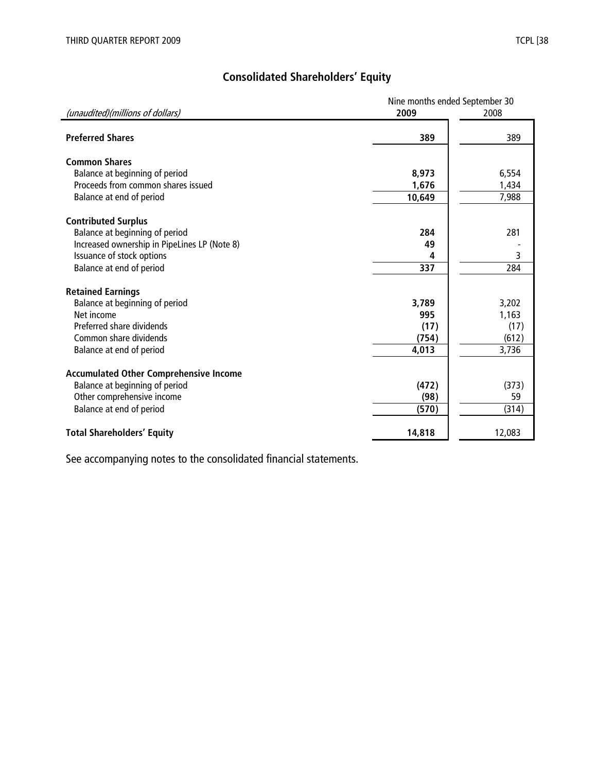# **Consolidated Shareholders' Equity**

|                                               | Nine months ended September 30 |        |  |  |  |
|-----------------------------------------------|--------------------------------|--------|--|--|--|
| (unaudited)(millions of dollars)              | 2009                           | 2008   |  |  |  |
|                                               |                                |        |  |  |  |
| <b>Preferred Shares</b>                       | 389                            | 389    |  |  |  |
| <b>Common Shares</b>                          |                                |        |  |  |  |
| Balance at beginning of period                | 8,973                          | 6,554  |  |  |  |
| Proceeds from common shares issued            | 1,676                          | 1,434  |  |  |  |
|                                               | 10,649                         | 7,988  |  |  |  |
| Balance at end of period                      |                                |        |  |  |  |
| <b>Contributed Surplus</b>                    |                                |        |  |  |  |
| Balance at beginning of period                | 284                            | 281    |  |  |  |
| Increased ownership in PipeLines LP (Note 8)  | 49                             |        |  |  |  |
| Issuance of stock options                     | 4                              | 3      |  |  |  |
| Balance at end of period                      | 337                            | 284    |  |  |  |
|                                               |                                |        |  |  |  |
| <b>Retained Earnings</b>                      |                                |        |  |  |  |
| Balance at beginning of period                | 3,789                          | 3,202  |  |  |  |
| Net income                                    | 995                            | 1,163  |  |  |  |
| Preferred share dividends                     | (17)                           | (17)   |  |  |  |
| Common share dividends                        | (754)                          | (612)  |  |  |  |
| Balance at end of period                      | 4,013                          | 3,736  |  |  |  |
|                                               |                                |        |  |  |  |
| <b>Accumulated Other Comprehensive Income</b> |                                |        |  |  |  |
| Balance at beginning of period                | (472)                          | (373)  |  |  |  |
| Other comprehensive income                    | (98)                           | 59     |  |  |  |
| Balance at end of period                      | (570)                          | (314)  |  |  |  |
|                                               |                                |        |  |  |  |
| <b>Total Shareholders' Equity</b>             | 14,818                         | 12,083 |  |  |  |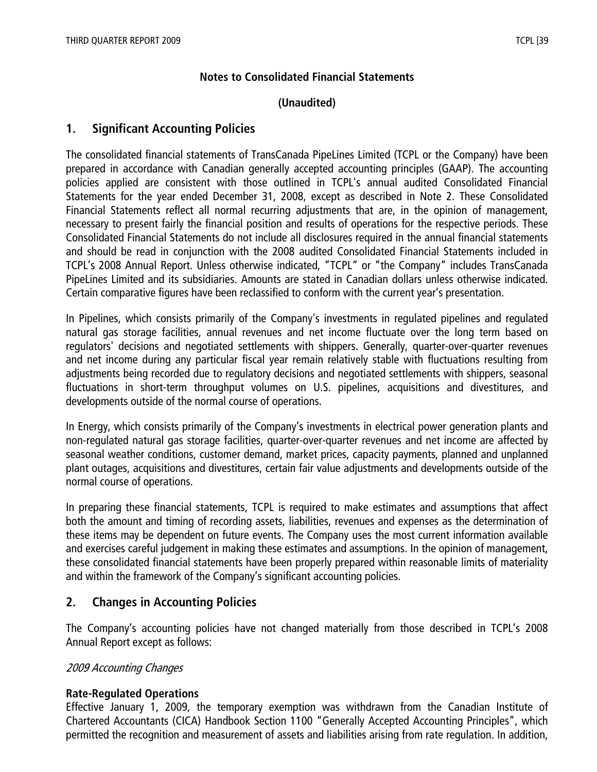# **Notes to Consolidated Financial Statements**

# **(Unaudited)**

# **1. Significant Accounting Policies**

The consolidated financial statements of TransCanada PipeLines Limited (TCPL or the Company) have been prepared in accordance with Canadian generally accepted accounting principles (GAAP). The accounting policies applied are consistent with those outlined in TCPL's annual audited Consolidated Financial Statements for the year ended December 31, 2008, except as described in Note 2. These Consolidated Financial Statements reflect all normal recurring adjustments that are, in the opinion of management, necessary to present fairly the financial position and results of operations for the respective periods. These Consolidated Financial Statements do not include all disclosures required in the annual financial statements and should be read in conjunction with the 2008 audited Consolidated Financial Statements included in TCPL's 2008 Annual Report. Unless otherwise indicated, "TCPL" or "the Company" includes TransCanada PipeLines Limited and its subsidiaries. Amounts are stated in Canadian dollars unless otherwise indicated. Certain comparative figures have been reclassified to conform with the current year's presentation.

In Pipelines, which consists primarily of the Company's investments in regulated pipelines and regulated natural gas storage facilities, annual revenues and net income fluctuate over the long term based on regulators' decisions and negotiated settlements with shippers. Generally, quarter-over-quarter revenues and net income during any particular fiscal year remain relatively stable with fluctuations resulting from adjustments being recorded due to regulatory decisions and negotiated settlements with shippers, seasonal fluctuations in short-term throughput volumes on U.S. pipelines, acquisitions and divestitures, and developments outside of the normal course of operations.

In Energy, which consists primarily of the Company's investments in electrical power generation plants and non-regulated natural gas storage facilities, quarter-over-quarter revenues and net income are affected by seasonal weather conditions, customer demand, market prices, capacity payments, planned and unplanned plant outages, acquisitions and divestitures, certain fair value adjustments and developments outside of the normal course of operations.

In preparing these financial statements, TCPL is required to make estimates and assumptions that affect both the amount and timing of recording assets, liabilities, revenues and expenses as the determination of these items may be dependent on future events. The Company uses the most current information available and exercises careful judgement in making these estimates and assumptions. In the opinion of management, these consolidated financial statements have been properly prepared within reasonable limits of materiality and within the framework of the Company's significant accounting policies.

# **2. Changes in Accounting Policies**

The Company's accounting policies have not changed materially from those described in TCPL's 2008 Annual Report except as follows:

#### 2009 Accounting Changes

# **Rate-Regulated Operations**

Effective January 1, 2009, the temporary exemption was withdrawn from the Canadian Institute of Chartered Accountants (CICA) Handbook Section 1100 "Generally Accepted Accounting Principles", which permitted the recognition and measurement of assets and liabilities arising from rate regulation. In addition,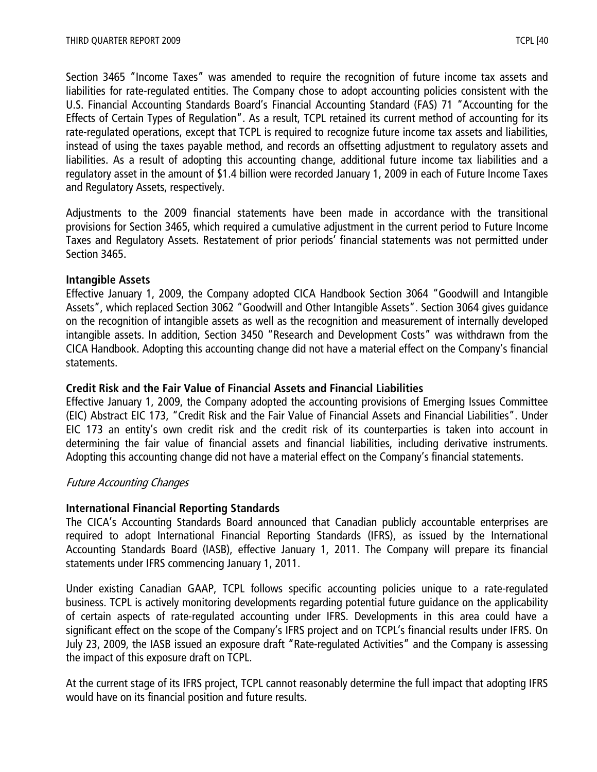Section 3465 "Income Taxes" was amended to require the recognition of future income tax assets and liabilities for rate-regulated entities. The Company chose to adopt accounting policies consistent with the U.S. Financial Accounting Standards Board's Financial Accounting Standard (FAS) 71 "Accounting for the Effects of Certain Types of Regulation". As a result, TCPL retained its current method of accounting for its rate-regulated operations, except that TCPL is required to recognize future income tax assets and liabilities, instead of using the taxes payable method, and records an offsetting adjustment to regulatory assets and liabilities. As a result of adopting this accounting change, additional future income tax liabilities and a regulatory asset in the amount of \$1.4 billion were recorded January 1, 2009 in each of Future Income Taxes and Regulatory Assets, respectively.

Adjustments to the 2009 financial statements have been made in accordance with the transitional provisions for Section 3465, which required a cumulative adjustment in the current period to Future Income Taxes and Regulatory Assets. Restatement of prior periods' financial statements was not permitted under Section 3465.

#### **Intangible Assets**

Effective January 1, 2009, the Company adopted CICA Handbook Section 3064 "Goodwill and Intangible Assets", which replaced Section 3062 "Goodwill and Other Intangible Assets". Section 3064 gives guidance on the recognition of intangible assets as well as the recognition and measurement of internally developed intangible assets. In addition, Section 3450 "Research and Development Costs" was withdrawn from the CICA Handbook. Adopting this accounting change did not have a material effect on the Company's financial statements.

# **Credit Risk and the Fair Value of Financial Assets and Financial Liabilities**

Effective January 1, 2009, the Company adopted the accounting provisions of Emerging Issues Committee (EIC) Abstract EIC 173, "Credit Risk and the Fair Value of Financial Assets and Financial Liabilities". Under EIC 173 an entity's own credit risk and the credit risk of its counterparties is taken into account in determining the fair value of financial assets and financial liabilities, including derivative instruments. Adopting this accounting change did not have a material effect on the Company's financial statements.

# Future Accounting Changes

# **International Financial Reporting Standards**

The CICA's Accounting Standards Board announced that Canadian publicly accountable enterprises are required to adopt International Financial Reporting Standards (IFRS), as issued by the International Accounting Standards Board (IASB), effective January 1, 2011. The Company will prepare its financial statements under IFRS commencing January 1, 2011.

Under existing Canadian GAAP, TCPL follows specific accounting policies unique to a rate-regulated business. TCPL is actively monitoring developments regarding potential future guidance on the applicability of certain aspects of rate-regulated accounting under IFRS. Developments in this area could have a significant effect on the scope of the Company's IFRS project and on TCPL's financial results under IFRS. On July 23, 2009, the IASB issued an exposure draft "Rate-regulated Activities" and the Company is assessing the impact of this exposure draft on TCPL.

At the current stage of its IFRS project, TCPL cannot reasonably determine the full impact that adopting IFRS would have on its financial position and future results.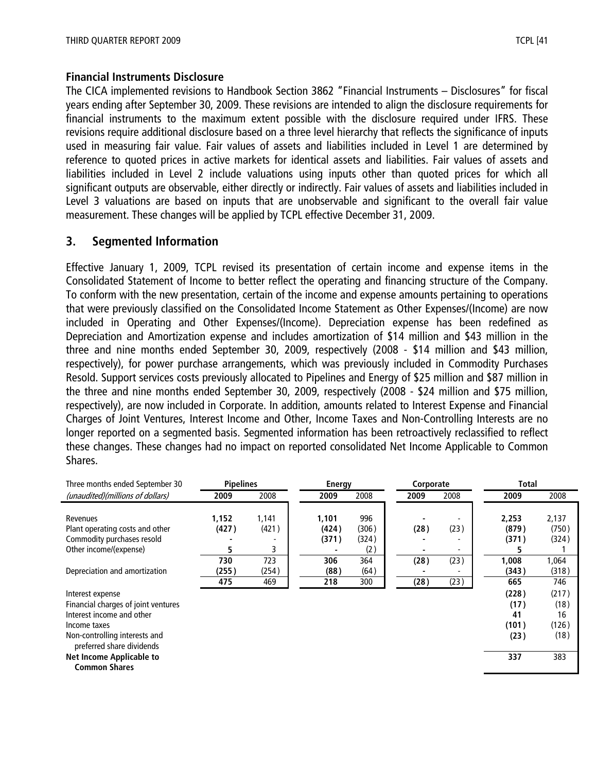#### **Financial Instruments Disclosure**

The CICA implemented revisions to Handbook Section 3862 "Financial Instruments – Disclosures" for fiscal years ending after September 30, 2009. These revisions are intended to align the disclosure requirements for financial instruments to the maximum extent possible with the disclosure required under IFRS. These revisions require additional disclosure based on a three level hierarchy that reflects the significance of inputs used in measuring fair value. Fair values of assets and liabilities included in Level 1 are determined by reference to quoted prices in active markets for identical assets and liabilities. Fair values of assets and liabilities included in Level 2 include valuations using inputs other than quoted prices for which all significant outputs are observable, either directly or indirectly. Fair values of assets and liabilities included in Level 3 valuations are based on inputs that are unobservable and significant to the overall fair value measurement. These changes will be applied by TCPL effective December 31, 2009.

# **3. Segmented Information**

Effective January 1, 2009, TCPL revised its presentation of certain income and expense items in the Consolidated Statement of Income to better reflect the operating and financing structure of the Company. To conform with the new presentation, certain of the income and expense amounts pertaining to operations that were previously classified on the Consolidated Income Statement as Other Expenses/(Income) are now included in Operating and Other Expenses/(Income). Depreciation expense has been redefined as Depreciation and Amortization expense and includes amortization of \$14 million and \$43 million in the three and nine months ended September 30, 2009, respectively (2008 - \$14 million and \$43 million, respectively), for power purchase arrangements, which was previously included in Commodity Purchases Resold. Support services costs previously allocated to Pipelines and Energy of \$25 million and \$87 million in the three and nine months ended September 30, 2009, respectively (2008 - \$24 million and \$75 million, respectively), are now included in Corporate. In addition, amounts related to Interest Expense and Financial Charges of Joint Ventures, Interest Income and Other, Income Taxes and Non-Controlling Interests are no longer reported on a segmented basis. Segmented information has been retroactively reclassified to reflect these changes. These changes had no impact on reported consolidated Net Income Applicable to Common Shares.

| Three months ended September 30                            | <b>Pipelines</b> |       |  | Energy |       | Corporate |      |      |  |       |       | Total |  |
|------------------------------------------------------------|------------------|-------|--|--------|-------|-----------|------|------|--|-------|-------|-------|--|
| (unaudited)(millions of dollars)                           | 2009             | 2008  |  | 2009   | 2008  | 2009      |      | 2008 |  | 2009  | 2008  |       |  |
|                                                            |                  |       |  |        |       |           |      |      |  |       |       |       |  |
| Revenues                                                   | 1,152            | 1,141 |  | 1,101  | 996   |           |      |      |  | 2,253 | 2,137 |       |  |
| Plant operating costs and other                            | (427)            | (421) |  | (424)  | (306) |           | (28) | (23) |  | (879) | (750) |       |  |
| Commodity purchases resold                                 |                  |       |  | (371)  | (324) |           |      |      |  | (371) | (324) |       |  |
| Other income/(expense)                                     | 5                | 3     |  |        | (2)   |           |      |      |  | 5     |       |       |  |
|                                                            | 730              | 723   |  | 306    | 364   |           | (28) | (23) |  | 1,008 | 1,064 |       |  |
| Depreciation and amortization                              | (255)            | (254) |  | (88)   | (64)  |           |      |      |  | (343) | (318) |       |  |
|                                                            | 475              | 469   |  | 218    | 300   |           | (28) | (23) |  | 665   | 746   |       |  |
| Interest expense                                           |                  |       |  |        |       |           |      |      |  | (228) | (217) |       |  |
| Financial charges of joint ventures                        |                  |       |  |        |       |           |      |      |  | (17)  | (18)  |       |  |
| Interest income and other                                  |                  |       |  |        |       |           |      |      |  | 41    | 16    |       |  |
| Income taxes                                               |                  |       |  |        |       |           |      |      |  | (101) | (126) |       |  |
| Non-controlling interests and<br>preferred share dividends |                  |       |  |        |       |           |      |      |  | (23)  | (18)  |       |  |
| Net Income Applicable to<br><b>Common Shares</b>           |                  |       |  |        |       |           |      |      |  | 337   | 383   |       |  |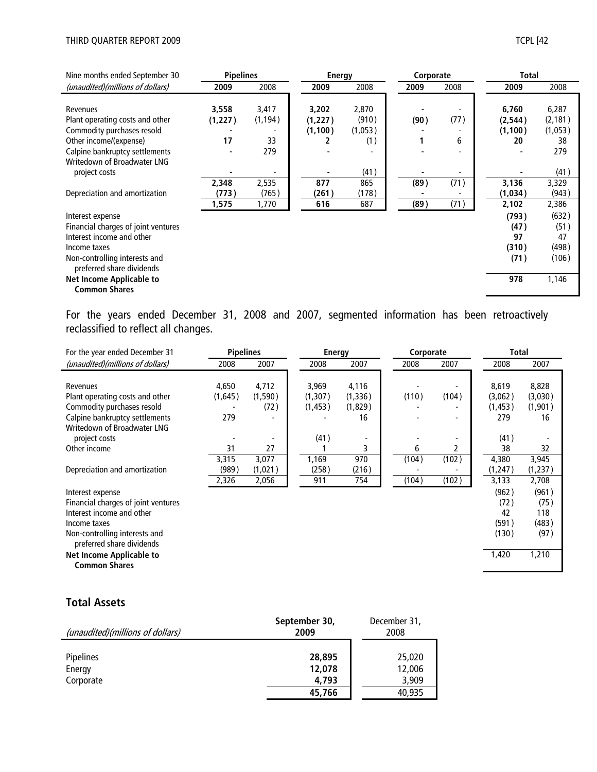| Nine months ended September 30                             | <b>Pipelines</b> |          |          | <b>Energy</b> |  | Corporate |      |  |          |          |  |  | <b>Total</b> |  |  |
|------------------------------------------------------------|------------------|----------|----------|---------------|--|-----------|------|--|----------|----------|--|--|--------------|--|--|
| (unaudited)(millions of dollars)                           | 2009             | 2008     | 2009     | 2008          |  | 2009      | 2008 |  | 2009     | 2008     |  |  |              |  |  |
|                                                            |                  |          |          |               |  |           |      |  |          |          |  |  |              |  |  |
| Revenues                                                   | 3,558            | 3,417    | 3,202    | 2,870         |  |           |      |  | 6,760    | 6,287    |  |  |              |  |  |
| Plant operating costs and other                            | (1, 227)         | (1, 194) | (1, 227) | (910)         |  | (90)      | (77) |  | (2, 544) | (2, 181) |  |  |              |  |  |
| Commodity purchases resold                                 |                  |          | (1, 100) | (1,053)       |  |           |      |  | (1, 100) | (1,053)  |  |  |              |  |  |
| Other income/(expense)                                     | 17               | 33       | 2        | (1)           |  |           | 6    |  | 20       | 38       |  |  |              |  |  |
| Calpine bankruptcy settlements                             |                  | 279      |          |               |  |           |      |  |          | 279      |  |  |              |  |  |
| Writedown of Broadwater LNG                                |                  |          |          |               |  |           |      |  |          |          |  |  |              |  |  |
| project costs                                              |                  |          |          | (41)          |  |           |      |  |          | (41)     |  |  |              |  |  |
|                                                            | 2,348            | 2,535    | 877      | 865           |  | (89)      | (71) |  | 3,136    | 3,329    |  |  |              |  |  |
| Depreciation and amortization                              | (773)            | (765)    | (261)    | (178)         |  |           |      |  | (1,034)  | (943)    |  |  |              |  |  |
|                                                            | 1,575            | 1,770    | 616      | 687           |  | (89)      | (71) |  | 2,102    | 2,386    |  |  |              |  |  |
| Interest expense                                           |                  |          |          |               |  |           |      |  | (793)    | (632)    |  |  |              |  |  |
| Financial charges of joint ventures                        |                  |          |          |               |  |           |      |  | (47)     | (51)     |  |  |              |  |  |
| Interest income and other                                  |                  |          |          |               |  |           |      |  | 97       | 47       |  |  |              |  |  |
| Income taxes                                               |                  |          |          |               |  |           |      |  | (310)    | (498)    |  |  |              |  |  |
| Non-controlling interests and<br>preferred share dividends |                  |          |          |               |  |           |      |  | (71)     | (106)    |  |  |              |  |  |
| Net Income Applicable to<br><b>Common Shares</b>           |                  |          |          |               |  |           |      |  | 978      | 1,146    |  |  |              |  |  |

For the years ended December 31, 2008 and 2007, segmented information has been retroactively reclassified to reflect all changes.

| For the year ended December 31                             | <b>Pipelines</b><br><b>Energy</b> |         |  |          |          | Corporate |       |       | Total    |          |
|------------------------------------------------------------|-----------------------------------|---------|--|----------|----------|-----------|-------|-------|----------|----------|
| (unaudited)(millions of dollars)                           | 2008                              | 2007    |  | 2008     | 2007     |           | 2008  | 2007  | 2008     | 2007     |
|                                                            |                                   |         |  |          |          |           |       |       |          |          |
| Revenues                                                   | 4,650                             | 4,712   |  | 3,969    | 4,116    |           |       |       | 8,619    | 8,828    |
| Plant operating costs and other                            | (1,645)                           | (1,590) |  | (1,307)  | (1, 336) |           | (110) | (104) | (3,062)  | (3,030)  |
| Commodity purchases resold                                 |                                   | (72)    |  | (1, 453) | (1,829)  |           |       |       | (1,453)  | (1,901)  |
| Calpine bankruptcy settlements                             | 279                               |         |  |          | 16       |           |       |       | 279      | 16       |
| Writedown of Broadwater LNG                                |                                   |         |  |          |          |           |       |       |          |          |
| project costs                                              |                                   |         |  | (41)     |          |           |       |       | (41)     |          |
| Other income                                               | 31                                | 27      |  |          | 3        |           | 6     | 2     | 38       | 32       |
|                                                            | 3,315                             | 3,077   |  | 1,169    | 970      |           | (104) | (102) | 4,380    | 3,945    |
| Depreciation and amortization                              | (989)                             | (1,021) |  | (258)    | (216)    |           |       |       | (1, 247) | (1, 237) |
|                                                            | 2,326                             | 2,056   |  | 911      | 754      |           | (104) | (102) | 3,133    | 2,708    |
| Interest expense                                           |                                   |         |  |          |          |           |       |       | (962)    | (961)    |
| Financial charges of joint ventures                        |                                   |         |  |          |          |           |       |       | (72)     | (75)     |
| Interest income and other                                  |                                   |         |  |          |          |           |       |       | 42       | 118      |
| Income taxes                                               |                                   |         |  |          |          |           |       |       | (591)    | (483)    |
| Non-controlling interests and<br>preferred share dividends |                                   |         |  |          |          |           |       |       | (130)    | (97)     |
| <b>Net Income Applicable to</b><br><b>Common Shares</b>    |                                   |         |  |          |          |           |       |       | 1,420    | 1,210    |

# **Total Assets**

| (unaudited)(millions of dollars)        | September 30,<br>2009               | December 31,<br>2008                |
|-----------------------------------------|-------------------------------------|-------------------------------------|
| <b>Pipelines</b><br>Energy<br>Corporate | 28,895<br>12,078<br>4.793<br>45,766 | 25,020<br>12,006<br>3,909<br>40,935 |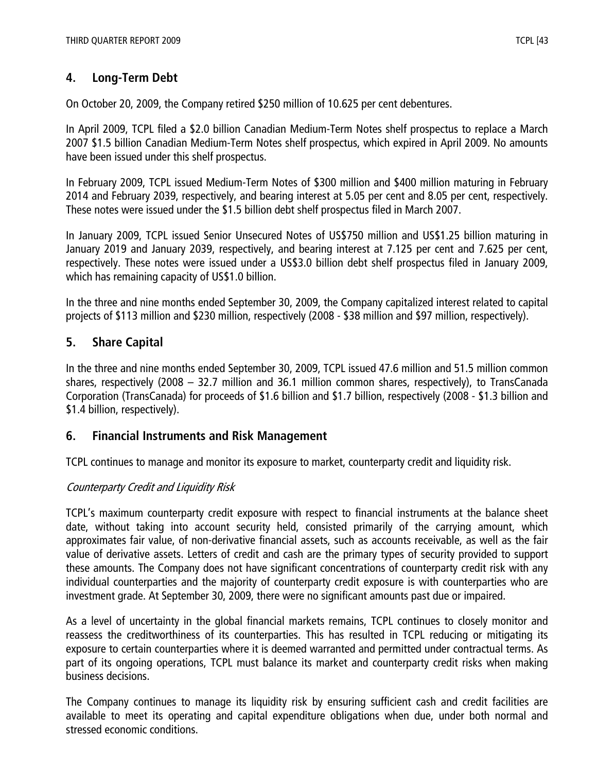# **4. Long-Term Debt**

On October 20, 2009, the Company retired \$250 million of 10.625 per cent debentures.

In April 2009, TCPL filed a \$2.0 billion Canadian Medium-Term Notes shelf prospectus to replace a March 2007 \$1.5 billion Canadian Medium-Term Notes shelf prospectus, which expired in April 2009. No amounts have been issued under this shelf prospectus.

In February 2009, TCPL issued Medium-Term Notes of \$300 million and \$400 million maturing in February 2014 and February 2039, respectively, and bearing interest at 5.05 per cent and 8.05 per cent, respectively. These notes were issued under the \$1.5 billion debt shelf prospectus filed in March 2007.

In January 2009, TCPL issued Senior Unsecured Notes of US\$750 million and US\$1.25 billion maturing in January 2019 and January 2039, respectively, and bearing interest at 7.125 per cent and 7.625 per cent, respectively. These notes were issued under a US\$3.0 billion debt shelf prospectus filed in January 2009, which has remaining capacity of US\$1.0 billion.

In the three and nine months ended September 30, 2009, the Company capitalized interest related to capital projects of \$113 million and \$230 million, respectively (2008 - \$38 million and \$97 million, respectively).

# **5. Share Capital**

In the three and nine months ended September 30, 2009, TCPL issued 47.6 million and 51.5 million common shares, respectively (2008 – 32.7 million and 36.1 million common shares, respectively), to TransCanada Corporation (TransCanada) for proceeds of \$1.6 billion and \$1.7 billion, respectively (2008 - \$1.3 billion and \$1.4 billion, respectively).

# **6. Financial Instruments and Risk Management**

TCPL continues to manage and monitor its exposure to market, counterparty credit and liquidity risk.

# Counterparty Credit and Liquidity Risk

TCPL's maximum counterparty credit exposure with respect to financial instruments at the balance sheet date, without taking into account security held, consisted primarily of the carrying amount, which approximates fair value, of non-derivative financial assets, such as accounts receivable, as well as the fair value of derivative assets. Letters of credit and cash are the primary types of security provided to support these amounts. The Company does not have significant concentrations of counterparty credit risk with any individual counterparties and the majority of counterparty credit exposure is with counterparties who are investment grade. At September 30, 2009, there were no significant amounts past due or impaired.

As a level of uncertainty in the global financial markets remains, TCPL continues to closely monitor and reassess the creditworthiness of its counterparties. This has resulted in TCPL reducing or mitigating its exposure to certain counterparties where it is deemed warranted and permitted under contractual terms. As part of its ongoing operations, TCPL must balance its market and counterparty credit risks when making business decisions.

The Company continues to manage its liquidity risk by ensuring sufficient cash and credit facilities are available to meet its operating and capital expenditure obligations when due, under both normal and stressed economic conditions.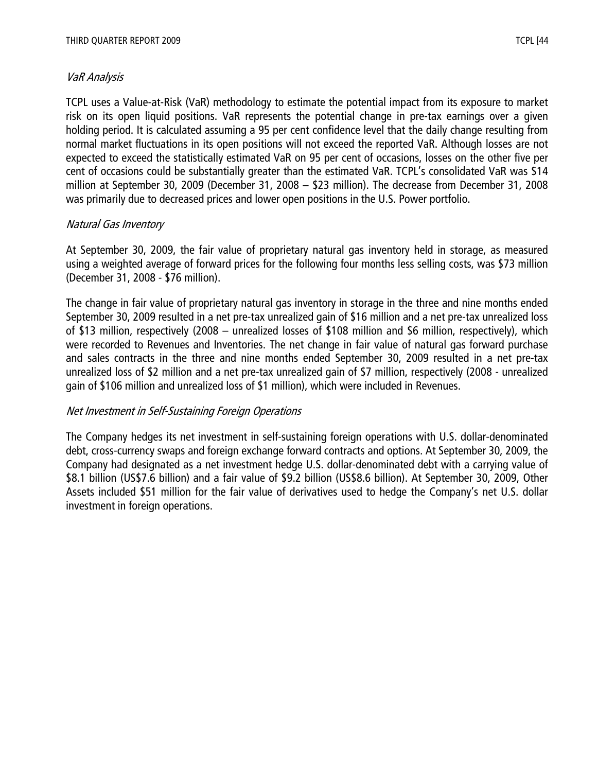#### VaR Analysis

TCPL uses a Value-at-Risk (VaR) methodology to estimate the potential impact from its exposure to market risk on its open liquid positions. VaR represents the potential change in pre-tax earnings over a given holding period. It is calculated assuming a 95 per cent confidence level that the daily change resulting from normal market fluctuations in its open positions will not exceed the reported VaR. Although losses are not expected to exceed the statistically estimated VaR on 95 per cent of occasions, losses on the other five per cent of occasions could be substantially greater than the estimated VaR. TCPL's consolidated VaR was \$14 million at September 30, 2009 (December 31, 2008 – \$23 million). The decrease from December 31, 2008 was primarily due to decreased prices and lower open positions in the U.S. Power portfolio.

# Natural Gas Inventory

At September 30, 2009, the fair value of proprietary natural gas inventory held in storage, as measured using a weighted average of forward prices for the following four months less selling costs, was \$73 million (December 31, 2008 - \$76 million).

The change in fair value of proprietary natural gas inventory in storage in the three and nine months ended September 30, 2009 resulted in a net pre-tax unrealized gain of \$16 million and a net pre-tax unrealized loss of \$13 million, respectively (2008 – unrealized losses of \$108 million and \$6 million, respectively), which were recorded to Revenues and Inventories. The net change in fair value of natural gas forward purchase and sales contracts in the three and nine months ended September 30, 2009 resulted in a net pre-tax unrealized loss of \$2 million and a net pre-tax unrealized gain of \$7 million, respectively (2008 - unrealized gain of \$106 million and unrealized loss of \$1 million), which were included in Revenues.

#### Net Investment in Self-Sustaining Foreign Operations

The Company hedges its net investment in self-sustaining foreign operations with U.S. dollar-denominated debt, cross-currency swaps and foreign exchange forward contracts and options. At September 30, 2009, the Company had designated as a net investment hedge U.S. dollar-denominated debt with a carrying value of \$8.1 billion (US\$7.6 billion) and a fair value of \$9.2 billion (US\$8.6 billion). At September 30, 2009, Other Assets included \$51 million for the fair value of derivatives used to hedge the Company's net U.S. dollar investment in foreign operations.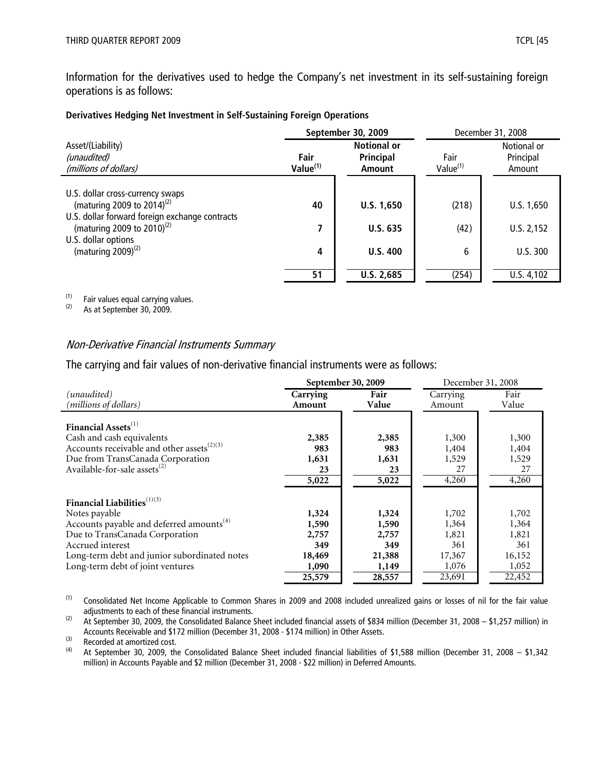Information for the derivatives used to hedge the Company's net investment in its self-sustaining foreign operations is as follows:

| Derivatives Hedging Net Investment in Self-Sustaining Foreign Operations |  |
|--------------------------------------------------------------------------|--|
|--------------------------------------------------------------------------|--|

|                                                                                                                              |                                                                                  | September 30, 2009 | December 31, 2008            |                                    |  |
|------------------------------------------------------------------------------------------------------------------------------|----------------------------------------------------------------------------------|--------------------|------------------------------|------------------------------------|--|
| Asset/(Liability)<br>(unaudited)<br>(millions of dollars)                                                                    | <b>Notional or</b><br><b>Principal</b><br>Fair<br>Value <sup>(1)</sup><br>Amount |                    | Fair<br>Value <sup>(1)</sup> | Notional or<br>Principal<br>Amount |  |
| U.S. dollar cross-currency swaps<br>(maturing 2009 to 2014) <sup>(2)</sup><br>U.S. dollar forward foreign exchange contracts | 40                                                                               | U.S. 1,650         | (218)                        | U.S. 1,650                         |  |
| (maturing 2009 to 2010) <sup>(2)</sup>                                                                                       | 7                                                                                | <b>U.S. 635</b>    | (42)                         | U.S. 2,152                         |  |
| U.S. dollar options<br>(maturing $2009$ ) <sup>(2)</sup>                                                                     | 4                                                                                | U.S.400            | 6                            | U.S. 300                           |  |
|                                                                                                                              | 51                                                                               | U.S. 2,685         | (254)                        | U.S. 4,102                         |  |

(1) Fair values equal carrying values.<br>(2)  $\Delta s$  at Sentember 30, 2009

As at September 30, 2009.

#### Non-Derivative Financial Instruments Summary

The carrying and fair values of non-derivative financial instruments were as follows:

|                                                        |                    | September 30, 2009 | December 31, 2008  |               |  |
|--------------------------------------------------------|--------------------|--------------------|--------------------|---------------|--|
| (unaudited)<br>(millions of dollars)                   | Carrying<br>Amount | Fair<br>Value      | Carrying<br>Amount | Fair<br>Value |  |
| Financial Assets <sup>(1)</sup>                        |                    |                    |                    |               |  |
| Cash and cash equivalents                              | 2,385              | 2,385              | 1,300              | 1,300         |  |
| Accounts receivable and other assets <sup>(2)(3)</sup> | 983                | 983                | 1,404              | 1,404         |  |
| Due from TransCanada Corporation                       | 1,631              | 1,631              | 1,529              | 1,529         |  |
| Available-for-sale assets <sup>(2)</sup>               | 23                 | 23                 | 27                 | 27            |  |
|                                                        | 5,022              | 5,022              | 4,260              | 4,260         |  |
| Financial Liabilities <sup>(1)(3)</sup>                |                    |                    |                    |               |  |
| Notes payable                                          | 1,324              | 1,324              | 1,702              | 1,702         |  |
| Accounts payable and deferred amounts <sup>(4)</sup>   | 1,590              | 1,590              | 1,364              | 1,364         |  |
| Due to TransCanada Corporation                         | 2,757              | 2,757              | 1,821              | 1,821         |  |
| Accrued interest                                       | 349                | 349                | 361                | 361           |  |
| Long-term debt and junior subordinated notes           | 18,469             | 21,388             | 17,367             | 16,152        |  |
| Long-term debt of joint ventures                       | 1,090              | 1,149              | 1,076              | 1,052         |  |
|                                                        | 25,579             | 28,557             | 23,691             | 22,452        |  |

(1) Consolidated Net Income Applicable to Common Shares in 2009 and 2008 included unrealized gains or losses of nil for the fair value adjustments to each of these financial instruments.

 $(2)$  At September 30, 2009, the Consolidated Balance Sheet included financial assets of \$834 million (December 31, 2008 – \$1,257 million) in Accounts Receivable and \$172 million (December 31, 2008 - \$174 million) in Other Assets.

(3) Recorded at amortized cost.<br>(4)  $\Delta t$  September 30, 2009 the

(4) At September 30, 2009, the Consolidated Balance Sheet included financial liabilities of \$1,588 million (December 31, 2008 – \$1,342 million) in Accounts Payable and \$2 million (December 31, 2008 - \$22 million) in Deferred Amounts.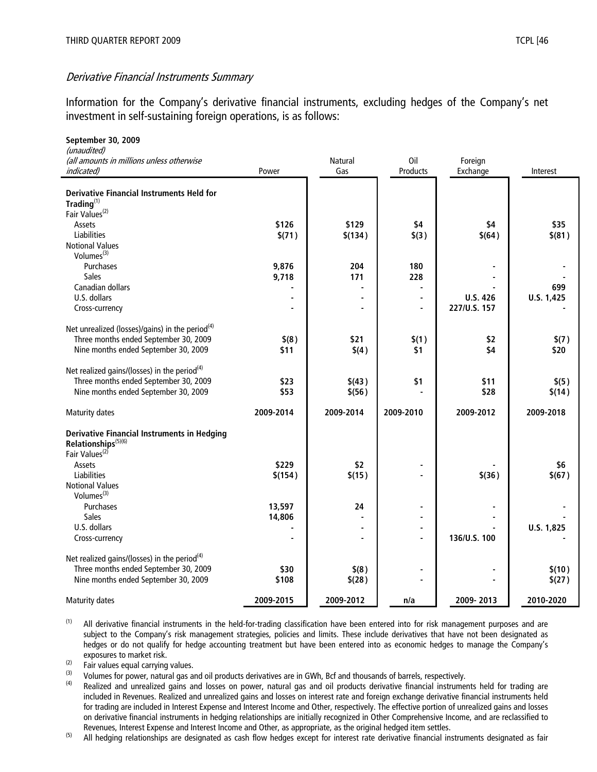#### Derivative Financial Instruments Summary

Information for the Company's derivative financial instruments, excluding hedges of the Company's net investment in self-sustaining foreign operations, is as follows:

| September 30, 2009                                                           |           |                |                |                 |            |
|------------------------------------------------------------------------------|-----------|----------------|----------------|-----------------|------------|
| (unaudited)<br>(all amounts in millions unless otherwise                     |           | <b>Natural</b> | Oil            | Foreign         |            |
|                                                                              | Power     | Gas            | Products       |                 |            |
| <i>indicated)</i>                                                            |           |                |                | Exchange        | Interest   |
|                                                                              |           |                |                |                 |            |
| <b>Derivative Financial Instruments Held for</b><br>$\mathsf{Trading}^{(1)}$ |           |                |                |                 |            |
|                                                                              |           |                |                |                 |            |
| Fair Values <sup>(2)</sup>                                                   |           |                |                |                 |            |
| Assets                                                                       | \$126     | \$129          | \$4            | \$4             | \$35       |
| Liabilities                                                                  | \$(71)    | \$(134)        | \$(3)          | \$(64)          | \$(81)     |
| <b>Notional Values</b>                                                       |           |                |                |                 |            |
| Volumes <sup>(3)</sup>                                                       |           |                |                |                 |            |
| Purchases                                                                    | 9,876     | 204            | 180            |                 |            |
| Sales                                                                        | 9,718     | 171            | 228            |                 |            |
| Canadian dollars                                                             |           | ÷,             | ä,             |                 | 699        |
| U.S. dollars                                                                 |           |                | $\blacksquare$ | <b>U.S. 426</b> | U.S. 1,425 |
| Cross-currency                                                               |           |                | $\blacksquare$ | 227/U.S. 157    |            |
|                                                                              |           |                |                |                 |            |
| Net unrealized (losses)/gains) in the period <sup>(4)</sup>                  |           |                |                |                 |            |
| Three months ended September 30, 2009                                        | \$(8)     | \$21           | \$(1)          | \$2             | \$(7)      |
| Nine months ended September 30, 2009                                         | \$11      | \$(4)          | \$1            | \$4             | \$20       |
|                                                                              |           |                |                |                 |            |
| Net realized gains/(losses) in the period <sup>(4)</sup>                     |           |                |                |                 |            |
| Three months ended September 30, 2009                                        | \$23      | \$(43)         | \$1            | \$11            | \$(5)      |
| Nine months ended September 30, 2009                                         | \$53      | \$(56)         |                | \$28            | \$(14)     |
|                                                                              |           |                |                |                 |            |
| Maturity dates                                                               | 2009-2014 | 2009-2014      | 2009-2010      | 2009-2012       | 2009-2018  |
|                                                                              |           |                |                |                 |            |
| <b>Derivative Financial Instruments in Hedging</b>                           |           |                |                |                 |            |
| Relationships <sup>(5)(6)</sup>                                              |           |                |                |                 |            |
| Fair Values <sup>(2)</sup>                                                   |           |                |                |                 |            |
| Assets                                                                       | \$229     | \$2            | $\blacksquare$ |                 | \$6        |
| Liabilities                                                                  | \$(154)   | \$(15)         |                | $$$ (36)        | \$(67)     |
| <b>Notional Values</b>                                                       |           |                |                |                 |            |
| Volumes $(3)$                                                                |           |                |                |                 |            |
| Purchases                                                                    | 13,597    | 24             | $\blacksquare$ |                 |            |
| <b>Sales</b>                                                                 | 14,806    |                | $\blacksquare$ |                 |            |
| U.S. dollars                                                                 |           | ä,             | $\blacksquare$ |                 | U.S. 1,825 |
| Cross-currency                                                               |           |                | $\blacksquare$ | 136/U.S. 100    |            |
|                                                                              |           |                |                |                 |            |
| Net realized gains/(losses) in the period <sup>(4)</sup>                     |           |                |                |                 |            |
| Three months ended September 30, 2009                                        | \$30      | \$(8)          |                |                 | \$(10)     |
| Nine months ended September 30, 2009                                         | \$108     | \$(28)         |                |                 | \$(27)     |
|                                                                              |           |                |                |                 |            |
| Maturity dates                                                               | 2009-2015 | 2009-2012      | n/a            | 2009-2013       | 2010-2020  |

 $<sup>(1)</sup>$  All derivative financial instruments in the held-for-trading classification have been entered into for risk management purposes and are</sup> subject to the Company's risk management strategies, policies and limits. These include derivatives that have not been designated as hedges or do not qualify for hedge accounting treatment but have been entered into as economic hedges to manage the Company's exposures to market risk.

 $\frac{1}{2}$  Fair values equal carrying values.

(3) Volumes for power, natural gas and oil products derivatives are in GWh, Bcf and thousands of barrels, respectively.<br>(4) Beelized and unrealized gains and lasses an power, natural gas and ail products derivative financ

Realized and unrealized gains and losses on power, natural gas and oil products derivative financial instruments held for trading are included in Revenues. Realized and unrealized gains and losses on interest rate and foreign exchange derivative financial instruments held for trading are included in Interest Expense and Interest Income and Other, respectively. The effective portion of unrealized gains and losses on derivative financial instruments in hedging relationships are initially recognized in Other Comprehensive Income, and are reclassified to Revenues, Interest Expense and Interest Income and Other, as appropriate, as the original hedged item settles.

<sup>(5)</sup> All hedging relationships are designated as cash flow hedges except for interest rate derivative financial instruments designated as fair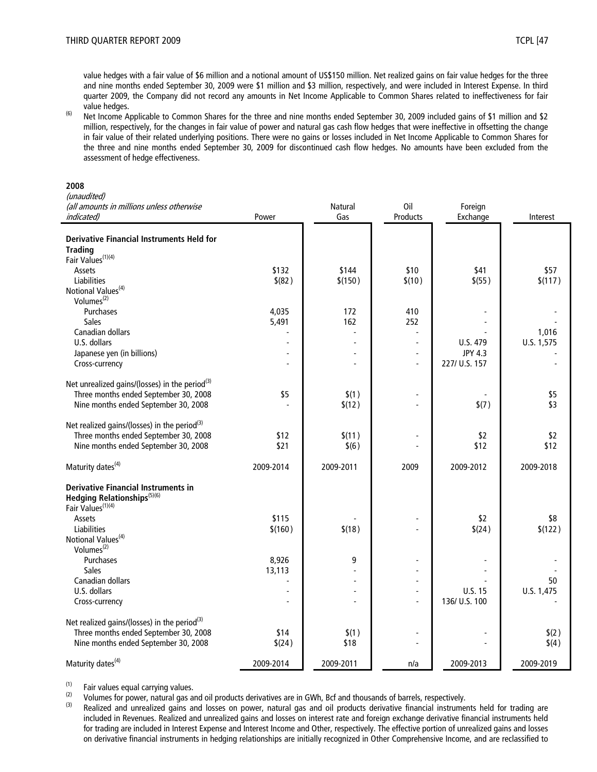value hedges with a fair value of \$6 million and a notional amount of US\$150 million. Net realized gains on fair value hedges for the three and nine months ended September 30, 2009 were \$1 million and \$3 million, respectively, and were included in Interest Expense. In third quarter 2009, the Company did not record any amounts in Net Income Applicable to Common Shares related to ineffectiveness for fair value hedges.

(6) Net Income Applicable to Common Shares for the three and nine months ended September 30, 2009 included gains of \$1 million and \$2 million, respectively, for the changes in fair value of power and natural gas cash flow hedges that were ineffective in offsetting the change in fair value of their related underlying positions. There were no gains or losses included in Net Income Applicable to Common Shares for the three and nine months ended September 30, 2009 for discontinued cash flow hedges. No amounts have been excluded from the assessment of hedge effectiveness.

#### **2008**

| (all amounts in millions unless otherwise<br><b>Natural</b><br>Oil<br>Foreign<br>indicated)<br>Gas<br>Products<br>Power<br>Exchange<br><b>Derivative Financial Instruments Held for</b><br><b>Trading</b><br>Fair Values <sup>(1)(4)</sup><br>\$10<br>Assets<br>\$132<br>\$144<br>\$41 | Interest<br>\$57<br>\$(117) |
|----------------------------------------------------------------------------------------------------------------------------------------------------------------------------------------------------------------------------------------------------------------------------------------|-----------------------------|
|                                                                                                                                                                                                                                                                                        |                             |
|                                                                                                                                                                                                                                                                                        |                             |
|                                                                                                                                                                                                                                                                                        |                             |
|                                                                                                                                                                                                                                                                                        |                             |
|                                                                                                                                                                                                                                                                                        |                             |
|                                                                                                                                                                                                                                                                                        |                             |
| <b>Liabilities</b><br>\$ (82)<br>\$(150)<br>\$(10)<br>\$ (55)                                                                                                                                                                                                                          |                             |
| Notional Values <sup>(4)</sup>                                                                                                                                                                                                                                                         |                             |
| Volumes <sup>(2)</sup>                                                                                                                                                                                                                                                                 |                             |
| Purchases<br>4,035<br>172<br>410                                                                                                                                                                                                                                                       |                             |
| <b>Sales</b><br>5,491<br>162<br>252                                                                                                                                                                                                                                                    |                             |
| Canadian dollars                                                                                                                                                                                                                                                                       | 1,016                       |
| U.S. dollars<br>U.S. 479<br>U.S. 1,575<br>$\overline{a}$                                                                                                                                                                                                                               |                             |
| Japanese yen (in billions)<br><b>JPY 4.3</b><br>$\overline{a}$                                                                                                                                                                                                                         |                             |
| 227/ U.S. 157<br>Cross-currency<br>$\overline{a}$                                                                                                                                                                                                                                      |                             |
|                                                                                                                                                                                                                                                                                        |                             |
| Net unrealized gains/(losses) in the period <sup>(3)</sup>                                                                                                                                                                                                                             |                             |
| Three months ended September 30, 2008<br>\$5<br>\$(1)<br>$\blacksquare$                                                                                                                                                                                                                | \$5                         |
| Nine months ended September 30, 2008<br>\$(12)<br>\$(7)                                                                                                                                                                                                                                | \$3                         |
|                                                                                                                                                                                                                                                                                        |                             |
| Net realized gains/(losses) in the period $(3)$                                                                                                                                                                                                                                        |                             |
| Three months ended September 30, 2008<br>\$2<br>\$12<br>\$(11)                                                                                                                                                                                                                         | \$2                         |
| Nine months ended September 30, 2008<br>\$21<br>\$12<br>\$(6)                                                                                                                                                                                                                          | \$12                        |
|                                                                                                                                                                                                                                                                                        |                             |
| Maturity dates <sup>(4)</sup><br>2009-2014<br>2009-2011<br>2009<br>2009-2012<br>2009-2018                                                                                                                                                                                              |                             |
| <b>Derivative Financial Instruments in</b>                                                                                                                                                                                                                                             |                             |
| Hedging Relationships <sup>(5)(6)</sup>                                                                                                                                                                                                                                                |                             |
| Fair Values <sup>(1)(4)</sup>                                                                                                                                                                                                                                                          |                             |
| \$115<br><b>Assets</b><br>\$2                                                                                                                                                                                                                                                          | \$8                         |
| Liabilities<br>\$(160)<br>\$(18)<br>\$(24)                                                                                                                                                                                                                                             | \$(122)                     |
| Notional Values <sup>(4)</sup>                                                                                                                                                                                                                                                         |                             |
| Volumes <sup>(2)</sup>                                                                                                                                                                                                                                                                 |                             |
| 8,926<br>Purchases<br>9                                                                                                                                                                                                                                                                |                             |
| <b>Sales</b><br>13,113<br>$\overline{a}$                                                                                                                                                                                                                                               |                             |
| Canadian dollars<br>$\overline{\phantom{a}}$                                                                                                                                                                                                                                           | 50                          |
| U.S. 15<br>U.S. 1,475<br>U.S. dollars<br>L,                                                                                                                                                                                                                                            |                             |
| 136/ U.S. 100<br>Cross-currency<br>$\blacksquare$                                                                                                                                                                                                                                      |                             |
|                                                                                                                                                                                                                                                                                        |                             |
| Net realized gains/(losses) in the period $(3)$                                                                                                                                                                                                                                        |                             |
| Three months ended September 30, 2008<br>\$14<br>\$(1)                                                                                                                                                                                                                                 | \$(2)                       |
| Nine months ended September 30, 2008<br>\$18<br>\$(24)                                                                                                                                                                                                                                 | \$(4)                       |
| Maturity dates <sup>(4)</sup><br>2009-2014<br>2009-2011<br>2009-2013<br>2009-2019<br>n/a                                                                                                                                                                                               |                             |

(1) Fair values equal carrying values.<br>(2) Volumes for power, patural gas a

(2) Volumes for power, natural gas and oil products derivatives are in GWh, Bcf and thousands of barrels, respectively.<br>(3) Boalized and unrealized gains and losses on power, natural gas and oil products derivative financ

Realized and unrealized gains and losses on power, natural gas and oil products derivative financial instruments held for trading are included in Revenues. Realized and unrealized gains and losses on interest rate and foreign exchange derivative financial instruments held for trading are included in Interest Expense and Interest Income and Other, respectively. The effective portion of unrealized gains and losses on derivative financial instruments in hedging relationships are initially recognized in Other Comprehensive Income, and are reclassified to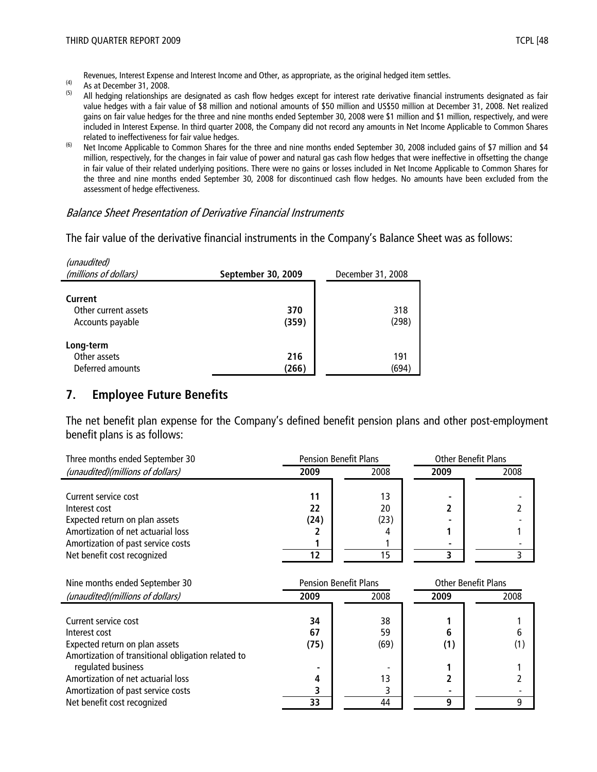Revenues, Interest Expense and Interest Income and Other, as appropriate, as the original hedged item settles.

- $\begin{array}{cc}\n\text{(4)} & \text{As at December 31, 2008.} \\
\text{(5)} & \text{All hedging relationship}\n\end{array}$
- All hedging relationships are designated as cash flow hedges except for interest rate derivative financial instruments designated as fair value hedges with a fair value of \$8 million and notional amounts of \$50 million and US\$50 million at December 31, 2008. Net realized gains on fair value hedges for the three and nine months ended September 30, 2008 were \$1 million and \$1 million, respectively, and were included in Interest Expense. In third quarter 2008, the Company did not record any amounts in Net Income Applicable to Common Shares related to ineffectiveness for fair value hedges.
- <sup>(6)</sup> Net Income Applicable to Common Shares for the three and nine months ended September 30, 2008 included gains of \$7 million and \$4 million, respectively, for the changes in fair value of power and natural gas cash flow hedges that were ineffective in offsetting the change in fair value of their related underlying positions. There were no gains or losses included in Net Income Applicable to Common Shares for the three and nine months ended September 30, 2008 for discontinued cash flow hedges. No amounts have been excluded from the assessment of hedge effectiveness.

#### Balance Sheet Presentation of Derivative Financial Instruments

The fair value of the derivative financial instruments in the Company's Balance Sheet was as follows:

| (unaudited)<br>(millions of dollars)                | September 30, 2009 | December 31, 2008 |  |
|-----------------------------------------------------|--------------------|-------------------|--|
| Current<br>Other current assets<br>Accounts payable | 370<br>(359)       | 318<br>(298)      |  |
| Long-term<br>Other assets<br>Deferred amounts       | 216<br>(266)       | 191<br>(694)      |  |

#### **7. Employee Future Benefits**

The net benefit plan expense for the Company's defined benefit pension plans and other post-employment benefit plans is as follows:

| Three months ended September 30    | <b>Pension Benefit Plans</b> |      | <b>Other Benefit Plans</b> |      |
|------------------------------------|------------------------------|------|----------------------------|------|
| (unaudited)(millions of dollars)   | 2009                         | 2008 | 2009                       | 2008 |
|                                    |                              |      |                            |      |
| Current service cost               | 11                           | 13   |                            |      |
| Interest cost                      | 22                           | 20   |                            |      |
| Expected return on plan assets     | (24)                         | (23) |                            |      |
| Amortization of net actuarial loss |                              |      |                            |      |
| Amortization of past service costs |                              |      |                            |      |
| Net benefit cost recognized        |                              |      |                            |      |

| Nine months ended September 30                     | <b>Pension Benefit Plans</b> |      | <b>Other Benefit Plans</b> |      |
|----------------------------------------------------|------------------------------|------|----------------------------|------|
| (unaudited)(millions of dollars)                   | 2009                         | 2008 | 2009                       | 2008 |
|                                                    |                              |      |                            |      |
| Current service cost                               | 34                           | 38   |                            |      |
| Interest cost                                      | 67                           | 59   | 6                          |      |
| Expected return on plan assets                     | (75)                         | (69) | (1)                        | (1)  |
| Amortization of transitional obligation related to |                              |      |                            |      |
| regulated business                                 |                              |      |                            |      |
| Amortization of net actuarial loss                 | 4                            | 13   |                            |      |
| Amortization of past service costs                 |                              |      |                            |      |
| Net benefit cost recognized                        | 33                           | 44   |                            | q    |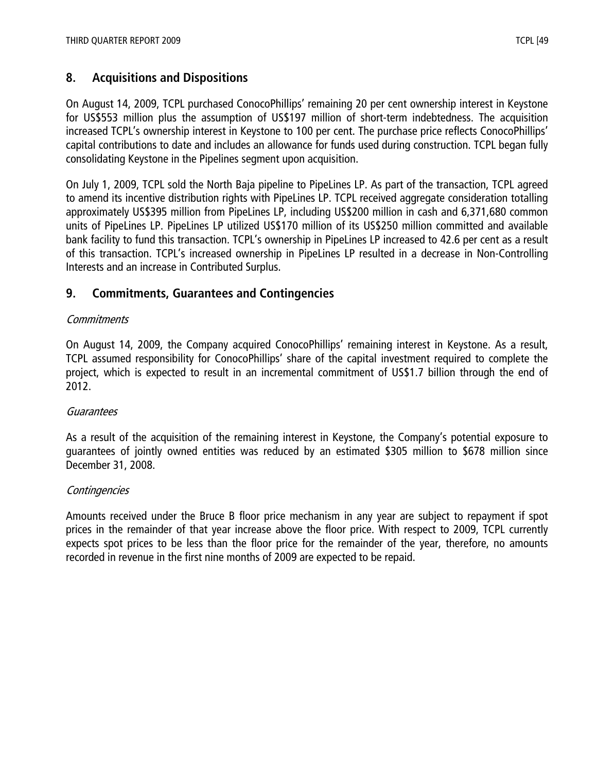# **8. Acquisitions and Dispositions**

On August 14, 2009, TCPL purchased ConocoPhillips' remaining 20 per cent ownership interest in Keystone for US\$553 million plus the assumption of US\$197 million of short-term indebtedness. The acquisition increased TCPL's ownership interest in Keystone to 100 per cent. The purchase price reflects ConocoPhillips' capital contributions to date and includes an allowance for funds used during construction. TCPL began fully consolidating Keystone in the Pipelines segment upon acquisition.

On July 1, 2009, TCPL sold the North Baja pipeline to PipeLines LP. As part of the transaction, TCPL agreed to amend its incentive distribution rights with PipeLines LP. TCPL received aggregate consideration totalling approximately US\$395 million from PipeLines LP, including US\$200 million in cash and 6,371,680 common units of PipeLines LP. PipeLines LP utilized US\$170 million of its US\$250 million committed and available bank facility to fund this transaction. TCPL's ownership in PipeLines LP increased to 42.6 per cent as a result of this transaction. TCPL's increased ownership in PipeLines LP resulted in a decrease in Non-Controlling Interests and an increase in Contributed Surplus.

# **9. Commitments, Guarantees and Contingencies**

#### **Commitments**

On August 14, 2009, the Company acquired ConocoPhillips' remaining interest in Keystone. As a result, TCPL assumed responsibility for ConocoPhillips' share of the capital investment required to complete the project, which is expected to result in an incremental commitment of US\$1.7 billion through the end of 2012.

#### **Guarantees**

As a result of the acquisition of the remaining interest in Keystone, the Company's potential exposure to guarantees of jointly owned entities was reduced by an estimated \$305 million to \$678 million since December 31, 2008.

#### **Contingencies**

Amounts received under the Bruce B floor price mechanism in any year are subject to repayment if spot prices in the remainder of that year increase above the floor price. With respect to 2009, TCPL currently expects spot prices to be less than the floor price for the remainder of the year, therefore, no amounts recorded in revenue in the first nine months of 2009 are expected to be repaid.